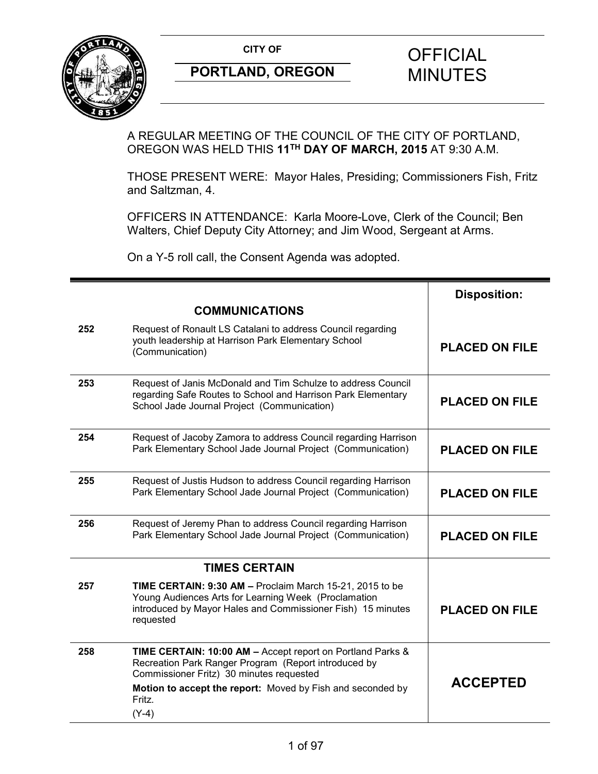

A REGULAR MEETING OF THE COUNCIL OF THE CITY OF PORTLAND, OREGON WAS HELD THIS **11TH DAY OF MARCH, 2015** AT 9:30 A.M.

THOSE PRESENT WERE: Mayor Hales, Presiding; Commissioners Fish, Fritz and Saltzman, 4.

OFFICERS IN ATTENDANCE: Karla Moore-Love, Clerk of the Council; Ben Walters, Chief Deputy City Attorney; and Jim Wood, Sergeant at Arms.

On a Y-5 roll call, the Consent Agenda was adopted.

|     |                                                                                                                                                                                                                                                   | <b>Disposition:</b>   |
|-----|---------------------------------------------------------------------------------------------------------------------------------------------------------------------------------------------------------------------------------------------------|-----------------------|
|     | <b>COMMUNICATIONS</b>                                                                                                                                                                                                                             |                       |
| 252 | Request of Ronault LS Catalani to address Council regarding<br>youth leadership at Harrison Park Elementary School<br>(Communication)                                                                                                             | <b>PLACED ON FILE</b> |
| 253 | Request of Janis McDonald and Tim Schulze to address Council<br>regarding Safe Routes to School and Harrison Park Elementary<br>School Jade Journal Project (Communication)                                                                       | <b>PLACED ON FILE</b> |
| 254 | Request of Jacoby Zamora to address Council regarding Harrison<br>Park Elementary School Jade Journal Project (Communication)                                                                                                                     | <b>PLACED ON FILE</b> |
| 255 | Request of Justis Hudson to address Council regarding Harrison<br>Park Elementary School Jade Journal Project (Communication)                                                                                                                     | <b>PLACED ON FILE</b> |
| 256 | Request of Jeremy Phan to address Council regarding Harrison<br>Park Elementary School Jade Journal Project (Communication)                                                                                                                       | <b>PLACED ON FILE</b> |
|     | <b>TIMES CERTAIN</b>                                                                                                                                                                                                                              |                       |
| 257 | TIME CERTAIN: 9:30 AM - Proclaim March 15-21, 2015 to be<br>Young Audiences Arts for Learning Week (Proclamation<br>introduced by Mayor Hales and Commissioner Fish) 15 minutes<br>requested                                                      | <b>PLACED ON FILE</b> |
| 258 | TIME CERTAIN: 10:00 AM - Accept report on Portland Parks &<br>Recreation Park Ranger Program (Report introduced by<br>Commissioner Fritz) 30 minutes requested<br>Motion to accept the report: Moved by Fish and seconded by<br>Fritz.<br>$(Y-4)$ | <b>ACCEPTED</b>       |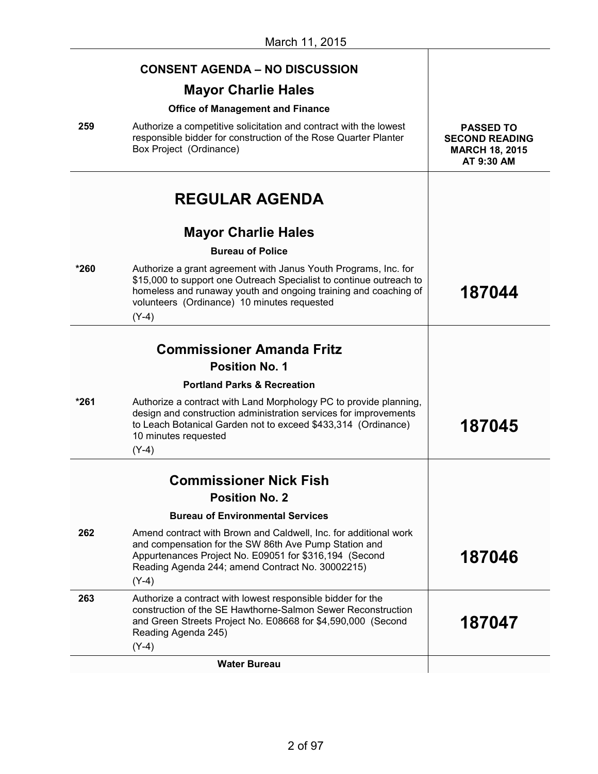|      | <b>CONSENT AGENDA - NO DISCUSSION</b>                                                                                                                                                                                                                               |                                                                                  |
|------|---------------------------------------------------------------------------------------------------------------------------------------------------------------------------------------------------------------------------------------------------------------------|----------------------------------------------------------------------------------|
|      | <b>Mayor Charlie Hales</b>                                                                                                                                                                                                                                          |                                                                                  |
|      | <b>Office of Management and Finance</b>                                                                                                                                                                                                                             |                                                                                  |
| 259  | Authorize a competitive solicitation and contract with the lowest<br>responsible bidder for construction of the Rose Quarter Planter<br>Box Project (Ordinance)                                                                                                     | <b>PASSED TO</b><br><b>SECOND READING</b><br><b>MARCH 18, 2015</b><br>AT 9:30 AM |
|      | <b>REGULAR AGENDA</b>                                                                                                                                                                                                                                               |                                                                                  |
|      | <b>Mayor Charlie Hales</b>                                                                                                                                                                                                                                          |                                                                                  |
|      | <b>Bureau of Police</b>                                                                                                                                                                                                                                             |                                                                                  |
| *260 | Authorize a grant agreement with Janus Youth Programs, Inc. for<br>\$15,000 to support one Outreach Specialist to continue outreach to<br>homeless and runaway youth and ongoing training and coaching of<br>volunteers (Ordinance) 10 minutes requested<br>$(Y-4)$ | 187044                                                                           |
|      |                                                                                                                                                                                                                                                                     |                                                                                  |
|      | <b>Commissioner Amanda Fritz</b>                                                                                                                                                                                                                                    |                                                                                  |
|      | <b>Position No. 1</b>                                                                                                                                                                                                                                               |                                                                                  |
|      | <b>Portland Parks &amp; Recreation</b>                                                                                                                                                                                                                              |                                                                                  |
| *261 | Authorize a contract with Land Morphology PC to provide planning,<br>design and construction administration services for improvements<br>to Leach Botanical Garden not to exceed \$433,314 (Ordinance)<br>10 minutes requested<br>$(Y-4)$                           | 187045                                                                           |
|      |                                                                                                                                                                                                                                                                     |                                                                                  |
|      | <b>Commissioner Nick Fish</b>                                                                                                                                                                                                                                       |                                                                                  |
|      | <b>Position No. 2</b>                                                                                                                                                                                                                                               |                                                                                  |
|      | <b>Bureau of Environmental Services</b>                                                                                                                                                                                                                             |                                                                                  |
| 262  | Amend contract with Brown and Caldwell, Inc. for additional work<br>and compensation for the SW 86th Ave Pump Station and<br>Appurtenances Project No. E09051 for \$316,194 (Second<br>Reading Agenda 244; amend Contract No. 30002215)<br>$(Y-4)$                  | 187046                                                                           |
| 263  | Authorize a contract with lowest responsible bidder for the<br>construction of the SE Hawthorne-Salmon Sewer Reconstruction<br>and Green Streets Project No. E08668 for \$4,590,000 (Second<br>Reading Agenda 245)                                                  | 187047                                                                           |
|      | $(Y-4)$                                                                                                                                                                                                                                                             |                                                                                  |
|      | <b>Water Bureau</b>                                                                                                                                                                                                                                                 |                                                                                  |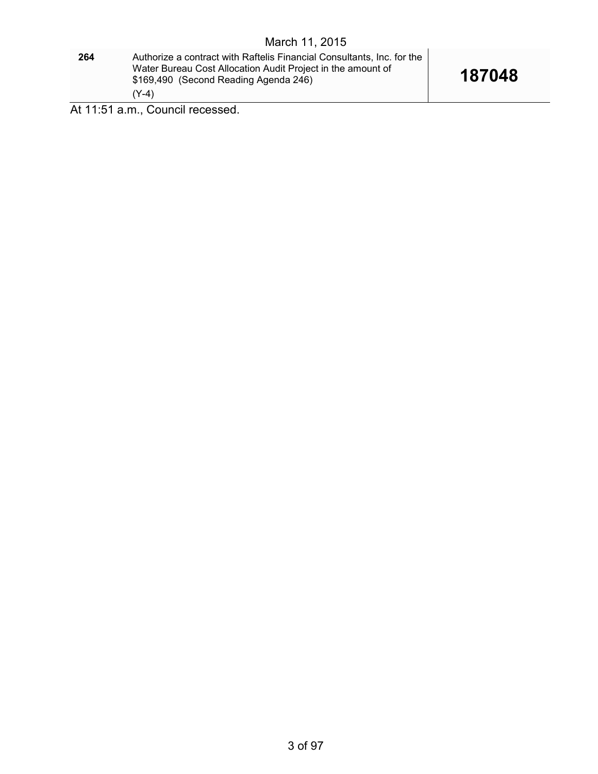**264** Authorize a contract with Raftelis Financial Consultants, Inc. for the Water Bureau Cost Allocation Audit Project in the amount of \$169,490 (Second Reading Agenda 246) (Y-4)

At 11:51 a.m., Council recessed.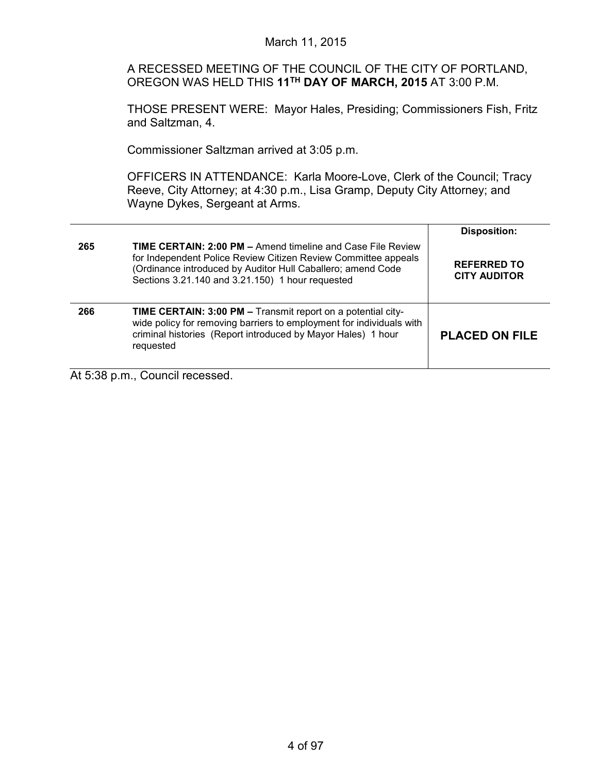A RECESSED MEETING OF THE COUNCIL OF THE CITY OF PORTLAND, OREGON WAS HELD THIS **11TH DAY OF MARCH, 2015** AT 3:00 P.M.

THOSE PRESENT WERE: Mayor Hales, Presiding; Commissioners Fish, Fritz and Saltzman, 4.

Commissioner Saltzman arrived at 3:05 p.m.

OFFICERS IN ATTENDANCE: Karla Moore-Love, Clerk of the Council; Tracy Reeve, City Attorney; at 4:30 p.m., Lisa Gramp, Deputy City Attorney; and Wayne Dykes, Sergeant at Arms.

| 265 | <b>TIME CERTAIN: 2:00 PM - Amend timeline and Case File Review</b><br>for Independent Police Review Citizen Review Committee appeals<br>(Ordinance introduced by Auditor Hull Caballero; amend Code<br>Sections 3.21.140 and 3.21.150) 1 hour requested | <b>Disposition:</b><br><b>REFERRED TO</b><br><b>CITY AUDITOR</b> |
|-----|---------------------------------------------------------------------------------------------------------------------------------------------------------------------------------------------------------------------------------------------------------|------------------------------------------------------------------|
| 266 | TIME CERTAIN: 3:00 PM - Transmit report on a potential city-<br>wide policy for removing barriers to employment for individuals with<br>criminal histories (Report introduced by Mayor Hales) 1 hour<br>requested                                       | <b>PLACED ON FILE</b>                                            |

At 5:38 p.m., Council recessed.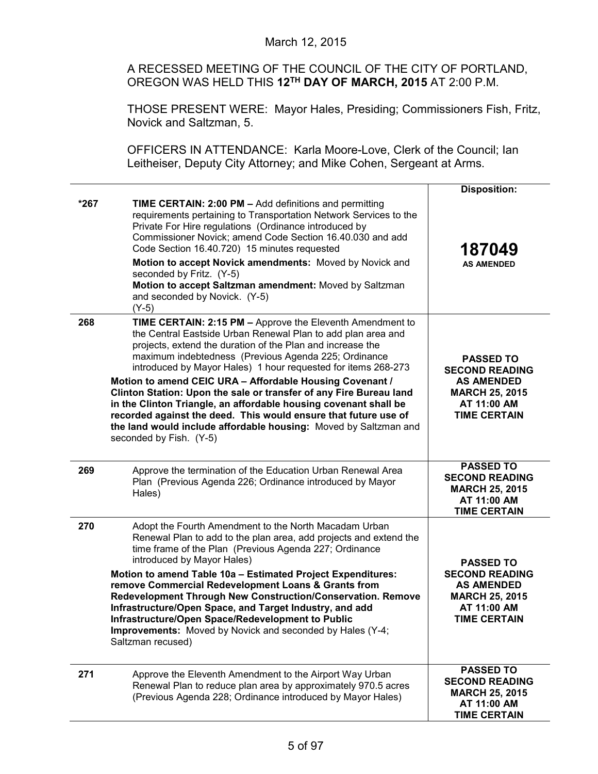# March 12, 2015

A RECESSED MEETING OF THE COUNCIL OF THE CITY OF PORTLAND, OREGON WAS HELD THIS **12TH DAY OF MARCH, 2015** AT 2:00 P.M.

THOSE PRESENT WERE: Mayor Hales, Presiding; Commissioners Fish, Fritz, Novick and Saltzman, 5.

OFFICERS IN ATTENDANCE: Karla Moore-Love, Clerk of the Council; Ian Leitheiser, Deputy City Attorney; and Mike Cohen, Sergeant at Arms.

|        |                                                                                                                                                                                                                                                                                                                                                                                                                                                                                                                                                                                                                                                                                          | <b>Disposition:</b>                                                                                                           |
|--------|------------------------------------------------------------------------------------------------------------------------------------------------------------------------------------------------------------------------------------------------------------------------------------------------------------------------------------------------------------------------------------------------------------------------------------------------------------------------------------------------------------------------------------------------------------------------------------------------------------------------------------------------------------------------------------------|-------------------------------------------------------------------------------------------------------------------------------|
| $*267$ | <b>TIME CERTAIN: 2:00 PM - Add definitions and permitting</b><br>requirements pertaining to Transportation Network Services to the<br>Private For Hire regulations (Ordinance introduced by<br>Commissioner Novick; amend Code Section 16.40.030 and add<br>Code Section 16.40.720) 15 minutes requested<br>Motion to accept Novick amendments: Moved by Novick and<br>seconded by Fritz. (Y-5)<br>Motion to accept Saltzman amendment: Moved by Saltzman                                                                                                                                                                                                                                | 187049<br><b>AS AMENDED</b>                                                                                                   |
|        | and seconded by Novick. (Y-5)<br>$(Y-5)$                                                                                                                                                                                                                                                                                                                                                                                                                                                                                                                                                                                                                                                 |                                                                                                                               |
| 268    | TIME CERTAIN: 2:15 PM - Approve the Eleventh Amendment to<br>the Central Eastside Urban Renewal Plan to add plan area and<br>projects, extend the duration of the Plan and increase the<br>maximum indebtedness (Previous Agenda 225; Ordinance<br>introduced by Mayor Hales) 1 hour requested for items 268-273<br>Motion to amend CEIC URA - Affordable Housing Covenant /<br>Clinton Station: Upon the sale or transfer of any Fire Bureau land<br>in the Clinton Triangle, an affordable housing covenant shall be<br>recorded against the deed. This would ensure that future use of<br>the land would include affordable housing: Moved by Saltzman and<br>seconded by Fish. (Y-5) | <b>PASSED TO</b><br><b>SECOND READING</b><br><b>AS AMENDED</b><br><b>MARCH 25, 2015</b><br>AT 11:00 AM<br><b>TIME CERTAIN</b> |
| 269    | Approve the termination of the Education Urban Renewal Area<br>Plan (Previous Agenda 226; Ordinance introduced by Mayor<br>Hales)                                                                                                                                                                                                                                                                                                                                                                                                                                                                                                                                                        | <b>PASSED TO</b><br><b>SECOND READING</b><br><b>MARCH 25, 2015</b><br>AT 11:00 AM<br><b>TIME CERTAIN</b>                      |
| 270    | Adopt the Fourth Amendment to the North Macadam Urban<br>Renewal Plan to add to the plan area, add projects and extend the<br>time frame of the Plan (Previous Agenda 227; Ordinance<br>introduced by Mayor Hales)<br>Motion to amend Table 10a - Estimated Project Expenditures:<br>remove Commercial Redevelopment Loans & Grants from<br>Redevelopment Through New Construction/Conservation. Remove<br>Infrastructure/Open Space, and Target Industry, and add<br>Infrastructure/Open Space/Redevelopment to Public<br>Improvements: Moved by Novick and seconded by Hales (Y-4;<br>Saltzman recused)                                                                                | <b>PASSED TO</b><br><b>SECOND READING</b><br><b>AS AMENDED</b><br><b>MARCH 25, 2015</b><br>AT 11:00 AM<br><b>TIME CERTAIN</b> |
| 271    | Approve the Eleventh Amendment to the Airport Way Urban<br>Renewal Plan to reduce plan area by approximately 970.5 acres<br>(Previous Agenda 228; Ordinance introduced by Mayor Hales)                                                                                                                                                                                                                                                                                                                                                                                                                                                                                                   | <b>PASSED TO</b><br><b>SECOND READING</b><br><b>MARCH 25, 2015</b><br>AT 11:00 AM<br><b>TIME CERTAIN</b>                      |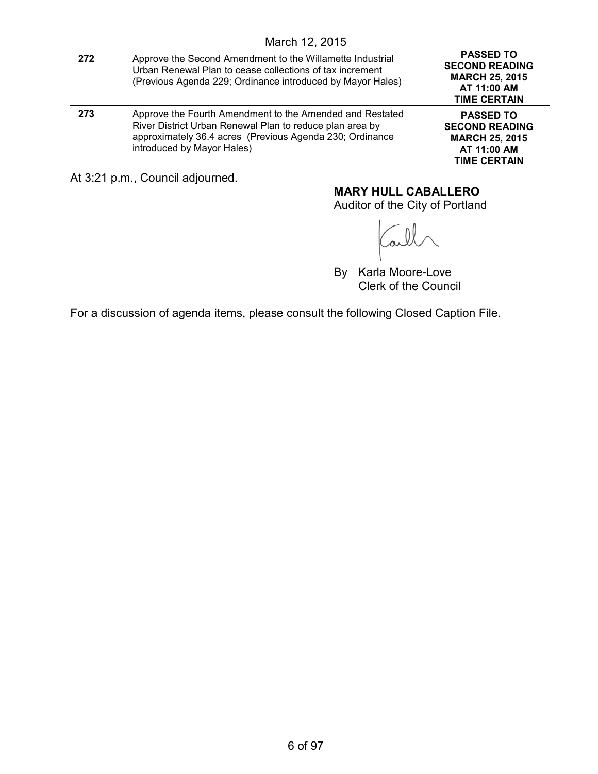| 272 | Approve the Second Amendment to the Willamette Industrial<br>Urban Renewal Plan to cease collections of tax increment<br>(Previous Agenda 229; Ordinance introduced by Mayor Hales)                            | <b>PASSED TO</b><br><b>SECOND READING</b><br><b>MARCH 25, 2015</b><br>AT 11:00 AM<br><b>TIME CERTAIN</b> |
|-----|----------------------------------------------------------------------------------------------------------------------------------------------------------------------------------------------------------------|----------------------------------------------------------------------------------------------------------|
| 273 | Approve the Fourth Amendment to the Amended and Restated<br>River District Urban Renewal Plan to reduce plan area by<br>approximately 36.4 acres (Previous Agenda 230; Ordinance<br>introduced by Mayor Hales) | <b>PASSED TO</b><br><b>SECOND READING</b><br><b>MARCH 25, 2015</b><br>AT 11:00 AM<br><b>TIME CERTAIN</b> |

At 3:21 p.m., Council adjourned.

# **MARY HULL CABALLERO**

Auditor of the City of Portland

By Karla Moore-Love Clerk of the Council

For a discussion of agenda items, please consult the following Closed Caption File.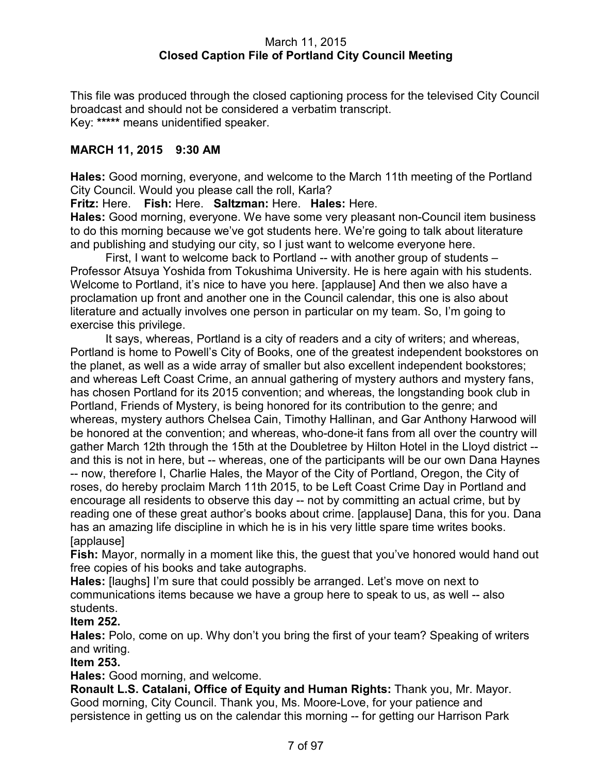# March 11, 2015 **Closed Caption File of Portland City Council Meeting**

This file was produced through the closed captioning process for the televised City Council broadcast and should not be considered a verbatim transcript. Key: **\*\*\*\*\*** means unidentified speaker.

# **MARCH 11, 2015 9:30 AM**

**Hales:** Good morning, everyone, and welcome to the March 11th meeting of the Portland City Council. Would you please call the roll, Karla?

**Fritz:** Here. **Fish:** Here. **Saltzman:** Here. **Hales:** Here.

**Hales:** Good morning, everyone. We have some very pleasant non-Council item business to do this morning because we've got students here. We're going to talk about literature and publishing and studying our city, so I just want to welcome everyone here.

First, I want to welcome back to Portland -- with another group of students – Professor Atsuya Yoshida from Tokushima University. He is here again with his students. Welcome to Portland, it's nice to have you here. [applause] And then we also have a proclamation up front and another one in the Council calendar, this one is also about literature and actually involves one person in particular on my team. So, I'm going to exercise this privilege.

It says, whereas, Portland is a city of readers and a city of writers; and whereas, Portland is home to Powell's City of Books, one of the greatest independent bookstores on the planet, as well as a wide array of smaller but also excellent independent bookstores; and whereas Left Coast Crime, an annual gathering of mystery authors and mystery fans, has chosen Portland for its 2015 convention; and whereas, the longstanding book club in Portland, Friends of Mystery, is being honored for its contribution to the genre; and whereas, mystery authors Chelsea Cain, Timothy Hallinan, and Gar Anthony Harwood will be honored at the convention; and whereas, who-done-it fans from all over the country will gather March 12th through the 15th at the Doubletree by Hilton Hotel in the Lloyd district - and this is not in here, but -- whereas, one of the participants will be our own Dana Haynes -- now, therefore I, Charlie Hales, the Mayor of the City of Portland, Oregon, the City of roses, do hereby proclaim March 11th 2015, to be Left Coast Crime Day in Portland and encourage all residents to observe this day -- not by committing an actual crime, but by reading one of these great author's books about crime. [applause] Dana, this for you. Dana has an amazing life discipline in which he is in his very little spare time writes books. [applause]

**Fish:** Mayor, normally in a moment like this, the guest that you've honored would hand out free copies of his books and take autographs.

**Hales:** [laughs] I'm sure that could possibly be arranged. Let's move on next to communications items because we have a group here to speak to us, as well -- also students.

# **Item 252.**

**Hales:** Polo, come on up. Why don't you bring the first of your team? Speaking of writers and writing.

# **Item 253.**

**Hales:** Good morning, and welcome.

**Ronault L.S. Catalani, Office of Equity and Human Rights:** Thank you, Mr. Mayor. Good morning, City Council. Thank you, Ms. Moore-Love, for your patience and persistence in getting us on the calendar this morning -- for getting our Harrison Park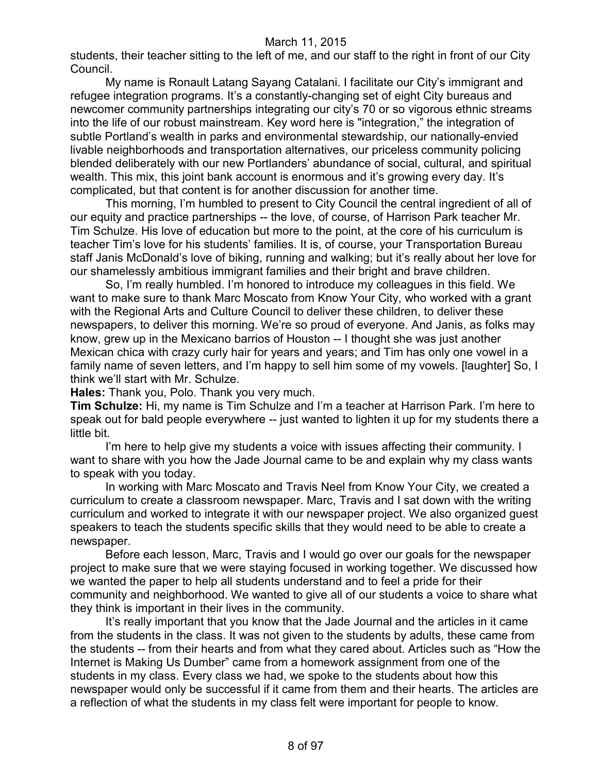students, their teacher sitting to the left of me, and our staff to the right in front of our City Council.

My name is Ronault Latang Sayang Catalani. I facilitate our City's immigrant and refugee integration programs. It's a constantly-changing set of eight City bureaus and newcomer community partnerships integrating our city's 70 or so vigorous ethnic streams into the life of our robust mainstream. Key word here is "integration," the integration of subtle Portland's wealth in parks and environmental stewardship, our nationally-envied livable neighborhoods and transportation alternatives, our priceless community policing blended deliberately with our new Portlanders' abundance of social, cultural, and spiritual wealth. This mix, this joint bank account is enormous and it's growing every day. It's complicated, but that content is for another discussion for another time.

This morning, I'm humbled to present to City Council the central ingredient of all of our equity and practice partnerships -- the love, of course, of Harrison Park teacher Mr. Tim Schulze. His love of education but more to the point, at the core of his curriculum is teacher Tim's love for his students' families. It is, of course, your Transportation Bureau staff Janis McDonald's love of biking, running and walking; but it's really about her love for our shamelessly ambitious immigrant families and their bright and brave children.

So, I'm really humbled. I'm honored to introduce my colleagues in this field. We want to make sure to thank Marc Moscato from Know Your City, who worked with a grant with the Regional Arts and Culture Council to deliver these children, to deliver these newspapers, to deliver this morning. We're so proud of everyone. And Janis, as folks may know, grew up in the Mexicano barrios of Houston -- I thought she was just another Mexican chica with crazy curly hair for years and years; and Tim has only one vowel in a family name of seven letters, and I'm happy to sell him some of my vowels. [laughter] So, I think we'll start with Mr. Schulze.

**Hales:** Thank you, Polo. Thank you very much.

**Tim Schulze:** Hi, my name is Tim Schulze and I'm a teacher at Harrison Park. I'm here to speak out for bald people everywhere -- just wanted to lighten it up for my students there a little bit.

I'm here to help give my students a voice with issues affecting their community. I want to share with you how the Jade Journal came to be and explain why my class wants to speak with you today.

In working with Marc Moscato and Travis Neel from Know Your City, we created a curriculum to create a classroom newspaper. Marc, Travis and I sat down with the writing curriculum and worked to integrate it with our newspaper project. We also organized guest speakers to teach the students specific skills that they would need to be able to create a newspaper.

Before each lesson, Marc, Travis and I would go over our goals for the newspaper project to make sure that we were staying focused in working together. We discussed how we wanted the paper to help all students understand and to feel a pride for their community and neighborhood. We wanted to give all of our students a voice to share what they think is important in their lives in the community.

It's really important that you know that the Jade Journal and the articles in it came from the students in the class. It was not given to the students by adults, these came from the students -- from their hearts and from what they cared about. Articles such as "How the Internet is Making Us Dumber" came from a homework assignment from one of the students in my class. Every class we had, we spoke to the students about how this newspaper would only be successful if it came from them and their hearts. The articles are a reflection of what the students in my class felt were important for people to know.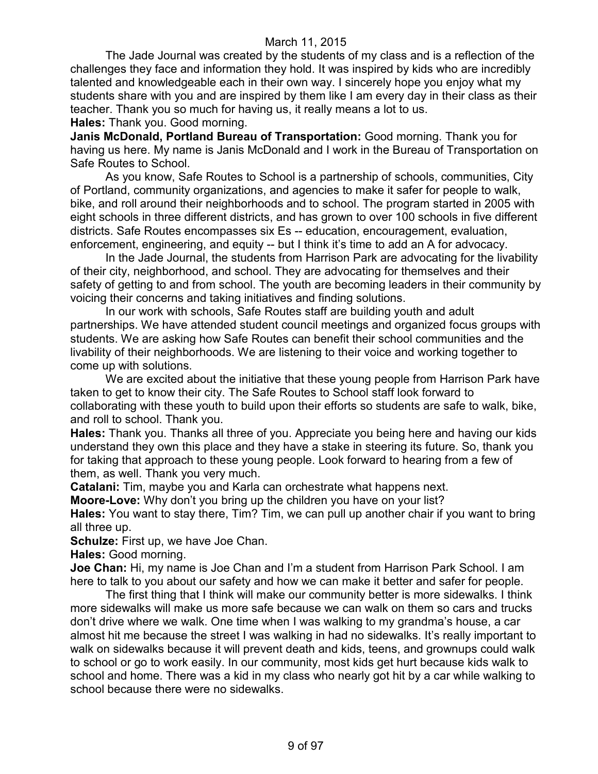The Jade Journal was created by the students of my class and is a reflection of the challenges they face and information they hold. It was inspired by kids who are incredibly talented and knowledgeable each in their own way. I sincerely hope you enjoy what my students share with you and are inspired by them like I am every day in their class as their teacher. Thank you so much for having us, it really means a lot to us. **Hales:** Thank you. Good morning.

**Janis McDonald, Portland Bureau of Transportation:** Good morning. Thank you for having us here. My name is Janis McDonald and I work in the Bureau of Transportation on Safe Routes to School.

As you know, Safe Routes to School is a partnership of schools, communities, City of Portland, community organizations, and agencies to make it safer for people to walk, bike, and roll around their neighborhoods and to school. The program started in 2005 with eight schools in three different districts, and has grown to over 100 schools in five different districts. Safe Routes encompasses six Es -- education, encouragement, evaluation, enforcement, engineering, and equity -- but I think it's time to add an A for advocacy.

In the Jade Journal, the students from Harrison Park are advocating for the livability of their city, neighborhood, and school. They are advocating for themselves and their safety of getting to and from school. The youth are becoming leaders in their community by voicing their concerns and taking initiatives and finding solutions.

In our work with schools, Safe Routes staff are building youth and adult partnerships. We have attended student council meetings and organized focus groups with students. We are asking how Safe Routes can benefit their school communities and the livability of their neighborhoods. We are listening to their voice and working together to come up with solutions.

We are excited about the initiative that these young people from Harrison Park have taken to get to know their city. The Safe Routes to School staff look forward to collaborating with these youth to build upon their efforts so students are safe to walk, bike, and roll to school. Thank you.

**Hales:** Thank you. Thanks all three of you. Appreciate you being here and having our kids understand they own this place and they have a stake in steering its future. So, thank you for taking that approach to these young people. Look forward to hearing from a few of them, as well. Thank you very much.

**Catalani:** Tim, maybe you and Karla can orchestrate what happens next.

**Moore-Love:** Why don't you bring up the children you have on your list?

**Hales:** You want to stay there, Tim? Tim, we can pull up another chair if you want to bring all three up.

**Schulze:** First up, we have Joe Chan.

**Hales:** Good morning.

**Joe Chan:** Hi, my name is Joe Chan and I'm a student from Harrison Park School. I am here to talk to you about our safety and how we can make it better and safer for people.

The first thing that I think will make our community better is more sidewalks. I think more sidewalks will make us more safe because we can walk on them so cars and trucks don't drive where we walk. One time when I was walking to my grandma's house, a car almost hit me because the street I was walking in had no sidewalks. It's really important to walk on sidewalks because it will prevent death and kids, teens, and grownups could walk to school or go to work easily. In our community, most kids get hurt because kids walk to school and home. There was a kid in my class who nearly got hit by a car while walking to school because there were no sidewalks.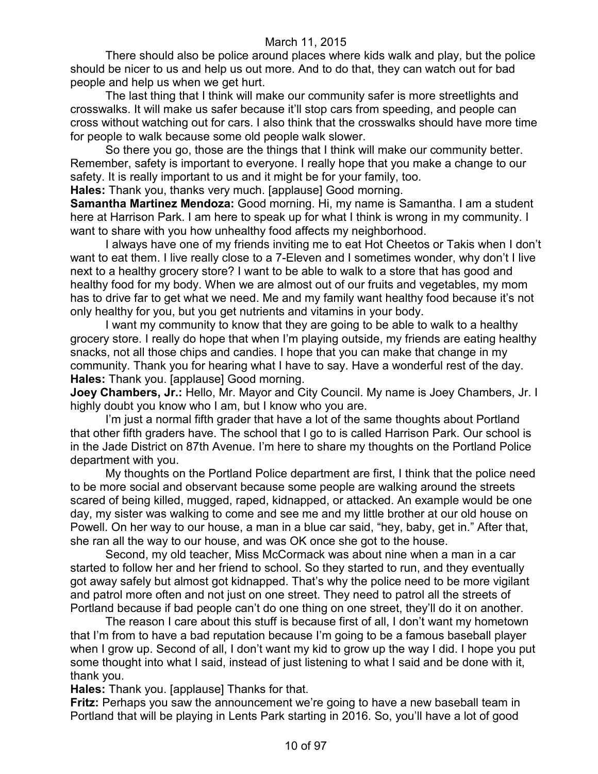There should also be police around places where kids walk and play, but the police should be nicer to us and help us out more. And to do that, they can watch out for bad people and help us when we get hurt.

The last thing that I think will make our community safer is more streetlights and crosswalks. It will make us safer because it'll stop cars from speeding, and people can cross without watching out for cars. I also think that the crosswalks should have more time for people to walk because some old people walk slower.

So there you go, those are the things that I think will make our community better. Remember, safety is important to everyone. I really hope that you make a change to our safety. It is really important to us and it might be for your family, too.

**Hales:** Thank you, thanks very much. [applause] Good morning.

**Samantha Martinez Mendoza:** Good morning. Hi, my name is Samantha. I am a student here at Harrison Park. I am here to speak up for what I think is wrong in my community. I want to share with you how unhealthy food affects my neighborhood.

I always have one of my friends inviting me to eat Hot Cheetos or Takis when I don't want to eat them. I live really close to a 7-Eleven and I sometimes wonder, why don't I live next to a healthy grocery store? I want to be able to walk to a store that has good and healthy food for my body. When we are almost out of our fruits and vegetables, my mom has to drive far to get what we need. Me and my family want healthy food because it's not only healthy for you, but you get nutrients and vitamins in your body.

I want my community to know that they are going to be able to walk to a healthy grocery store. I really do hope that when I'm playing outside, my friends are eating healthy snacks, not all those chips and candies. I hope that you can make that change in my community. Thank you for hearing what I have to say. Have a wonderful rest of the day. **Hales:** Thank you. [applause] Good morning.

**Joey Chambers, Jr.: Hello, Mr. Mayor and City Council. My name is Joey Chambers, Jr. I** highly doubt you know who I am, but I know who you are.

I'm just a normal fifth grader that have a lot of the same thoughts about Portland that other fifth graders have. The school that I go to is called Harrison Park. Our school is in the Jade District on 87th Avenue. I'm here to share my thoughts on the Portland Police department with you.

My thoughts on the Portland Police department are first, I think that the police need to be more social and observant because some people are walking around the streets scared of being killed, mugged, raped, kidnapped, or attacked. An example would be one day, my sister was walking to come and see me and my little brother at our old house on Powell. On her way to our house, a man in a blue car said, "hey, baby, get in." After that, she ran all the way to our house, and was OK once she got to the house.

Second, my old teacher, Miss McCormack was about nine when a man in a car started to follow her and her friend to school. So they started to run, and they eventually got away safely but almost got kidnapped. That's why the police need to be more vigilant and patrol more often and not just on one street. They need to patrol all the streets of Portland because if bad people can't do one thing on one street, they'll do it on another.

The reason I care about this stuff is because first of all, I don't want my hometown that I'm from to have a bad reputation because I'm going to be a famous baseball player when I grow up. Second of all, I don't want my kid to grow up the way I did. I hope you put some thought into what I said, instead of just listening to what I said and be done with it, thank you.

**Hales:** Thank you. [applause] Thanks for that.

**Fritz:** Perhaps you saw the announcement we're going to have a new baseball team in Portland that will be playing in Lents Park starting in 2016. So, you'll have a lot of good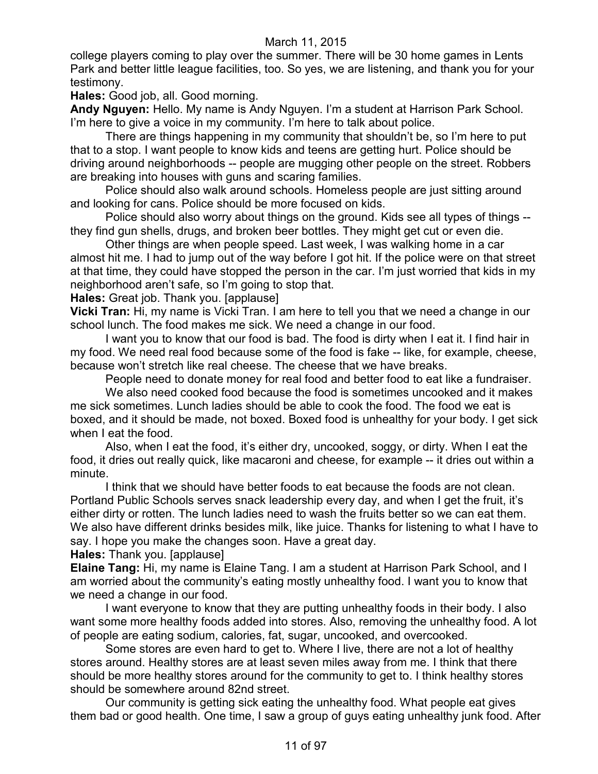college players coming to play over the summer. There will be 30 home games in Lents Park and better little league facilities, too. So yes, we are listening, and thank you for your testimony.

**Hales:** Good job, all. Good morning.

**Andy Nguyen:** Hello. My name is Andy Nguyen. I'm a student at Harrison Park School. I'm here to give a voice in my community. I'm here to talk about police.

There are things happening in my community that shouldn't be, so I'm here to put that to a stop. I want people to know kids and teens are getting hurt. Police should be driving around neighborhoods -- people are mugging other people on the street. Robbers are breaking into houses with guns and scaring families.

Police should also walk around schools. Homeless people are just sitting around and looking for cans. Police should be more focused on kids.

Police should also worry about things on the ground. Kids see all types of things - they find gun shells, drugs, and broken beer bottles. They might get cut or even die.

Other things are when people speed. Last week, I was walking home in a car almost hit me. I had to jump out of the way before I got hit. If the police were on that street at that time, they could have stopped the person in the car. I'm just worried that kids in my neighborhood aren't safe, so I'm going to stop that.

**Hales:** Great job. Thank you. [applause]

**Vicki Tran:** Hi, my name is Vicki Tran. I am here to tell you that we need a change in our school lunch. The food makes me sick. We need a change in our food.

I want you to know that our food is bad. The food is dirty when I eat it. I find hair in my food. We need real food because some of the food is fake -- like, for example, cheese, because won't stretch like real cheese. The cheese that we have breaks.

People need to donate money for real food and better food to eat like a fundraiser.

We also need cooked food because the food is sometimes uncooked and it makes me sick sometimes. Lunch ladies should be able to cook the food. The food we eat is boxed, and it should be made, not boxed. Boxed food is unhealthy for your body. I get sick when I eat the food.

Also, when I eat the food, it's either dry, uncooked, soggy, or dirty. When I eat the food, it dries out really quick, like macaroni and cheese, for example -- it dries out within a minute.

I think that we should have better foods to eat because the foods are not clean. Portland Public Schools serves snack leadership every day, and when I get the fruit, it's either dirty or rotten. The lunch ladies need to wash the fruits better so we can eat them. We also have different drinks besides milk, like juice. Thanks for listening to what I have to say. I hope you make the changes soon. Have a great day.

**Hales:** Thank you. [applause]

**Elaine Tang:** Hi, my name is Elaine Tang. I am a student at Harrison Park School, and I am worried about the community's eating mostly unhealthy food. I want you to know that we need a change in our food.

I want everyone to know that they are putting unhealthy foods in their body. I also want some more healthy foods added into stores. Also, removing the unhealthy food. A lot of people are eating sodium, calories, fat, sugar, uncooked, and overcooked.

Some stores are even hard to get to. Where I live, there are not a lot of healthy stores around. Healthy stores are at least seven miles away from me. I think that there should be more healthy stores around for the community to get to. I think healthy stores should be somewhere around 82nd street.

Our community is getting sick eating the unhealthy food. What people eat gives them bad or good health. One time, I saw a group of guys eating unhealthy junk food. After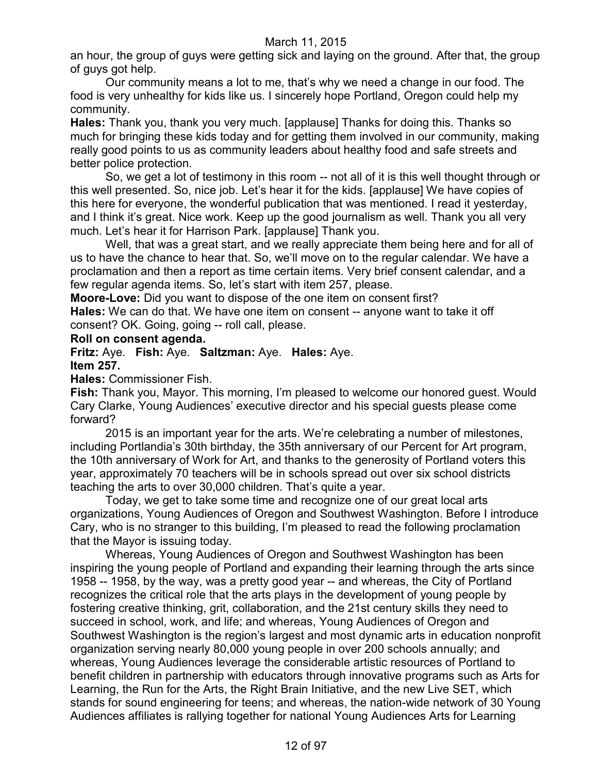an hour, the group of guys were getting sick and laying on the ground. After that, the group of guys got help.

Our community means a lot to me, that's why we need a change in our food. The food is very unhealthy for kids like us. I sincerely hope Portland, Oregon could help my community.

**Hales:** Thank you, thank you very much. [applause] Thanks for doing this. Thanks so much for bringing these kids today and for getting them involved in our community, making really good points to us as community leaders about healthy food and safe streets and better police protection.

So, we get a lot of testimony in this room -- not all of it is this well thought through or this well presented. So, nice job. Let's hear it for the kids. [applause] We have copies of this here for everyone, the wonderful publication that was mentioned. I read it yesterday, and I think it's great. Nice work. Keep up the good journalism as well. Thank you all very much. Let's hear it for Harrison Park. [applause] Thank you.

Well, that was a great start, and we really appreciate them being here and for all of us to have the chance to hear that. So, we'll move on to the regular calendar. We have a proclamation and then a report as time certain items. Very brief consent calendar, and a few regular agenda items. So, let's start with item 257, please.

**Moore-Love:** Did you want to dispose of the one item on consent first?

**Hales:** We can do that. We have one item on consent -- anyone want to take it off consent? OK. Going, going -- roll call, please.

#### **Roll on consent agenda.**

**Fritz:** Aye. **Fish:** Aye. **Saltzman:** Aye. **Hales:** Aye. **Item 257.**

**Hales:** Commissioner Fish.

**Fish:** Thank you, Mayor. This morning, I'm pleased to welcome our honored guest. Would Cary Clarke, Young Audiences' executive director and his special guests please come forward?

2015 is an important year for the arts. We're celebrating a number of milestones, including Portlandia's 30th birthday, the 35th anniversary of our Percent for Art program, the 10th anniversary of Work for Art, and thanks to the generosity of Portland voters this year, approximately 70 teachers will be in schools spread out over six school districts teaching the arts to over 30,000 children. That's quite a year.

Today, we get to take some time and recognize one of our great local arts organizations, Young Audiences of Oregon and Southwest Washington. Before I introduce Cary, who is no stranger to this building, I'm pleased to read the following proclamation that the Mayor is issuing today.

Whereas, Young Audiences of Oregon and Southwest Washington has been inspiring the young people of Portland and expanding their learning through the arts since 1958 -- 1958, by the way, was a pretty good year -- and whereas, the City of Portland recognizes the critical role that the arts plays in the development of young people by fostering creative thinking, grit, collaboration, and the 21st century skills they need to succeed in school, work, and life; and whereas, Young Audiences of Oregon and Southwest Washington is the region's largest and most dynamic arts in education nonprofit organization serving nearly 80,000 young people in over 200 schools annually; and whereas, Young Audiences leverage the considerable artistic resources of Portland to benefit children in partnership with educators through innovative programs such as Arts for Learning, the Run for the Arts, the Right Brain Initiative, and the new Live SET, which stands for sound engineering for teens; and whereas, the nation-wide network of 30 Young Audiences affiliates is rallying together for national Young Audiences Arts for Learning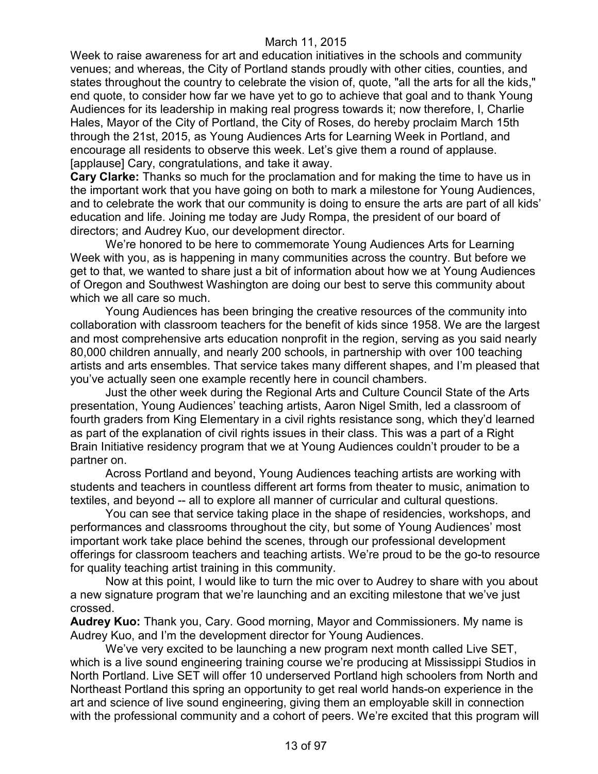Week to raise awareness for art and education initiatives in the schools and community venues; and whereas, the City of Portland stands proudly with other cities, counties, and states throughout the country to celebrate the vision of, quote, "all the arts for all the kids," end quote, to consider how far we have yet to go to achieve that goal and to thank Young Audiences for its leadership in making real progress towards it; now therefore, I, Charlie Hales, Mayor of the City of Portland, the City of Roses, do hereby proclaim March 15th through the 21st, 2015, as Young Audiences Arts for Learning Week in Portland, and encourage all residents to observe this week. Let's give them a round of applause. [applause] Cary, congratulations, and take it away.

**Cary Clarke:** Thanks so much for the proclamation and for making the time to have us in the important work that you have going on both to mark a milestone for Young Audiences, and to celebrate the work that our community is doing to ensure the arts are part of all kids' education and life. Joining me today are Judy Rompa, the president of our board of directors; and Audrey Kuo, our development director.

We're honored to be here to commemorate Young Audiences Arts for Learning Week with you, as is happening in many communities across the country. But before we get to that, we wanted to share just a bit of information about how we at Young Audiences of Oregon and Southwest Washington are doing our best to serve this community about which we all care so much.

Young Audiences has been bringing the creative resources of the community into collaboration with classroom teachers for the benefit of kids since 1958. We are the largest and most comprehensive arts education nonprofit in the region, serving as you said nearly 80,000 children annually, and nearly 200 schools, in partnership with over 100 teaching artists and arts ensembles. That service takes many different shapes, and I'm pleased that you've actually seen one example recently here in council chambers.

Just the other week during the Regional Arts and Culture Council State of the Arts presentation, Young Audiences' teaching artists, Aaron Nigel Smith, led a classroom of fourth graders from King Elementary in a civil rights resistance song, which they'd learned as part of the explanation of civil rights issues in their class. This was a part of a Right Brain Initiative residency program that we at Young Audiences couldn't prouder to be a partner on.

Across Portland and beyond, Young Audiences teaching artists are working with students and teachers in countless different art forms from theater to music, animation to textiles, and beyond -- all to explore all manner of curricular and cultural questions.

You can see that service taking place in the shape of residencies, workshops, and performances and classrooms throughout the city, but some of Young Audiences' most important work take place behind the scenes, through our professional development offerings for classroom teachers and teaching artists. We're proud to be the go-to resource for quality teaching artist training in this community.

Now at this point, I would like to turn the mic over to Audrey to share with you about a new signature program that we're launching and an exciting milestone that we've just crossed.

**Audrey Kuo:** Thank you, Cary. Good morning, Mayor and Commissioners. My name is Audrey Kuo, and I'm the development director for Young Audiences.

We've very excited to be launching a new program next month called Live SET, which is a live sound engineering training course we're producing at Mississippi Studios in North Portland. Live SET will offer 10 underserved Portland high schoolers from North and Northeast Portland this spring an opportunity to get real world hands-on experience in the art and science of live sound engineering, giving them an employable skill in connection with the professional community and a cohort of peers. We're excited that this program will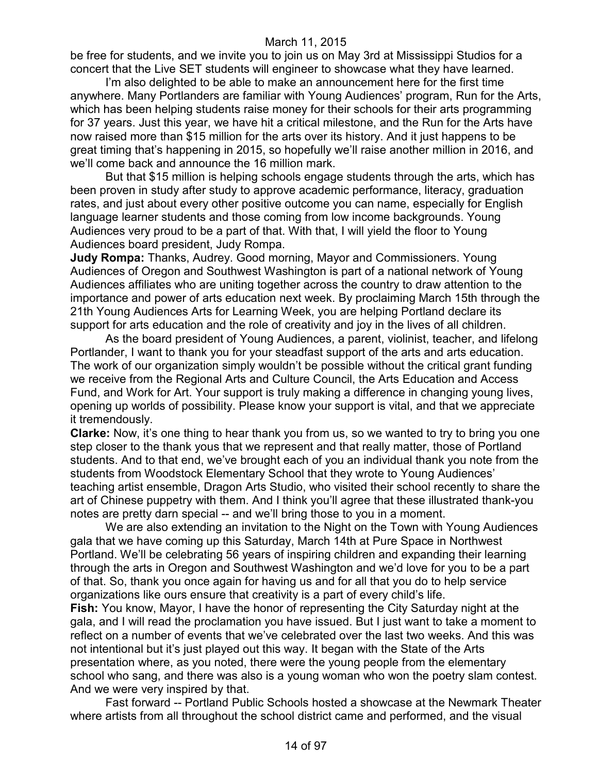be free for students, and we invite you to join us on May 3rd at Mississippi Studios for a concert that the Live SET students will engineer to showcase what they have learned.

I'm also delighted to be able to make an announcement here for the first time anywhere. Many Portlanders are familiar with Young Audiences' program, Run for the Arts, which has been helping students raise money for their schools for their arts programming for 37 years. Just this year, we have hit a critical milestone, and the Run for the Arts have now raised more than \$15 million for the arts over its history. And it just happens to be great timing that's happening in 2015, so hopefully we'll raise another million in 2016, and we'll come back and announce the 16 million mark.

But that \$15 million is helping schools engage students through the arts, which has been proven in study after study to approve academic performance, literacy, graduation rates, and just about every other positive outcome you can name, especially for English language learner students and those coming from low income backgrounds. Young Audiences very proud to be a part of that. With that, I will yield the floor to Young Audiences board president, Judy Rompa.

**Judy Rompa:** Thanks, Audrey. Good morning, Mayor and Commissioners. Young Audiences of Oregon and Southwest Washington is part of a national network of Young Audiences affiliates who are uniting together across the country to draw attention to the importance and power of arts education next week. By proclaiming March 15th through the 21th Young Audiences Arts for Learning Week, you are helping Portland declare its support for arts education and the role of creativity and joy in the lives of all children.

As the board president of Young Audiences, a parent, violinist, teacher, and lifelong Portlander, I want to thank you for your steadfast support of the arts and arts education. The work of our organization simply wouldn't be possible without the critical grant funding we receive from the Regional Arts and Culture Council, the Arts Education and Access Fund, and Work for Art. Your support is truly making a difference in changing young lives, opening up worlds of possibility. Please know your support is vital, and that we appreciate it tremendously.

**Clarke:** Now, it's one thing to hear thank you from us, so we wanted to try to bring you one step closer to the thank yous that we represent and that really matter, those of Portland students. And to that end, we've brought each of you an individual thank you note from the students from Woodstock Elementary School that they wrote to Young Audiences' teaching artist ensemble, Dragon Arts Studio, who visited their school recently to share the art of Chinese puppetry with them. And I think you'll agree that these illustrated thank-you notes are pretty darn special -- and we'll bring those to you in a moment.

We are also extending an invitation to the Night on the Town with Young Audiences gala that we have coming up this Saturday, March 14th at Pure Space in Northwest Portland. We'll be celebrating 56 years of inspiring children and expanding their learning through the arts in Oregon and Southwest Washington and we'd love for you to be a part of that. So, thank you once again for having us and for all that you do to help service organizations like ours ensure that creativity is a part of every child's life.

**Fish:** You know, Mayor, I have the honor of representing the City Saturday night at the gala, and I will read the proclamation you have issued. But I just want to take a moment to reflect on a number of events that we've celebrated over the last two weeks. And this was not intentional but it's just played out this way. It began with the State of the Arts presentation where, as you noted, there were the young people from the elementary school who sang, and there was also is a young woman who won the poetry slam contest. And we were very inspired by that.

Fast forward -- Portland Public Schools hosted a showcase at the Newmark Theater where artists from all throughout the school district came and performed, and the visual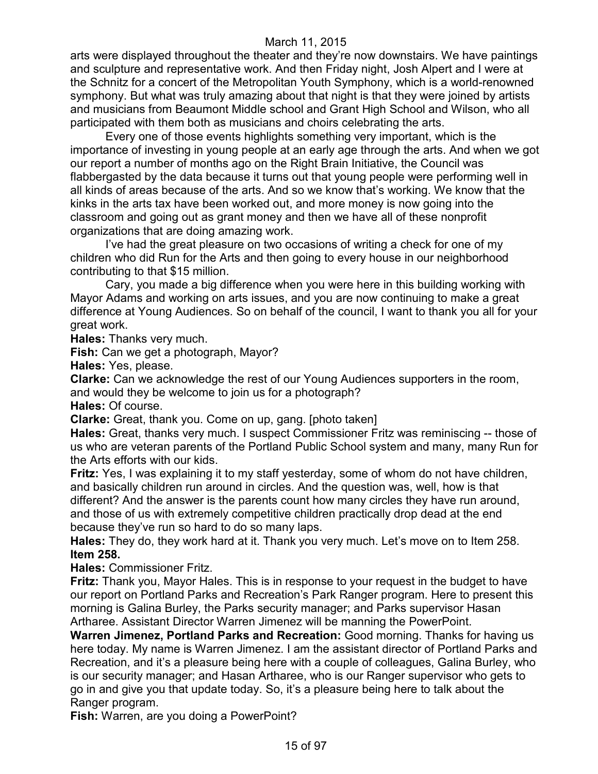arts were displayed throughout the theater and they're now downstairs. We have paintings and sculpture and representative work. And then Friday night, Josh Alpert and I were at the Schnitz for a concert of the Metropolitan Youth Symphony, which is a world-renowned symphony. But what was truly amazing about that night is that they were joined by artists and musicians from Beaumont Middle school and Grant High School and Wilson, who all participated with them both as musicians and choirs celebrating the arts.

Every one of those events highlights something very important, which is the importance of investing in young people at an early age through the arts. And when we got our report a number of months ago on the Right Brain Initiative, the Council was flabbergasted by the data because it turns out that young people were performing well in all kinds of areas because of the arts. And so we know that's working. We know that the kinks in the arts tax have been worked out, and more money is now going into the classroom and going out as grant money and then we have all of these nonprofit organizations that are doing amazing work.

I've had the great pleasure on two occasions of writing a check for one of my children who did Run for the Arts and then going to every house in our neighborhood contributing to that \$15 million.

Cary, you made a big difference when you were here in this building working with Mayor Adams and working on arts issues, and you are now continuing to make a great difference at Young Audiences. So on behalf of the council, I want to thank you all for your great work.

**Hales:** Thanks very much.

**Fish:** Can we get a photograph, Mayor?

**Hales:** Yes, please.

**Clarke:** Can we acknowledge the rest of our Young Audiences supporters in the room, and would they be welcome to join us for a photograph?

**Hales:** Of course.

**Clarke:** Great, thank you. Come on up, gang. [photo taken]

**Hales:** Great, thanks very much. I suspect Commissioner Fritz was reminiscing -- those of us who are veteran parents of the Portland Public School system and many, many Run for the Arts efforts with our kids.

**Fritz:** Yes, I was explaining it to my staff yesterday, some of whom do not have children, and basically children run around in circles. And the question was, well, how is that different? And the answer is the parents count how many circles they have run around, and those of us with extremely competitive children practically drop dead at the end because they've run so hard to do so many laps.

**Hales:** They do, they work hard at it. Thank you very much. Let's move on to Item 258. **Item 258.**

**Hales:** Commissioner Fritz.

**Fritz:** Thank you, Mayor Hales. This is in response to your request in the budget to have our report on Portland Parks and Recreation's Park Ranger program. Here to present this morning is Galina Burley, the Parks security manager; and Parks supervisor Hasan Artharee. Assistant Director Warren Jimenez will be manning the PowerPoint.

**Warren Jimenez, Portland Parks and Recreation:** Good morning. Thanks for having us here today. My name is Warren Jimenez. I am the assistant director of Portland Parks and Recreation, and it's a pleasure being here with a couple of colleagues, Galina Burley, who is our security manager; and Hasan Artharee, who is our Ranger supervisor who gets to go in and give you that update today. So, it's a pleasure being here to talk about the Ranger program.

**Fish:** Warren, are you doing a PowerPoint?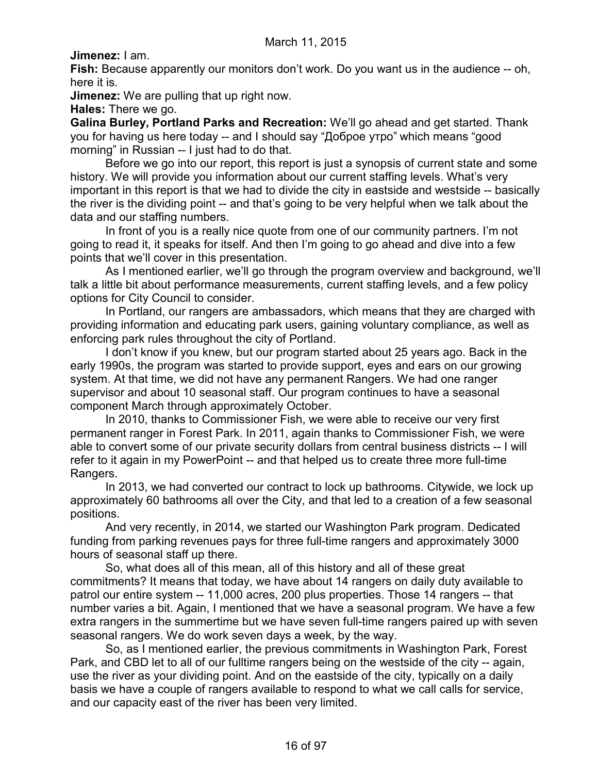**Jimenez:** I am.

**Fish:** Because apparently our monitors don't work. Do you want us in the audience -- oh, here it is.

**Jimenez:** We are pulling that up right now.

**Hales:** There we go.

**Galina Burley, Portland Parks and Recreation:** We'll go ahead and get started. Thank you for having us here today -- and I should say "Доброе утро" which means "good morning" in Russian -- I just had to do that.

Before we go into our report, this report is just a synopsis of current state and some history. We will provide you information about our current staffing levels. What's very important in this report is that we had to divide the city in eastside and westside -- basically the river is the dividing point -- and that's going to be very helpful when we talk about the data and our staffing numbers.

In front of you is a really nice quote from one of our community partners. I'm not going to read it, it speaks for itself. And then I'm going to go ahead and dive into a few points that we'll cover in this presentation.

As I mentioned earlier, we'll go through the program overview and background, we'll talk a little bit about performance measurements, current staffing levels, and a few policy options for City Council to consider.

In Portland, our rangers are ambassadors, which means that they are charged with providing information and educating park users, gaining voluntary compliance, as well as enforcing park rules throughout the city of Portland.

I don't know if you knew, but our program started about 25 years ago. Back in the early 1990s, the program was started to provide support, eyes and ears on our growing system. At that time, we did not have any permanent Rangers. We had one ranger supervisor and about 10 seasonal staff. Our program continues to have a seasonal component March through approximately October.

In 2010, thanks to Commissioner Fish, we were able to receive our very first permanent ranger in Forest Park. In 2011, again thanks to Commissioner Fish, we were able to convert some of our private security dollars from central business districts -- I will refer to it again in my PowerPoint -- and that helped us to create three more full-time Rangers.

In 2013, we had converted our contract to lock up bathrooms. Citywide, we lock up approximately 60 bathrooms all over the City, and that led to a creation of a few seasonal positions.

And very recently, in 2014, we started our Washington Park program. Dedicated funding from parking revenues pays for three full-time rangers and approximately 3000 hours of seasonal staff up there.

So, what does all of this mean, all of this history and all of these great commitments? It means that today, we have about 14 rangers on daily duty available to patrol our entire system -- 11,000 acres, 200 plus properties. Those 14 rangers -- that number varies a bit. Again, I mentioned that we have a seasonal program. We have a few extra rangers in the summertime but we have seven full-time rangers paired up with seven seasonal rangers. We do work seven days a week, by the way.

So, as I mentioned earlier, the previous commitments in Washington Park, Forest Park, and CBD let to all of our fulltime rangers being on the westside of the city -- again, use the river as your dividing point. And on the eastside of the city, typically on a daily basis we have a couple of rangers available to respond to what we call calls for service, and our capacity east of the river has been very limited.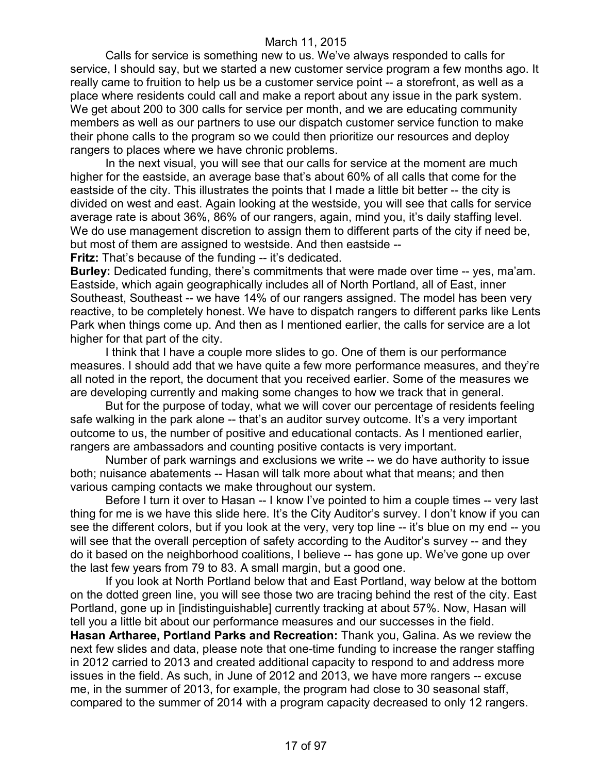Calls for service is something new to us. We've always responded to calls for service, I should say, but we started a new customer service program a few months ago. It really came to fruition to help us be a customer service point -- a storefront, as well as a place where residents could call and make a report about any issue in the park system. We get about 200 to 300 calls for service per month, and we are educating community members as well as our partners to use our dispatch customer service function to make their phone calls to the program so we could then prioritize our resources and deploy rangers to places where we have chronic problems.

In the next visual, you will see that our calls for service at the moment are much higher for the eastside, an average base that's about 60% of all calls that come for the eastside of the city. This illustrates the points that I made a little bit better -- the city is divided on west and east. Again looking at the westside, you will see that calls for service average rate is about 36%, 86% of our rangers, again, mind you, it's daily staffing level. We do use management discretion to assign them to different parts of the city if need be, but most of them are assigned to westside. And then eastside --

**Fritz:** That's because of the funding -- it's dedicated.

**Burley:** Dedicated funding, there's commitments that were made over time -- yes, ma'am. Eastside, which again geographically includes all of North Portland, all of East, inner Southeast, Southeast -- we have 14% of our rangers assigned. The model has been very reactive, to be completely honest. We have to dispatch rangers to different parks like Lents Park when things come up. And then as I mentioned earlier, the calls for service are a lot higher for that part of the city.

I think that I have a couple more slides to go. One of them is our performance measures. I should add that we have quite a few more performance measures, and they're all noted in the report, the document that you received earlier. Some of the measures we are developing currently and making some changes to how we track that in general.

But for the purpose of today, what we will cover our percentage of residents feeling safe walking in the park alone -- that's an auditor survey outcome. It's a very important outcome to us, the number of positive and educational contacts. As I mentioned earlier, rangers are ambassadors and counting positive contacts is very important.

Number of park warnings and exclusions we write -- we do have authority to issue both; nuisance abatements -- Hasan will talk more about what that means; and then various camping contacts we make throughout our system.

Before I turn it over to Hasan -- I know I've pointed to him a couple times -- very last thing for me is we have this slide here. It's the City Auditor's survey. I don't know if you can see the different colors, but if you look at the very, very top line -- it's blue on my end -- you will see that the overall perception of safety according to the Auditor's survey -- and they do it based on the neighborhood coalitions, I believe -- has gone up. We've gone up over the last few years from 79 to 83. A small margin, but a good one.

If you look at North Portland below that and East Portland, way below at the bottom on the dotted green line, you will see those two are tracing behind the rest of the city. East Portland, gone up in [indistinguishable] currently tracking at about 57%. Now, Hasan will tell you a little bit about our performance measures and our successes in the field.

**Hasan Artharee, Portland Parks and Recreation:** Thank you, Galina. As we review the next few slides and data, please note that one-time funding to increase the ranger staffing in 2012 carried to 2013 and created additional capacity to respond to and address more issues in the field. As such, in June of 2012 and 2013, we have more rangers -- excuse me, in the summer of 2013, for example, the program had close to 30 seasonal staff, compared to the summer of 2014 with a program capacity decreased to only 12 rangers.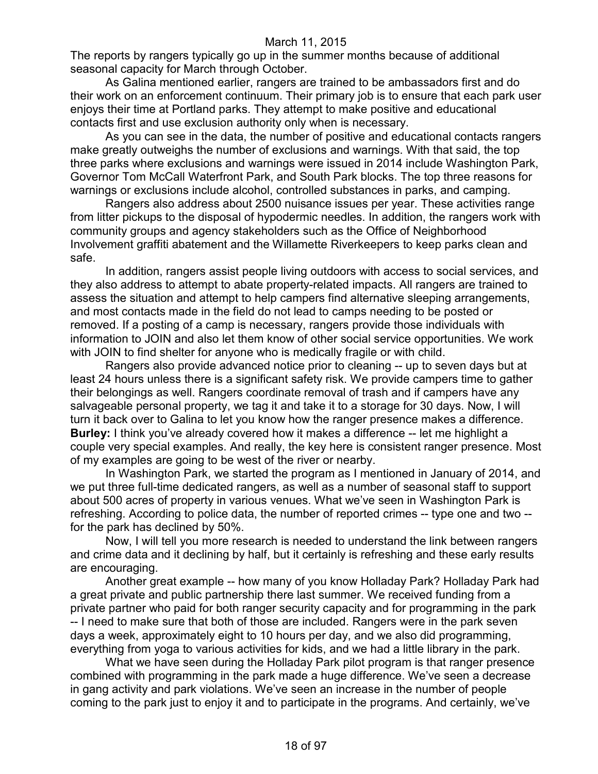The reports by rangers typically go up in the summer months because of additional seasonal capacity for March through October.

As Galina mentioned earlier, rangers are trained to be ambassadors first and do their work on an enforcement continuum. Their primary job is to ensure that each park user enjoys their time at Portland parks. They attempt to make positive and educational contacts first and use exclusion authority only when is necessary.

As you can see in the data, the number of positive and educational contacts rangers make greatly outweighs the number of exclusions and warnings. With that said, the top three parks where exclusions and warnings were issued in 2014 include Washington Park, Governor Tom McCall Waterfront Park, and South Park blocks. The top three reasons for warnings or exclusions include alcohol, controlled substances in parks, and camping.

Rangers also address about 2500 nuisance issues per year. These activities range from litter pickups to the disposal of hypodermic needles. In addition, the rangers work with community groups and agency stakeholders such as the Office of Neighborhood Involvement graffiti abatement and the Willamette Riverkeepers to keep parks clean and safe.

In addition, rangers assist people living outdoors with access to social services, and they also address to attempt to abate property-related impacts. All rangers are trained to assess the situation and attempt to help campers find alternative sleeping arrangements, and most contacts made in the field do not lead to camps needing to be posted or removed. If a posting of a camp is necessary, rangers provide those individuals with information to JOIN and also let them know of other social service opportunities. We work with JOIN to find shelter for anyone who is medically fragile or with child.

Rangers also provide advanced notice prior to cleaning -- up to seven days but at least 24 hours unless there is a significant safety risk. We provide campers time to gather their belongings as well. Rangers coordinate removal of trash and if campers have any salvageable personal property, we tag it and take it to a storage for 30 days. Now, I will turn it back over to Galina to let you know how the ranger presence makes a difference. **Burley:** I think you've already covered how it makes a difference -- let me highlight a couple very special examples. And really, the key here is consistent ranger presence. Most of my examples are going to be west of the river or nearby.

In Washington Park, we started the program as I mentioned in January of 2014, and we put three full-time dedicated rangers, as well as a number of seasonal staff to support about 500 acres of property in various venues. What we've seen in Washington Park is refreshing. According to police data, the number of reported crimes -- type one and two - for the park has declined by 50%.

Now, I will tell you more research is needed to understand the link between rangers and crime data and it declining by half, but it certainly is refreshing and these early results are encouraging.

Another great example -- how many of you know Holladay Park? Holladay Park had a great private and public partnership there last summer. We received funding from a private partner who paid for both ranger security capacity and for programming in the park -- I need to make sure that both of those are included. Rangers were in the park seven days a week, approximately eight to 10 hours per day, and we also did programming, everything from yoga to various activities for kids, and we had a little library in the park.

What we have seen during the Holladay Park pilot program is that ranger presence combined with programming in the park made a huge difference. We've seen a decrease in gang activity and park violations. We've seen an increase in the number of people coming to the park just to enjoy it and to participate in the programs. And certainly, we've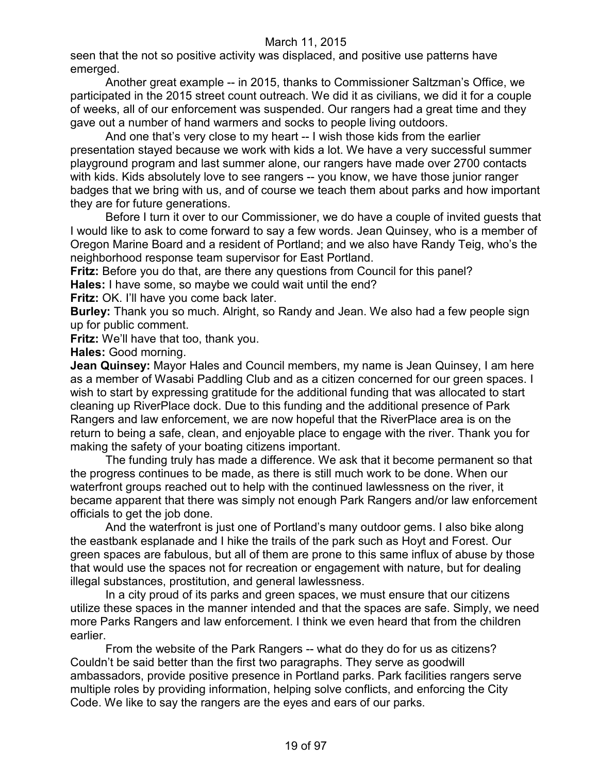seen that the not so positive activity was displaced, and positive use patterns have emerged.

Another great example -- in 2015, thanks to Commissioner Saltzman's Office, we participated in the 2015 street count outreach. We did it as civilians, we did it for a couple of weeks, all of our enforcement was suspended. Our rangers had a great time and they gave out a number of hand warmers and socks to people living outdoors.

And one that's very close to my heart -- I wish those kids from the earlier presentation stayed because we work with kids a lot. We have a very successful summer playground program and last summer alone, our rangers have made over 2700 contacts with kids. Kids absolutely love to see rangers -- you know, we have those junior ranger badges that we bring with us, and of course we teach them about parks and how important they are for future generations.

Before I turn it over to our Commissioner, we do have a couple of invited guests that I would like to ask to come forward to say a few words. Jean Quinsey, who is a member of Oregon Marine Board and a resident of Portland; and we also have Randy Teig, who's the neighborhood response team supervisor for East Portland.

**Fritz:** Before you do that, are there any questions from Council for this panel?

**Hales:** I have some, so maybe we could wait until the end?

**Fritz:** OK. I'll have you come back later.

**Burley:** Thank you so much. Alright, so Randy and Jean. We also had a few people sign up for public comment.

**Fritz:** We'll have that too, thank you.

**Hales:** Good morning.

**Jean Quinsey:** Mayor Hales and Council members, my name is Jean Quinsey, I am here as a member of Wasabi Paddling Club and as a citizen concerned for our green spaces. I wish to start by expressing gratitude for the additional funding that was allocated to start cleaning up RiverPlace dock. Due to this funding and the additional presence of Park Rangers and law enforcement, we are now hopeful that the RiverPlace area is on the return to being a safe, clean, and enjoyable place to engage with the river. Thank you for making the safety of your boating citizens important.

The funding truly has made a difference. We ask that it become permanent so that the progress continues to be made, as there is still much work to be done. When our waterfront groups reached out to help with the continued lawlessness on the river, it became apparent that there was simply not enough Park Rangers and/or law enforcement officials to get the job done.

And the waterfront is just one of Portland's many outdoor gems. I also bike along the eastbank esplanade and I hike the trails of the park such as Hoyt and Forest. Our green spaces are fabulous, but all of them are prone to this same influx of abuse by those that would use the spaces not for recreation or engagement with nature, but for dealing illegal substances, prostitution, and general lawlessness.

In a city proud of its parks and green spaces, we must ensure that our citizens utilize these spaces in the manner intended and that the spaces are safe. Simply, we need more Parks Rangers and law enforcement. I think we even heard that from the children earlier.

From the website of the Park Rangers -- what do they do for us as citizens? Couldn't be said better than the first two paragraphs. They serve as goodwill ambassadors, provide positive presence in Portland parks. Park facilities rangers serve multiple roles by providing information, helping solve conflicts, and enforcing the City Code. We like to say the rangers are the eyes and ears of our parks.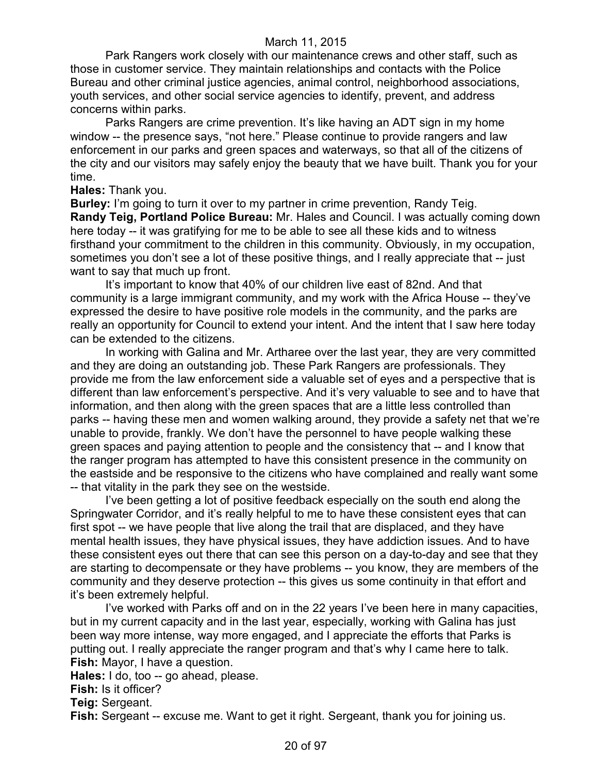Park Rangers work closely with our maintenance crews and other staff, such as those in customer service. They maintain relationships and contacts with the Police Bureau and other criminal justice agencies, animal control, neighborhood associations, youth services, and other social service agencies to identify, prevent, and address concerns within parks.

Parks Rangers are crime prevention. It's like having an ADT sign in my home window -- the presence says, "not here." Please continue to provide rangers and law enforcement in our parks and green spaces and waterways, so that all of the citizens of the city and our visitors may safely enjoy the beauty that we have built. Thank you for your time.

**Hales:** Thank you.

**Burley:** I'm going to turn it over to my partner in crime prevention, Randy Teig. **Randy Teig, Portland Police Bureau:** Mr. Hales and Council. I was actually coming down here today -- it was gratifying for me to be able to see all these kids and to witness firsthand your commitment to the children in this community. Obviously, in my occupation, sometimes you don't see a lot of these positive things, and I really appreciate that -- just want to say that much up front.

It's important to know that 40% of our children live east of 82nd. And that community is a large immigrant community, and my work with the Africa House -- they've expressed the desire to have positive role models in the community, and the parks are really an opportunity for Council to extend your intent. And the intent that I saw here today can be extended to the citizens.

In working with Galina and Mr. Artharee over the last year, they are very committed and they are doing an outstanding job. These Park Rangers are professionals. They provide me from the law enforcement side a valuable set of eyes and a perspective that is different than law enforcement's perspective. And it's very valuable to see and to have that information, and then along with the green spaces that are a little less controlled than parks -- having these men and women walking around, they provide a safety net that we're unable to provide, frankly. We don't have the personnel to have people walking these green spaces and paying attention to people and the consistency that -- and I know that the ranger program has attempted to have this consistent presence in the community on the eastside and be responsive to the citizens who have complained and really want some -- that vitality in the park they see on the westside.

I've been getting a lot of positive feedback especially on the south end along the Springwater Corridor, and it's really helpful to me to have these consistent eyes that can first spot -- we have people that live along the trail that are displaced, and they have mental health issues, they have physical issues, they have addiction issues. And to have these consistent eyes out there that can see this person on a day-to-day and see that they are starting to decompensate or they have problems -- you know, they are members of the community and they deserve protection -- this gives us some continuity in that effort and it's been extremely helpful.

I've worked with Parks off and on in the 22 years I've been here in many capacities, but in my current capacity and in the last year, especially, working with Galina has just been way more intense, way more engaged, and I appreciate the efforts that Parks is putting out. I really appreciate the ranger program and that's why I came here to talk. **Fish:** Mayor, I have a question.

**Hales:** I do, too -- go ahead, please.

**Fish:** Is it officer?

**Teig:** Sergeant.

**Fish:** Sergeant -- excuse me. Want to get it right. Sergeant, thank you for joining us.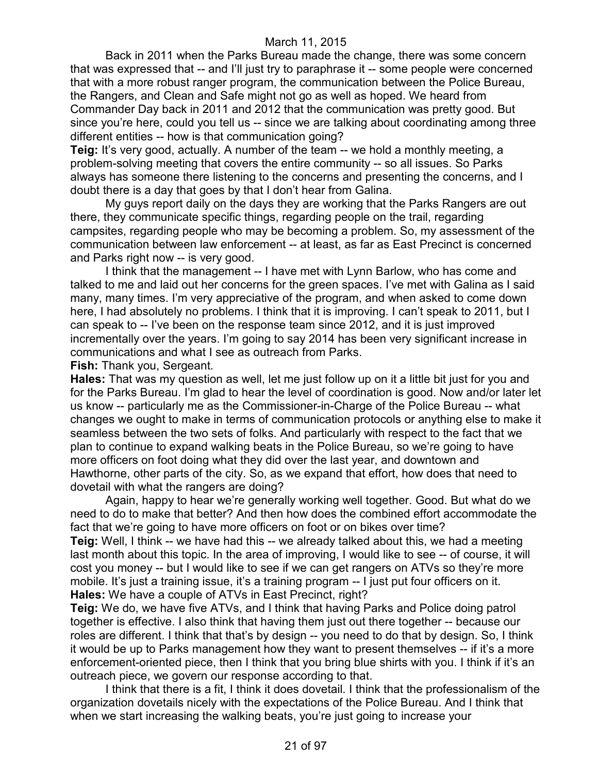Back in 2011 when the Parks Bureau made the change, there was some concern that was expressed that -- and I'll just try to paraphrase it -- some people were concerned that with a more robust ranger program, the communication between the Police Bureau, the Rangers, and Clean and Safe might not go as well as hoped. We heard from Commander Day back in 2011 and 2012 that the communication was pretty good. But since you're here, could you tell us -- since we are talking about coordinating among three different entities -- how is that communication going?

**Teig:** It's very good, actually. A number of the team -- we hold a monthly meeting, a problem-solving meeting that covers the entire community -- so all issues. So Parks always has someone there listening to the concerns and presenting the concerns, and I doubt there is a day that goes by that I don't hear from Galina.

My guys report daily on the days they are working that the Parks Rangers are out there, they communicate specific things, regarding people on the trail, regarding campsites, regarding people who may be becoming a problem. So, my assessment of the communication between law enforcement -- at least, as far as East Precinct is concerned and Parks right now -- is very good.

I think that the management -- I have met with Lynn Barlow, who has come and talked to me and laid out her concerns for the green spaces. I've met with Galina as I said many, many times. I'm very appreciative of the program, and when asked to come down here, I had absolutely no problems. I think that it is improving. I can't speak to 2011, but I can speak to -- I've been on the response team since 2012, and it is just improved incrementally over the years. I'm going to say 2014 has been very significant increase in communications and what I see as outreach from Parks.

**Fish:** Thank you, Sergeant.

**Hales:** That was my question as well, let me just follow up on it a little bit just for you and for the Parks Bureau. I'm glad to hear the level of coordination is good. Now and/or later let us know -- particularly me as the Commissioner-in-Charge of the Police Bureau -- what changes we ought to make in terms of communication protocols or anything else to make it seamless between the two sets of folks. And particularly with respect to the fact that we plan to continue to expand walking beats in the Police Bureau, so we're going to have more officers on foot doing what they did over the last year, and downtown and Hawthorne, other parts of the city. So, as we expand that effort, how does that need to dovetail with what the rangers are doing?

Again, happy to hear we're generally working well together. Good. But what do we need to do to make that better? And then how does the combined effort accommodate the fact that we're going to have more officers on foot or on bikes over time?

**Teig:** Well, I think -- we have had this -- we already talked about this, we had a meeting last month about this topic. In the area of improving, I would like to see -- of course, it will cost you money -- but I would like to see if we can get rangers on ATVs so they're more mobile. It's just a training issue, it's a training program -- I just put four officers on it. **Hales:** We have a couple of ATVs in East Precinct, right?

**Teig:** We do, we have five ATVs, and I think that having Parks and Police doing patrol together is effective. I also think that having them just out there together -- because our roles are different. I think that that's by design -- you need to do that by design. So, I think it would be up to Parks management how they want to present themselves -- if it's a more enforcement-oriented piece, then I think that you bring blue shirts with you. I think if it's an outreach piece, we govern our response according to that.

I think that there is a fit, I think it does dovetail. I think that the professionalism of the organization dovetails nicely with the expectations of the Police Bureau. And I think that when we start increasing the walking beats, you're just going to increase your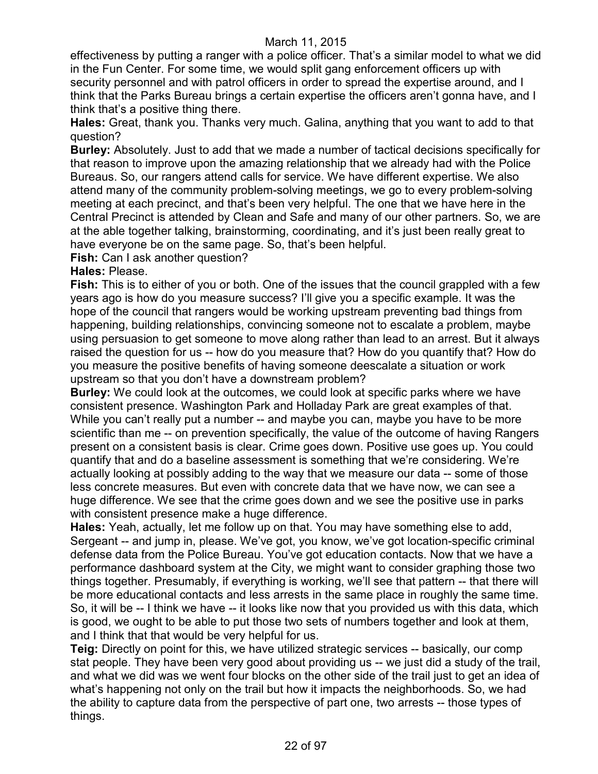effectiveness by putting a ranger with a police officer. That's a similar model to what we did in the Fun Center. For some time, we would split gang enforcement officers up with security personnel and with patrol officers in order to spread the expertise around, and I think that the Parks Bureau brings a certain expertise the officers aren't gonna have, and I think that's a positive thing there.

**Hales:** Great, thank you. Thanks very much. Galina, anything that you want to add to that question?

**Burley:** Absolutely. Just to add that we made a number of tactical decisions specifically for that reason to improve upon the amazing relationship that we already had with the Police Bureaus. So, our rangers attend calls for service. We have different expertise. We also attend many of the community problem-solving meetings, we go to every problem-solving meeting at each precinct, and that's been very helpful. The one that we have here in the Central Precinct is attended by Clean and Safe and many of our other partners. So, we are at the able together talking, brainstorming, coordinating, and it's just been really great to have everyone be on the same page. So, that's been helpful.

**Fish:** Can I ask another question?

# **Hales:** Please.

**Fish:** This is to either of you or both. One of the issues that the council grappled with a few years ago is how do you measure success? I'll give you a specific example. It was the hope of the council that rangers would be working upstream preventing bad things from happening, building relationships, convincing someone not to escalate a problem, maybe using persuasion to get someone to move along rather than lead to an arrest. But it always raised the question for us -- how do you measure that? How do you quantify that? How do you measure the positive benefits of having someone deescalate a situation or work upstream so that you don't have a downstream problem?

**Burley:** We could look at the outcomes, we could look at specific parks where we have consistent presence. Washington Park and Holladay Park are great examples of that. While you can't really put a number -- and maybe you can, maybe you have to be more scientific than me -- on prevention specifically, the value of the outcome of having Rangers present on a consistent basis is clear. Crime goes down. Positive use goes up. You could quantify that and do a baseline assessment is something that we're considering. We're actually looking at possibly adding to the way that we measure our data -- some of those less concrete measures. But even with concrete data that we have now, we can see a huge difference. We see that the crime goes down and we see the positive use in parks with consistent presence make a huge difference.

**Hales:** Yeah, actually, let me follow up on that. You may have something else to add, Sergeant -- and jump in, please. We've got, you know, we've got location-specific criminal defense data from the Police Bureau. You've got education contacts. Now that we have a performance dashboard system at the City, we might want to consider graphing those two things together. Presumably, if everything is working, we'll see that pattern -- that there will be more educational contacts and less arrests in the same place in roughly the same time. So, it will be -- I think we have -- it looks like now that you provided us with this data, which is good, we ought to be able to put those two sets of numbers together and look at them, and I think that that would be very helpful for us.

**Teig:** Directly on point for this, we have utilized strategic services -- basically, our comp stat people. They have been very good about providing us -- we just did a study of the trail, and what we did was we went four blocks on the other side of the trail just to get an idea of what's happening not only on the trail but how it impacts the neighborhoods. So, we had the ability to capture data from the perspective of part one, two arrests -- those types of things.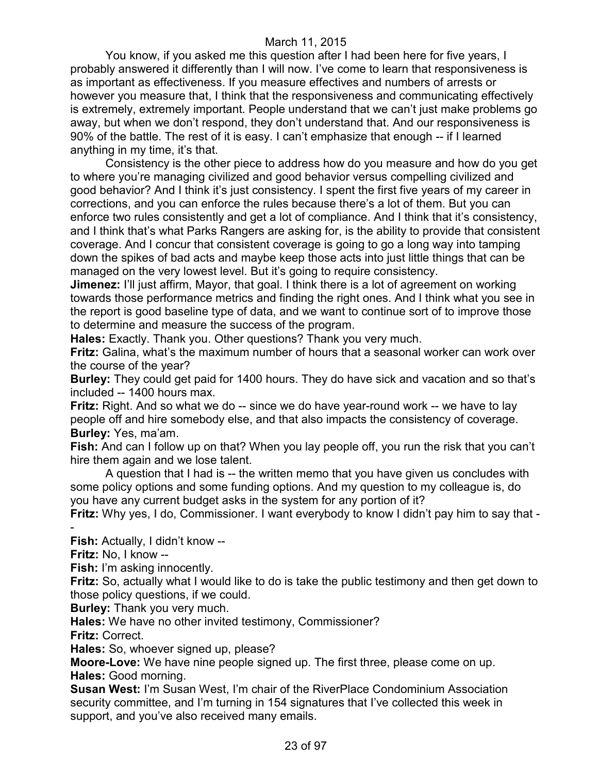You know, if you asked me this question after I had been here for five years, I probably answered it differently than I will now. I've come to learn that responsiveness is as important as effectiveness. If you measure effectives and numbers of arrests or however you measure that, I think that the responsiveness and communicating effectively is extremely, extremely important. People understand that we can't just make problems go away, but when we don't respond, they don't understand that. And our responsiveness is 90% of the battle. The rest of it is easy. I can't emphasize that enough -- if I learned anything in my time, it's that.

Consistency is the other piece to address how do you measure and how do you get to where you're managing civilized and good behavior versus compelling civilized and good behavior? And I think it's just consistency. I spent the first five years of my career in corrections, and you can enforce the rules because there's a lot of them. But you can enforce two rules consistently and get a lot of compliance. And I think that it's consistency, and I think that's what Parks Rangers are asking for, is the ability to provide that consistent coverage. And I concur that consistent coverage is going to go a long way into tamping down the spikes of bad acts and maybe keep those acts into just little things that can be managed on the very lowest level. But it's going to require consistency.

**Jimenez:** I'll just affirm, Mayor, that goal. I think there is a lot of agreement on working towards those performance metrics and finding the right ones. And I think what you see in the report is good baseline type of data, and we want to continue sort of to improve those to determine and measure the success of the program.

**Hales:** Exactly. Thank you. Other questions? Thank you very much.

**Fritz:** Galina, what's the maximum number of hours that a seasonal worker can work over the course of the year?

**Burley:** They could get paid for 1400 hours. They do have sick and vacation and so that's included -- 1400 hours max.

**Fritz:** Right. And so what we do -- since we do have year-round work -- we have to lay people off and hire somebody else, and that also impacts the consistency of coverage. **Burley:** Yes, ma'am.

**Fish:** And can I follow up on that? When you lay people off, you run the risk that you can't hire them again and we lose talent.

A question that I had is -- the written memo that you have given us concludes with some policy options and some funding options. And my question to my colleague is, do you have any current budget asks in the system for any portion of it?

**Fritz:** Why yes, I do, Commissioner. I want everybody to know I didn't pay him to say that - -

**Fish:** Actually, I didn't know --

**Fritz:** No, I know --

**Fish:** I'm asking innocently.

**Fritz:** So, actually what I would like to do is take the public testimony and then get down to those policy questions, if we could.

**Burley:** Thank you very much.

**Hales:** We have no other invited testimony, Commissioner?

**Fritz:** Correct.

**Hales:** So, whoever signed up, please?

**Moore-Love:** We have nine people signed up. The first three, please come on up. **Hales:** Good morning.

**Susan West:** I'm Susan West, I'm chair of the RiverPlace Condominium Association security committee, and I'm turning in 154 signatures that I've collected this week in support, and you've also received many emails.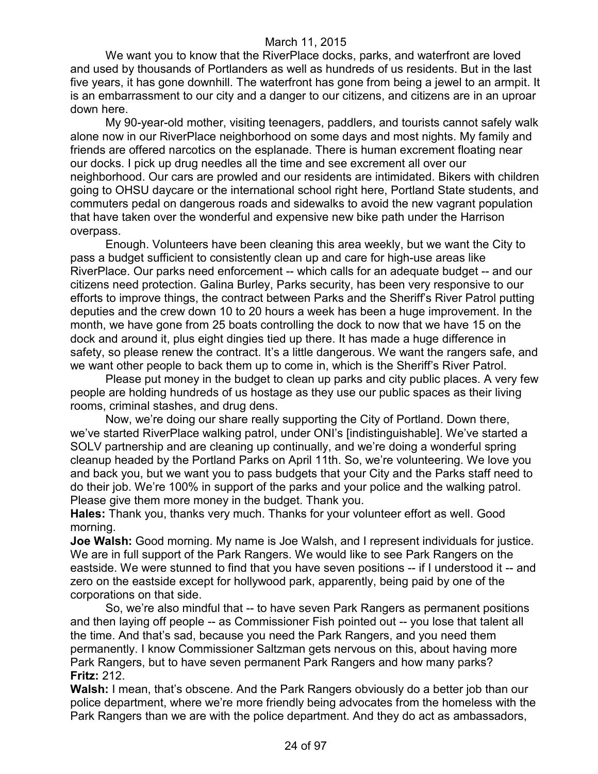We want you to know that the RiverPlace docks, parks, and waterfront are loved and used by thousands of Portlanders as well as hundreds of us residents. But in the last five years, it has gone downhill. The waterfront has gone from being a jewel to an armpit. It is an embarrassment to our city and a danger to our citizens, and citizens are in an uproar down here.

My 90-year-old mother, visiting teenagers, paddlers, and tourists cannot safely walk alone now in our RiverPlace neighborhood on some days and most nights. My family and friends are offered narcotics on the esplanade. There is human excrement floating near our docks. I pick up drug needles all the time and see excrement all over our neighborhood. Our cars are prowled and our residents are intimidated. Bikers with children going to OHSU daycare or the international school right here, Portland State students, and commuters pedal on dangerous roads and sidewalks to avoid the new vagrant population that have taken over the wonderful and expensive new bike path under the Harrison overpass.

Enough. Volunteers have been cleaning this area weekly, but we want the City to pass a budget sufficient to consistently clean up and care for high-use areas like RiverPlace. Our parks need enforcement -- which calls for an adequate budget -- and our citizens need protection. Galina Burley, Parks security, has been very responsive to our efforts to improve things, the contract between Parks and the Sheriff's River Patrol putting deputies and the crew down 10 to 20 hours a week has been a huge improvement. In the month, we have gone from 25 boats controlling the dock to now that we have 15 on the dock and around it, plus eight dingies tied up there. It has made a huge difference in safety, so please renew the contract. It's a little dangerous. We want the rangers safe, and we want other people to back them up to come in, which is the Sheriff's River Patrol.

Please put money in the budget to clean up parks and city public places. A very few people are holding hundreds of us hostage as they use our public spaces as their living rooms, criminal stashes, and drug dens.

Now, we're doing our share really supporting the City of Portland. Down there, we've started RiverPlace walking patrol, under ONI's [indistinguishable]. We've started a SOLV partnership and are cleaning up continually, and we're doing a wonderful spring cleanup headed by the Portland Parks on April 11th. So, we're volunteering. We love you and back you, but we want you to pass budgets that your City and the Parks staff need to do their job. We're 100% in support of the parks and your police and the walking patrol. Please give them more money in the budget. Thank you.

**Hales:** Thank you, thanks very much. Thanks for your volunteer effort as well. Good morning.

**Joe Walsh:** Good morning. My name is Joe Walsh, and I represent individuals for justice. We are in full support of the Park Rangers. We would like to see Park Rangers on the eastside. We were stunned to find that you have seven positions -- if I understood it -- and zero on the eastside except for hollywood park, apparently, being paid by one of the corporations on that side.

So, we're also mindful that -- to have seven Park Rangers as permanent positions and then laying off people -- as Commissioner Fish pointed out -- you lose that talent all the time. And that's sad, because you need the Park Rangers, and you need them permanently. I know Commissioner Saltzman gets nervous on this, about having more Park Rangers, but to have seven permanent Park Rangers and how many parks? **Fritz:** 212.

**Walsh:** I mean, that's obscene. And the Park Rangers obviously do a better job than our police department, where we're more friendly being advocates from the homeless with the Park Rangers than we are with the police department. And they do act as ambassadors,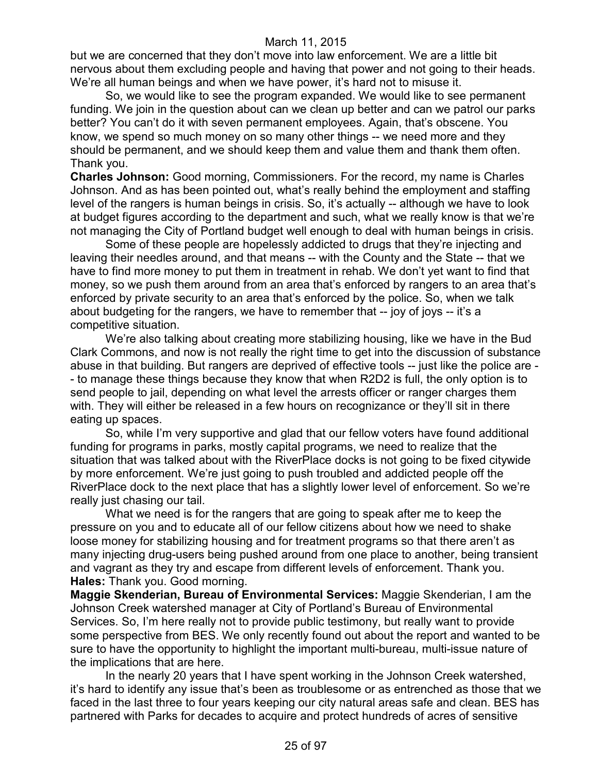but we are concerned that they don't move into law enforcement. We are a little bit nervous about them excluding people and having that power and not going to their heads. We're all human beings and when we have power, it's hard not to misuse it.

So, we would like to see the program expanded. We would like to see permanent funding. We join in the question about can we clean up better and can we patrol our parks better? You can't do it with seven permanent employees. Again, that's obscene. You know, we spend so much money on so many other things -- we need more and they should be permanent, and we should keep them and value them and thank them often. Thank you.

**Charles Johnson:** Good morning, Commissioners. For the record, my name is Charles Johnson. And as has been pointed out, what's really behind the employment and staffing level of the rangers is human beings in crisis. So, it's actually -- although we have to look at budget figures according to the department and such, what we really know is that we're not managing the City of Portland budget well enough to deal with human beings in crisis.

Some of these people are hopelessly addicted to drugs that they're injecting and leaving their needles around, and that means -- with the County and the State -- that we have to find more money to put them in treatment in rehab. We don't yet want to find that money, so we push them around from an area that's enforced by rangers to an area that's enforced by private security to an area that's enforced by the police. So, when we talk about budgeting for the rangers, we have to remember that -- joy of joys -- it's a competitive situation.

We're also talking about creating more stabilizing housing, like we have in the Bud Clark Commons, and now is not really the right time to get into the discussion of substance abuse in that building. But rangers are deprived of effective tools -- just like the police are - - to manage these things because they know that when R2D2 is full, the only option is to send people to jail, depending on what level the arrests officer or ranger charges them with. They will either be released in a few hours on recognizance or they'll sit in there eating up spaces.

So, while I'm very supportive and glad that our fellow voters have found additional funding for programs in parks, mostly capital programs, we need to realize that the situation that was talked about with the RiverPlace docks is not going to be fixed citywide by more enforcement. We're just going to push troubled and addicted people off the RiverPlace dock to the next place that has a slightly lower level of enforcement. So we're really just chasing our tail.

What we need is for the rangers that are going to speak after me to keep the pressure on you and to educate all of our fellow citizens about how we need to shake loose money for stabilizing housing and for treatment programs so that there aren't as many injecting drug-users being pushed around from one place to another, being transient and vagrant as they try and escape from different levels of enforcement. Thank you. **Hales:** Thank you. Good morning.

**Maggie Skenderian, Bureau of Environmental Services:** Maggie Skenderian, I am the Johnson Creek watershed manager at City of Portland's Bureau of Environmental Services. So, I'm here really not to provide public testimony, but really want to provide some perspective from BES. We only recently found out about the report and wanted to be sure to have the opportunity to highlight the important multi-bureau, multi-issue nature of the implications that are here.

In the nearly 20 years that I have spent working in the Johnson Creek watershed, it's hard to identify any issue that's been as troublesome or as entrenched as those that we faced in the last three to four years keeping our city natural areas safe and clean. BES has partnered with Parks for decades to acquire and protect hundreds of acres of sensitive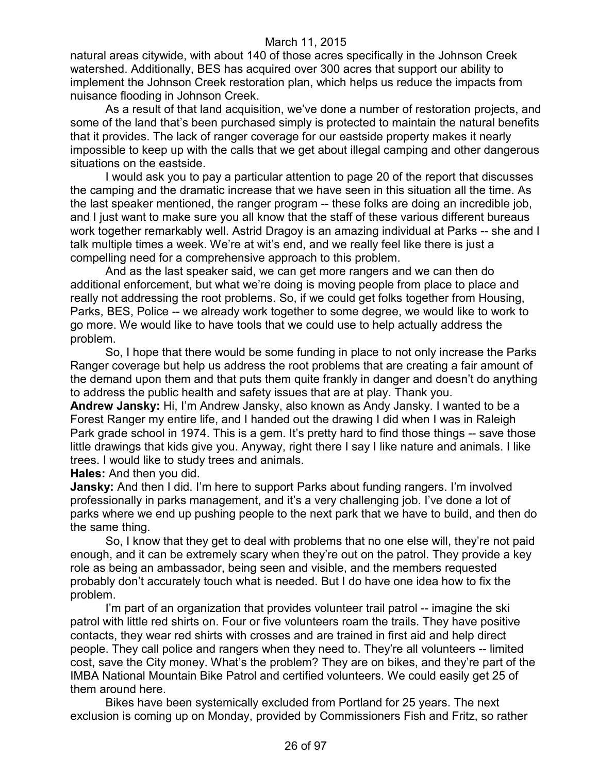natural areas citywide, with about 140 of those acres specifically in the Johnson Creek watershed. Additionally, BES has acquired over 300 acres that support our ability to implement the Johnson Creek restoration plan, which helps us reduce the impacts from nuisance flooding in Johnson Creek.

As a result of that land acquisition, we've done a number of restoration projects, and some of the land that's been purchased simply is protected to maintain the natural benefits that it provides. The lack of ranger coverage for our eastside property makes it nearly impossible to keep up with the calls that we get about illegal camping and other dangerous situations on the eastside.

I would ask you to pay a particular attention to page 20 of the report that discusses the camping and the dramatic increase that we have seen in this situation all the time. As the last speaker mentioned, the ranger program -- these folks are doing an incredible job, and I just want to make sure you all know that the staff of these various different bureaus work together remarkably well. Astrid Dragoy is an amazing individual at Parks -- she and I talk multiple times a week. We're at wit's end, and we really feel like there is just a compelling need for a comprehensive approach to this problem.

And as the last speaker said, we can get more rangers and we can then do additional enforcement, but what we're doing is moving people from place to place and really not addressing the root problems. So, if we could get folks together from Housing, Parks, BES, Police -- we already work together to some degree, we would like to work to go more. We would like to have tools that we could use to help actually address the problem.

So, I hope that there would be some funding in place to not only increase the Parks Ranger coverage but help us address the root problems that are creating a fair amount of the demand upon them and that puts them quite frankly in danger and doesn't do anything to address the public health and safety issues that are at play. Thank you.

**Andrew Jansky:** Hi, I'm Andrew Jansky, also known as Andy Jansky. I wanted to be a Forest Ranger my entire life, and I handed out the drawing I did when I was in Raleigh Park grade school in 1974. This is a gem. It's pretty hard to find those things -- save those little drawings that kids give you. Anyway, right there I say I like nature and animals. I like trees. I would like to study trees and animals.

**Hales:** And then you did.

**Jansky:** And then I did. I'm here to support Parks about funding rangers. I'm involved professionally in parks management, and it's a very challenging job. I've done a lot of parks where we end up pushing people to the next park that we have to build, and then do the same thing.

So, I know that they get to deal with problems that no one else will, they're not paid enough, and it can be extremely scary when they're out on the patrol. They provide a key role as being an ambassador, being seen and visible, and the members requested probably don't accurately touch what is needed. But I do have one idea how to fix the problem.

I'm part of an organization that provides volunteer trail patrol -- imagine the ski patrol with little red shirts on. Four or five volunteers roam the trails. They have positive contacts, they wear red shirts with crosses and are trained in first aid and help direct people. They call police and rangers when they need to. They're all volunteers -- limited cost, save the City money. What's the problem? They are on bikes, and they're part of the IMBA National Mountain Bike Patrol and certified volunteers. We could easily get 25 of them around here.

Bikes have been systemically excluded from Portland for 25 years. The next exclusion is coming up on Monday, provided by Commissioners Fish and Fritz, so rather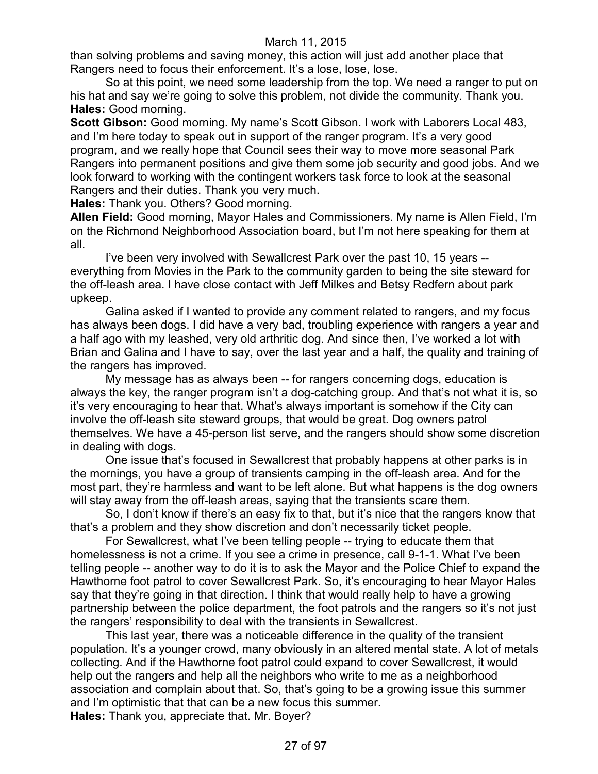than solving problems and saving money, this action will just add another place that Rangers need to focus their enforcement. It's a lose, lose, lose.

So at this point, we need some leadership from the top. We need a ranger to put on his hat and say we're going to solve this problem, not divide the community. Thank you. **Hales:** Good morning.

**Scott Gibson:** Good morning. My name's Scott Gibson. I work with Laborers Local 483, and I'm here today to speak out in support of the ranger program. It's a very good program, and we really hope that Council sees their way to move more seasonal Park Rangers into permanent positions and give them some job security and good jobs. And we look forward to working with the contingent workers task force to look at the seasonal Rangers and their duties. Thank you very much.

**Hales:** Thank you. Others? Good morning.

**Allen Field:** Good morning, Mayor Hales and Commissioners. My name is Allen Field, I'm on the Richmond Neighborhood Association board, but I'm not here speaking for them at all.

I've been very involved with Sewallcrest Park over the past 10, 15 years - everything from Movies in the Park to the community garden to being the site steward for the off-leash area. I have close contact with Jeff Milkes and Betsy Redfern about park upkeep.

Galina asked if I wanted to provide any comment related to rangers, and my focus has always been dogs. I did have a very bad, troubling experience with rangers a year and a half ago with my leashed, very old arthritic dog. And since then, I've worked a lot with Brian and Galina and I have to say, over the last year and a half, the quality and training of the rangers has improved.

My message has as always been -- for rangers concerning dogs, education is always the key, the ranger program isn't a dog-catching group. And that's not what it is, so it's very encouraging to hear that. What's always important is somehow if the City can involve the off-leash site steward groups, that would be great. Dog owners patrol themselves. We have a 45-person list serve, and the rangers should show some discretion in dealing with dogs.

One issue that's focused in Sewallcrest that probably happens at other parks is in the mornings, you have a group of transients camping in the off-leash area. And for the most part, they're harmless and want to be left alone. But what happens is the dog owners will stay away from the off-leash areas, saying that the transients scare them.

So, I don't know if there's an easy fix to that, but it's nice that the rangers know that that's a problem and they show discretion and don't necessarily ticket people.

For Sewallcrest, what I've been telling people -- trying to educate them that homelessness is not a crime. If you see a crime in presence, call 9-1-1. What I've been telling people -- another way to do it is to ask the Mayor and the Police Chief to expand the Hawthorne foot patrol to cover Sewallcrest Park. So, it's encouraging to hear Mayor Hales say that they're going in that direction. I think that would really help to have a growing partnership between the police department, the foot patrols and the rangers so it's not just the rangers' responsibility to deal with the transients in Sewallcrest.

This last year, there was a noticeable difference in the quality of the transient population. It's a younger crowd, many obviously in an altered mental state. A lot of metals collecting. And if the Hawthorne foot patrol could expand to cover Sewallcrest, it would help out the rangers and help all the neighbors who write to me as a neighborhood association and complain about that. So, that's going to be a growing issue this summer and I'm optimistic that that can be a new focus this summer.

**Hales:** Thank you, appreciate that. Mr. Boyer?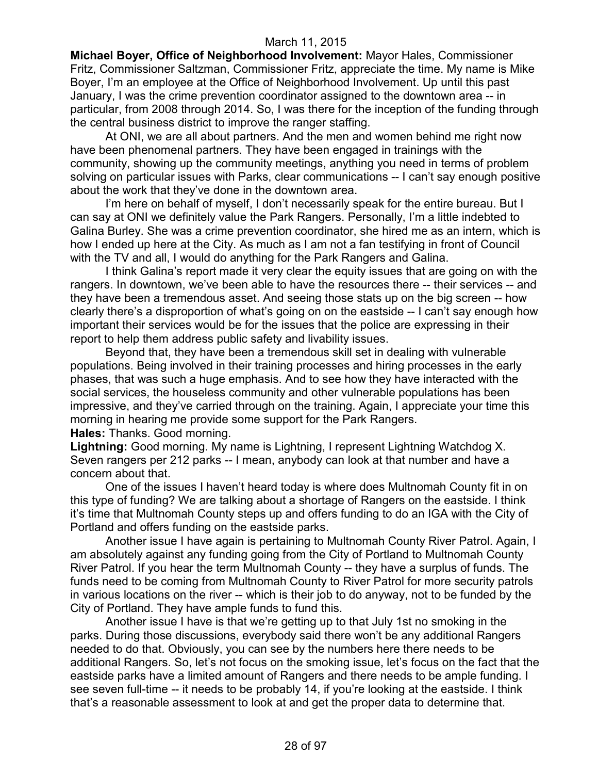**Michael Boyer, Office of Neighborhood Involvement:** Mayor Hales, Commissioner Fritz, Commissioner Saltzman, Commissioner Fritz, appreciate the time. My name is Mike Boyer, I'm an employee at the Office of Neighborhood Involvement. Up until this past January, I was the crime prevention coordinator assigned to the downtown area -- in particular, from 2008 through 2014. So, I was there for the inception of the funding through the central business district to improve the ranger staffing.

At ONI, we are all about partners. And the men and women behind me right now have been phenomenal partners. They have been engaged in trainings with the community, showing up the community meetings, anything you need in terms of problem solving on particular issues with Parks, clear communications -- I can't say enough positive about the work that they've done in the downtown area.

I'm here on behalf of myself, I don't necessarily speak for the entire bureau. But I can say at ONI we definitely value the Park Rangers. Personally, I'm a little indebted to Galina Burley. She was a crime prevention coordinator, she hired me as an intern, which is how I ended up here at the City. As much as I am not a fan testifying in front of Council with the TV and all, I would do anything for the Park Rangers and Galina.

I think Galina's report made it very clear the equity issues that are going on with the rangers. In downtown, we've been able to have the resources there -- their services -- and they have been a tremendous asset. And seeing those stats up on the big screen -- how clearly there's a disproportion of what's going on on the eastside -- I can't say enough how important their services would be for the issues that the police are expressing in their report to help them address public safety and livability issues.

Beyond that, they have been a tremendous skill set in dealing with vulnerable populations. Being involved in their training processes and hiring processes in the early phases, that was such a huge emphasis. And to see how they have interacted with the social services, the houseless community and other vulnerable populations has been impressive, and they've carried through on the training. Again, I appreciate your time this morning in hearing me provide some support for the Park Rangers.

**Hales:** Thanks. Good morning.

**Lightning:** Good morning. My name is Lightning, I represent Lightning Watchdog X. Seven rangers per 212 parks -- I mean, anybody can look at that number and have a concern about that.

One of the issues I haven't heard today is where does Multnomah County fit in on this type of funding? We are talking about a shortage of Rangers on the eastside. I think it's time that Multnomah County steps up and offers funding to do an IGA with the City of Portland and offers funding on the eastside parks.

Another issue I have again is pertaining to Multnomah County River Patrol. Again, I am absolutely against any funding going from the City of Portland to Multnomah County River Patrol. If you hear the term Multnomah County -- they have a surplus of funds. The funds need to be coming from Multnomah County to River Patrol for more security patrols in various locations on the river -- which is their job to do anyway, not to be funded by the City of Portland. They have ample funds to fund this.

Another issue I have is that we're getting up to that July 1st no smoking in the parks. During those discussions, everybody said there won't be any additional Rangers needed to do that. Obviously, you can see by the numbers here there needs to be additional Rangers. So, let's not focus on the smoking issue, let's focus on the fact that the eastside parks have a limited amount of Rangers and there needs to be ample funding. I see seven full-time -- it needs to be probably 14, if you're looking at the eastside. I think that's a reasonable assessment to look at and get the proper data to determine that.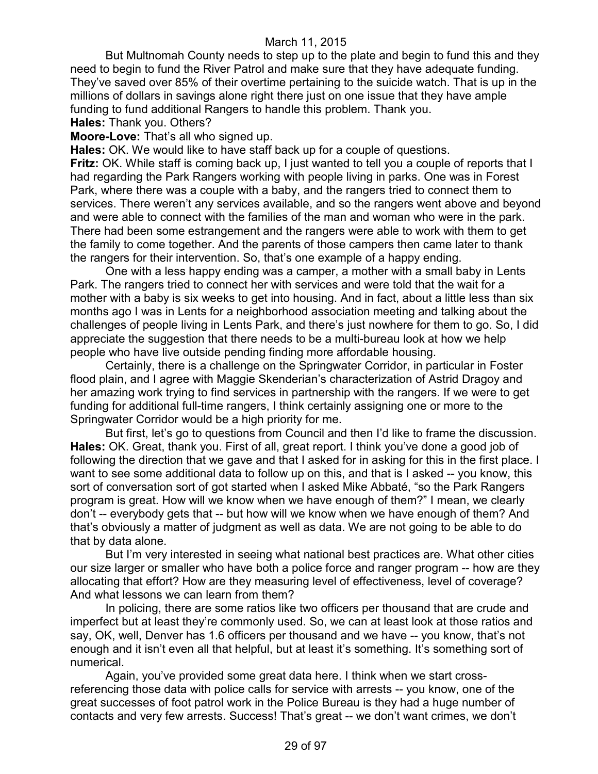But Multnomah County needs to step up to the plate and begin to fund this and they need to begin to fund the River Patrol and make sure that they have adequate funding. They've saved over 85% of their overtime pertaining to the suicide watch. That is up in the millions of dollars in savings alone right there just on one issue that they have ample funding to fund additional Rangers to handle this problem. Thank you.

**Hales:** Thank you. Others?

#### **Moore-Love:** That's all who signed up.

**Hales:** OK. We would like to have staff back up for a couple of questions. **Fritz:** OK. While staff is coming back up, I just wanted to tell you a couple of reports that I had regarding the Park Rangers working with people living in parks. One was in Forest Park, where there was a couple with a baby, and the rangers tried to connect them to services. There weren't any services available, and so the rangers went above and beyond and were able to connect with the families of the man and woman who were in the park. There had been some estrangement and the rangers were able to work with them to get the family to come together. And the parents of those campers then came later to thank the rangers for their intervention. So, that's one example of a happy ending.

One with a less happy ending was a camper, a mother with a small baby in Lents Park. The rangers tried to connect her with services and were told that the wait for a mother with a baby is six weeks to get into housing. And in fact, about a little less than six months ago I was in Lents for a neighborhood association meeting and talking about the challenges of people living in Lents Park, and there's just nowhere for them to go. So, I did appreciate the suggestion that there needs to be a multi-bureau look at how we help people who have live outside pending finding more affordable housing.

Certainly, there is a challenge on the Springwater Corridor, in particular in Foster flood plain, and I agree with Maggie Skenderian's characterization of Astrid Dragoy and her amazing work trying to find services in partnership with the rangers. If we were to get funding for additional full-time rangers, I think certainly assigning one or more to the Springwater Corridor would be a high priority for me.

But first, let's go to questions from Council and then I'd like to frame the discussion. **Hales:** OK. Great, thank you. First of all, great report. I think you've done a good job of following the direction that we gave and that I asked for in asking for this in the first place. I want to see some additional data to follow up on this, and that is I asked -- you know, this sort of conversation sort of got started when I asked Mike Abbaté, "so the Park Rangers program is great. How will we know when we have enough of them?" I mean, we clearly don't -- everybody gets that -- but how will we know when we have enough of them? And that's obviously a matter of judgment as well as data. We are not going to be able to do that by data alone.

But I'm very interested in seeing what national best practices are. What other cities our size larger or smaller who have both a police force and ranger program -- how are they allocating that effort? How are they measuring level of effectiveness, level of coverage? And what lessons we can learn from them?

In policing, there are some ratios like two officers per thousand that are crude and imperfect but at least they're commonly used. So, we can at least look at those ratios and say, OK, well, Denver has 1.6 officers per thousand and we have -- you know, that's not enough and it isn't even all that helpful, but at least it's something. It's something sort of numerical.

Again, you've provided some great data here. I think when we start crossreferencing those data with police calls for service with arrests -- you know, one of the great successes of foot patrol work in the Police Bureau is they had a huge number of contacts and very few arrests. Success! That's great -- we don't want crimes, we don't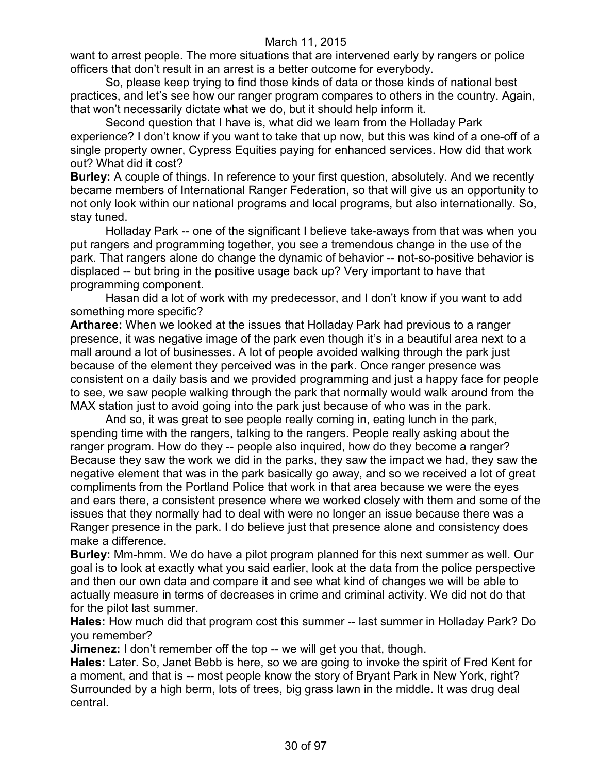want to arrest people. The more situations that are intervened early by rangers or police officers that don't result in an arrest is a better outcome for everybody.

So, please keep trying to find those kinds of data or those kinds of national best practices, and let's see how our ranger program compares to others in the country. Again, that won't necessarily dictate what we do, but it should help inform it.

Second question that I have is, what did we learn from the Holladay Park experience? I don't know if you want to take that up now, but this was kind of a one-off of a single property owner, Cypress Equities paying for enhanced services. How did that work out? What did it cost?

**Burley:** A couple of things. In reference to your first question, absolutely. And we recently became members of International Ranger Federation, so that will give us an opportunity to not only look within our national programs and local programs, but also internationally. So, stay tuned.

Holladay Park -- one of the significant I believe take-aways from that was when you put rangers and programming together, you see a tremendous change in the use of the park. That rangers alone do change the dynamic of behavior -- not-so-positive behavior is displaced -- but bring in the positive usage back up? Very important to have that programming component.

Hasan did a lot of work with my predecessor, and I don't know if you want to add something more specific?

**Artharee:** When we looked at the issues that Holladay Park had previous to a ranger presence, it was negative image of the park even though it's in a beautiful area next to a mall around a lot of businesses. A lot of people avoided walking through the park just because of the element they perceived was in the park. Once ranger presence was consistent on a daily basis and we provided programming and just a happy face for people to see, we saw people walking through the park that normally would walk around from the MAX station just to avoid going into the park just because of who was in the park.

And so, it was great to see people really coming in, eating lunch in the park, spending time with the rangers, talking to the rangers. People really asking about the ranger program. How do they -- people also inquired, how do they become a ranger? Because they saw the work we did in the parks, they saw the impact we had, they saw the negative element that was in the park basically go away, and so we received a lot of great compliments from the Portland Police that work in that area because we were the eyes and ears there, a consistent presence where we worked closely with them and some of the issues that they normally had to deal with were no longer an issue because there was a Ranger presence in the park. I do believe just that presence alone and consistency does make a difference.

**Burley:** Mm-hmm. We do have a pilot program planned for this next summer as well. Our goal is to look at exactly what you said earlier, look at the data from the police perspective and then our own data and compare it and see what kind of changes we will be able to actually measure in terms of decreases in crime and criminal activity. We did not do that for the pilot last summer.

**Hales:** How much did that program cost this summer -- last summer in Holladay Park? Do you remember?

**Jimenez:** I don't remember off the top -- we will get you that, though.

**Hales:** Later. So, Janet Bebb is here, so we are going to invoke the spirit of Fred Kent for a moment, and that is -- most people know the story of Bryant Park in New York, right? Surrounded by a high berm, lots of trees, big grass lawn in the middle. It was drug deal central.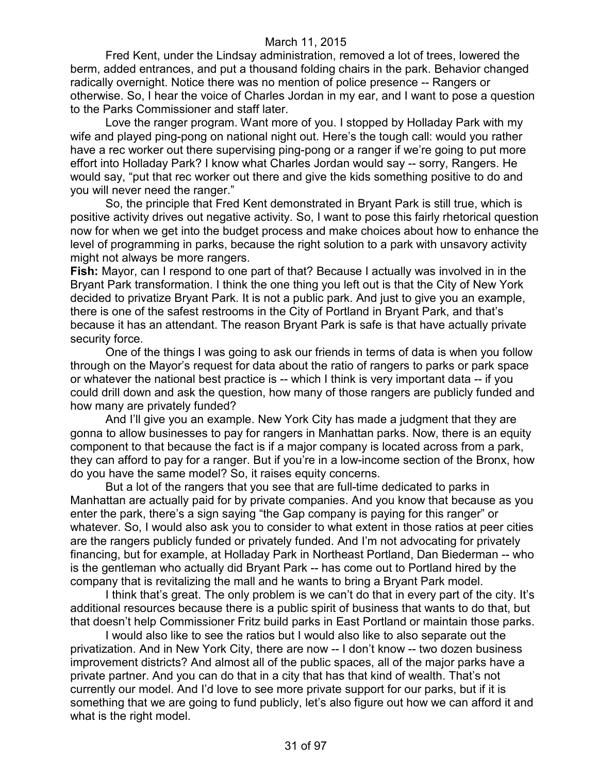Fred Kent, under the Lindsay administration, removed a lot of trees, lowered the berm, added entrances, and put a thousand folding chairs in the park. Behavior changed radically overnight. Notice there was no mention of police presence -- Rangers or otherwise. So, I hear the voice of Charles Jordan in my ear, and I want to pose a question to the Parks Commissioner and staff later.

Love the ranger program. Want more of you. I stopped by Holladay Park with my wife and played ping-pong on national night out. Here's the tough call: would you rather have a rec worker out there supervising ping-pong or a ranger if we're going to put more effort into Holladay Park? I know what Charles Jordan would say -- sorry, Rangers. He would say, "put that rec worker out there and give the kids something positive to do and you will never need the ranger."

So, the principle that Fred Kent demonstrated in Bryant Park is still true, which is positive activity drives out negative activity. So, I want to pose this fairly rhetorical question now for when we get into the budget process and make choices about how to enhance the level of programming in parks, because the right solution to a park with unsavory activity might not always be more rangers.

**Fish:** Mayor, can I respond to one part of that? Because I actually was involved in in the Bryant Park transformation. I think the one thing you left out is that the City of New York decided to privatize Bryant Park. It is not a public park. And just to give you an example, there is one of the safest restrooms in the City of Portland in Bryant Park, and that's because it has an attendant. The reason Bryant Park is safe is that have actually private security force.

One of the things I was going to ask our friends in terms of data is when you follow through on the Mayor's request for data about the ratio of rangers to parks or park space or whatever the national best practice is -- which I think is very important data -- if you could drill down and ask the question, how many of those rangers are publicly funded and how many are privately funded?

And I'll give you an example. New York City has made a judgment that they are gonna to allow businesses to pay for rangers in Manhattan parks. Now, there is an equity component to that because the fact is if a major company is located across from a park, they can afford to pay for a ranger. But if you're in a low-income section of the Bronx, how do you have the same model? So, it raises equity concerns.

But a lot of the rangers that you see that are full-time dedicated to parks in Manhattan are actually paid for by private companies. And you know that because as you enter the park, there's a sign saying "the Gap company is paying for this ranger" or whatever. So, I would also ask you to consider to what extent in those ratios at peer cities are the rangers publicly funded or privately funded. And I'm not advocating for privately financing, but for example, at Holladay Park in Northeast Portland, Dan Biederman -- who is the gentleman who actually did Bryant Park -- has come out to Portland hired by the company that is revitalizing the mall and he wants to bring a Bryant Park model.

I think that's great. The only problem is we can't do that in every part of the city. It's additional resources because there is a public spirit of business that wants to do that, but that doesn't help Commissioner Fritz build parks in East Portland or maintain those parks.

I would also like to see the ratios but I would also like to also separate out the privatization. And in New York City, there are now -- I don't know -- two dozen business improvement districts? And almost all of the public spaces, all of the major parks have a private partner. And you can do that in a city that has that kind of wealth. That's not currently our model. And I'd love to see more private support for our parks, but if it is something that we are going to fund publicly, let's also figure out how we can afford it and what is the right model.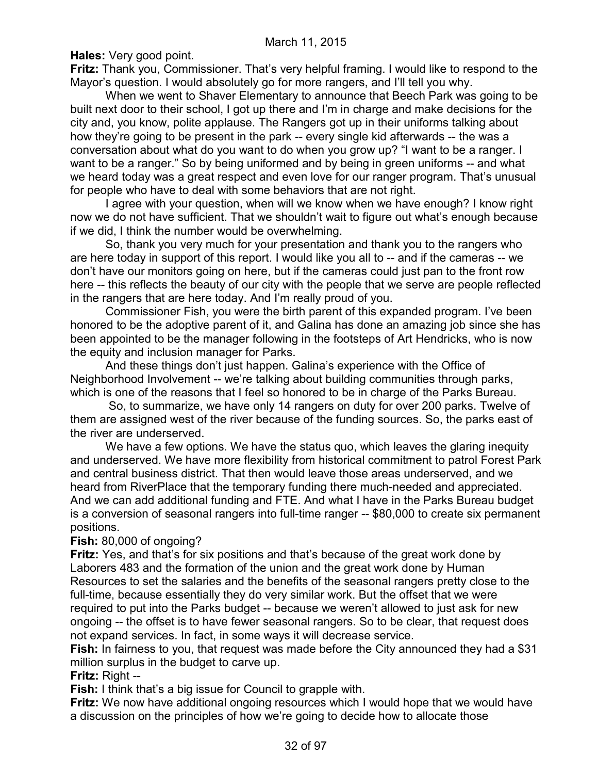**Hales:** Very good point.

**Fritz:** Thank you, Commissioner. That's very helpful framing. I would like to respond to the Mayor's question. I would absolutely go for more rangers, and I'll tell you why.

When we went to Shaver Elementary to announce that Beech Park was going to be built next door to their school, I got up there and I'm in charge and make decisions for the city and, you know, polite applause. The Rangers got up in their uniforms talking about how they're going to be present in the park -- every single kid afterwards -- the was a conversation about what do you want to do when you grow up? "I want to be a ranger. I want to be a ranger." So by being uniformed and by being in green uniforms -- and what we heard today was a great respect and even love for our ranger program. That's unusual for people who have to deal with some behaviors that are not right.

I agree with your question, when will we know when we have enough? I know right now we do not have sufficient. That we shouldn't wait to figure out what's enough because if we did, I think the number would be overwhelming.

So, thank you very much for your presentation and thank you to the rangers who are here today in support of this report. I would like you all to -- and if the cameras -- we don't have our monitors going on here, but if the cameras could just pan to the front row here -- this reflects the beauty of our city with the people that we serve are people reflected in the rangers that are here today. And I'm really proud of you.

Commissioner Fish, you were the birth parent of this expanded program. I've been honored to be the adoptive parent of it, and Galina has done an amazing job since she has been appointed to be the manager following in the footsteps of Art Hendricks, who is now the equity and inclusion manager for Parks.

And these things don't just happen. Galina's experience with the Office of Neighborhood Involvement -- we're talking about building communities through parks, which is one of the reasons that I feel so honored to be in charge of the Parks Bureau.

So, to summarize, we have only 14 rangers on duty for over 200 parks. Twelve of them are assigned west of the river because of the funding sources. So, the parks east of the river are underserved.

We have a few options. We have the status quo, which leaves the glaring inequity and underserved. We have more flexibility from historical commitment to patrol Forest Park and central business district. That then would leave those areas underserved, and we heard from RiverPlace that the temporary funding there much-needed and appreciated. And we can add additional funding and FTE. And what I have in the Parks Bureau budget is a conversion of seasonal rangers into full-time ranger -- \$80,000 to create six permanent positions.

# **Fish:** 80,000 of ongoing?

**Fritz:** Yes, and that's for six positions and that's because of the great work done by Laborers 483 and the formation of the union and the great work done by Human Resources to set the salaries and the benefits of the seasonal rangers pretty close to the full-time, because essentially they do very similar work. But the offset that we were required to put into the Parks budget -- because we weren't allowed to just ask for new ongoing -- the offset is to have fewer seasonal rangers. So to be clear, that request does not expand services. In fact, in some ways it will decrease service.

**Fish:** In fairness to you, that request was made before the City announced they had a \$31 million surplus in the budget to carve up.

# **Fritz:** Right --

**Fish:** I think that's a big issue for Council to grapple with.

**Fritz:** We now have additional ongoing resources which I would hope that we would have a discussion on the principles of how we're going to decide how to allocate those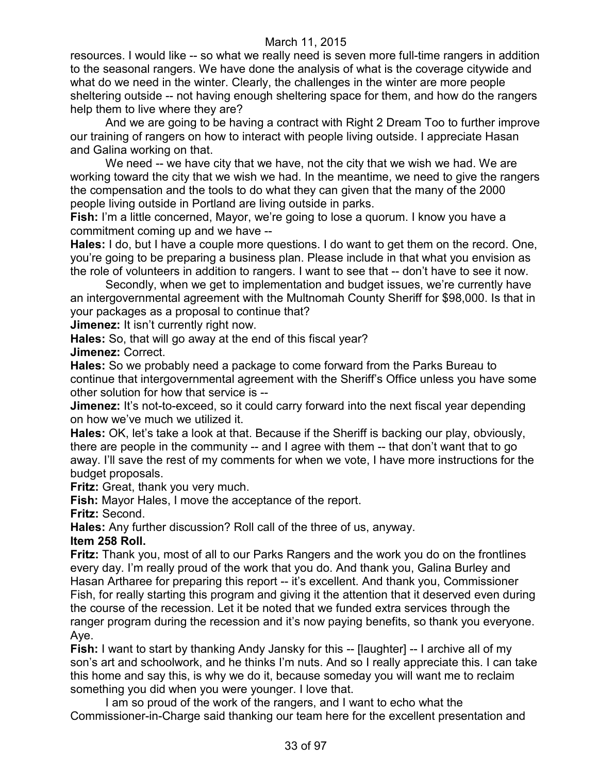resources. I would like -- so what we really need is seven more full-time rangers in addition to the seasonal rangers. We have done the analysis of what is the coverage citywide and what do we need in the winter. Clearly, the challenges in the winter are more people sheltering outside -- not having enough sheltering space for them, and how do the rangers help them to live where they are?

And we are going to be having a contract with Right 2 Dream Too to further improve our training of rangers on how to interact with people living outside. I appreciate Hasan and Galina working on that.

We need -- we have city that we have, not the city that we wish we had. We are working toward the city that we wish we had. In the meantime, we need to give the rangers the compensation and the tools to do what they can given that the many of the 2000 people living outside in Portland are living outside in parks.

**Fish:** I'm a little concerned, Mayor, we're going to lose a quorum. I know you have a commitment coming up and we have --

**Hales:** I do, but I have a couple more questions. I do want to get them on the record. One, you're going to be preparing a business plan. Please include in that what you envision as the role of volunteers in addition to rangers. I want to see that -- don't have to see it now.

Secondly, when we get to implementation and budget issues, we're currently have an intergovernmental agreement with the Multnomah County Sheriff for \$98,000. Is that in your packages as a proposal to continue that?

**Jimenez:** It isn't currently right now.

**Hales:** So, that will go away at the end of this fiscal year?

**Jimenez:** Correct.

**Hales:** So we probably need a package to come forward from the Parks Bureau to continue that intergovernmental agreement with the Sheriff's Office unless you have some other solution for how that service is --

**Jimenez:** It's not-to-exceed, so it could carry forward into the next fiscal year depending on how we've much we utilized it.

**Hales:** OK, let's take a look at that. Because if the Sheriff is backing our play, obviously, there are people in the community -- and I agree with them -- that don't want that to go away. I'll save the rest of my comments for when we vote, I have more instructions for the budget proposals.

**Fritz:** Great, thank you very much.

**Fish:** Mayor Hales, I move the acceptance of the report.

**Fritz:** Second.

**Hales:** Any further discussion? Roll call of the three of us, anyway.

**Item 258 Roll.**

**Fritz:** Thank you, most of all to our Parks Rangers and the work you do on the frontlines every day. I'm really proud of the work that you do. And thank you, Galina Burley and Hasan Artharee for preparing this report -- it's excellent. And thank you, Commissioner Fish, for really starting this program and giving it the attention that it deserved even during the course of the recession. Let it be noted that we funded extra services through the ranger program during the recession and it's now paying benefits, so thank you everyone. Aye.

**Fish:** I want to start by thanking Andy Jansky for this -- [laughter] -- I archive all of my son's art and schoolwork, and he thinks I'm nuts. And so I really appreciate this. I can take this home and say this, is why we do it, because someday you will want me to reclaim something you did when you were younger. I love that.

I am so proud of the work of the rangers, and I want to echo what the Commissioner-in-Charge said thanking our team here for the excellent presentation and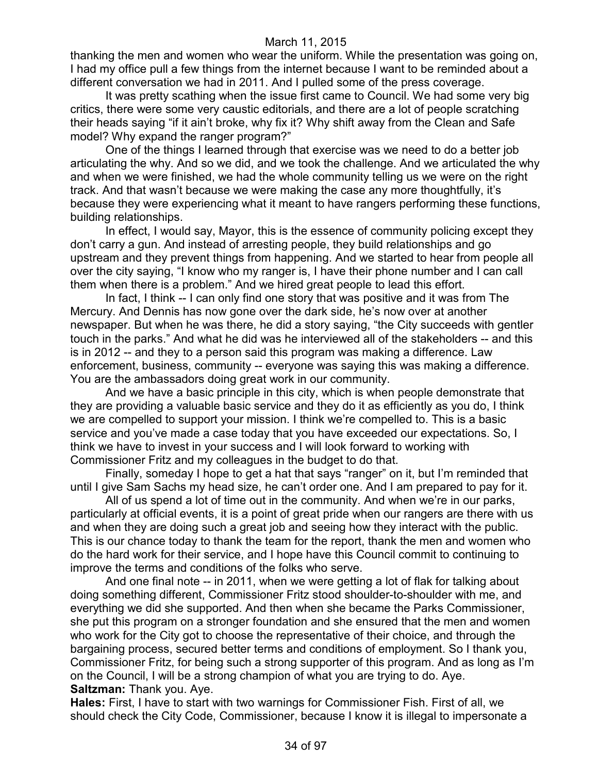thanking the men and women who wear the uniform. While the presentation was going on, I had my office pull a few things from the internet because I want to be reminded about a different conversation we had in 2011. And I pulled some of the press coverage.

It was pretty scathing when the issue first came to Council. We had some very big critics, there were some very caustic editorials, and there are a lot of people scratching their heads saying "if it ain't broke, why fix it? Why shift away from the Clean and Safe model? Why expand the ranger program?"

One of the things I learned through that exercise was we need to do a better job articulating the why. And so we did, and we took the challenge. And we articulated the why and when we were finished, we had the whole community telling us we were on the right track. And that wasn't because we were making the case any more thoughtfully, it's because they were experiencing what it meant to have rangers performing these functions, building relationships.

In effect, I would say, Mayor, this is the essence of community policing except they don't carry a gun. And instead of arresting people, they build relationships and go upstream and they prevent things from happening. And we started to hear from people all over the city saying, "I know who my ranger is, I have their phone number and I can call them when there is a problem." And we hired great people to lead this effort.

In fact, I think -- I can only find one story that was positive and it was from The Mercury. And Dennis has now gone over the dark side, he's now over at another newspaper. But when he was there, he did a story saying, "the City succeeds with gentler touch in the parks." And what he did was he interviewed all of the stakeholders -- and this is in 2012 -- and they to a person said this program was making a difference. Law enforcement, business, community -- everyone was saying this was making a difference. You are the ambassadors doing great work in our community.

And we have a basic principle in this city, which is when people demonstrate that they are providing a valuable basic service and they do it as efficiently as you do, I think we are compelled to support your mission. I think we're compelled to. This is a basic service and you've made a case today that you have exceeded our expectations. So, I think we have to invest in your success and I will look forward to working with Commissioner Fritz and my colleagues in the budget to do that.

Finally, someday I hope to get a hat that says "ranger" on it, but I'm reminded that until I give Sam Sachs my head size, he can't order one. And I am prepared to pay for it.

All of us spend a lot of time out in the community. And when we're in our parks, particularly at official events, it is a point of great pride when our rangers are there with us and when they are doing such a great job and seeing how they interact with the public. This is our chance today to thank the team for the report, thank the men and women who do the hard work for their service, and I hope have this Council commit to continuing to improve the terms and conditions of the folks who serve.

And one final note -- in 2011, when we were getting a lot of flak for talking about doing something different, Commissioner Fritz stood shoulder-to-shoulder with me, and everything we did she supported. And then when she became the Parks Commissioner, she put this program on a stronger foundation and she ensured that the men and women who work for the City got to choose the representative of their choice, and through the bargaining process, secured better terms and conditions of employment. So I thank you, Commissioner Fritz, for being such a strong supporter of this program. And as long as I'm on the Council, I will be a strong champion of what you are trying to do. Aye. **Saltzman:** Thank you. Aye.

**Hales:** First, I have to start with two warnings for Commissioner Fish. First of all, we should check the City Code, Commissioner, because I know it is illegal to impersonate a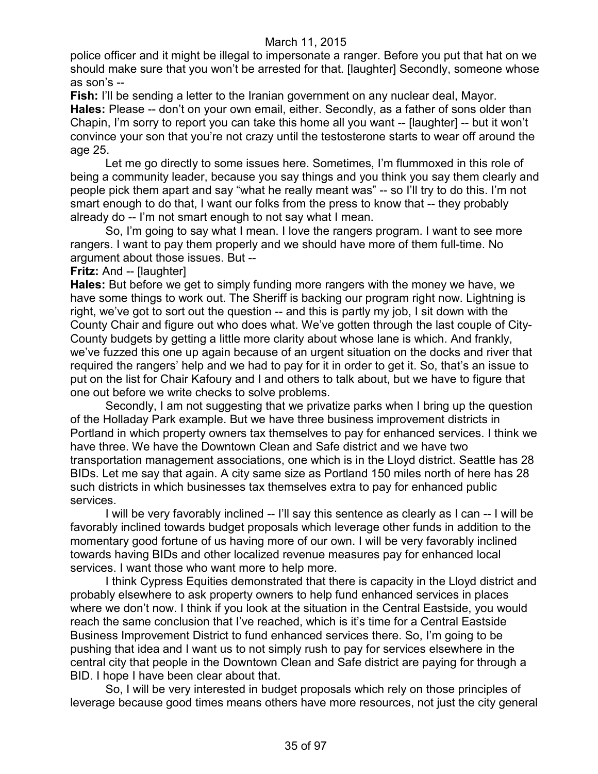police officer and it might be illegal to impersonate a ranger. Before you put that hat on we should make sure that you won't be arrested for that. [laughter] Secondly, someone whose as son's --

**Fish:** I'll be sending a letter to the Iranian government on any nuclear deal, Mayor. **Hales:** Please -- don't on your own email, either. Secondly, as a father of sons older than Chapin, I'm sorry to report you can take this home all you want -- [laughter] -- but it won't convince your son that you're not crazy until the testosterone starts to wear off around the age 25.

Let me go directly to some issues here. Sometimes, I'm flummoxed in this role of being a community leader, because you say things and you think you say them clearly and people pick them apart and say "what he really meant was" -- so I'll try to do this. I'm not smart enough to do that, I want our folks from the press to know that -- they probably already do -- I'm not smart enough to not say what I mean.

So, I'm going to say what I mean. I love the rangers program. I want to see more rangers. I want to pay them properly and we should have more of them full-time. No argument about those issues. But --

#### **Fritz:** And -- [laughter]

**Hales:** But before we get to simply funding more rangers with the money we have, we have some things to work out. The Sheriff is backing our program right now. Lightning is right, we've got to sort out the question -- and this is partly my job, I sit down with the County Chair and figure out who does what. We've gotten through the last couple of City-County budgets by getting a little more clarity about whose lane is which. And frankly, we've fuzzed this one up again because of an urgent situation on the docks and river that required the rangers' help and we had to pay for it in order to get it. So, that's an issue to put on the list for Chair Kafoury and I and others to talk about, but we have to figure that one out before we write checks to solve problems.

Secondly, I am not suggesting that we privatize parks when I bring up the question of the Holladay Park example. But we have three business improvement districts in Portland in which property owners tax themselves to pay for enhanced services. I think we have three. We have the Downtown Clean and Safe district and we have two transportation management associations, one which is in the Lloyd district. Seattle has 28 BIDs. Let me say that again. A city same size as Portland 150 miles north of here has 28 such districts in which businesses tax themselves extra to pay for enhanced public services.

I will be very favorably inclined -- I'll say this sentence as clearly as I can -- I will be favorably inclined towards budget proposals which leverage other funds in addition to the momentary good fortune of us having more of our own. I will be very favorably inclined towards having BIDs and other localized revenue measures pay for enhanced local services. I want those who want more to help more.

I think Cypress Equities demonstrated that there is capacity in the Lloyd district and probably elsewhere to ask property owners to help fund enhanced services in places where we don't now. I think if you look at the situation in the Central Eastside, you would reach the same conclusion that I've reached, which is it's time for a Central Eastside Business Improvement District to fund enhanced services there. So, I'm going to be pushing that idea and I want us to not simply rush to pay for services elsewhere in the central city that people in the Downtown Clean and Safe district are paying for through a BID. I hope I have been clear about that.

So, I will be very interested in budget proposals which rely on those principles of leverage because good times means others have more resources, not just the city general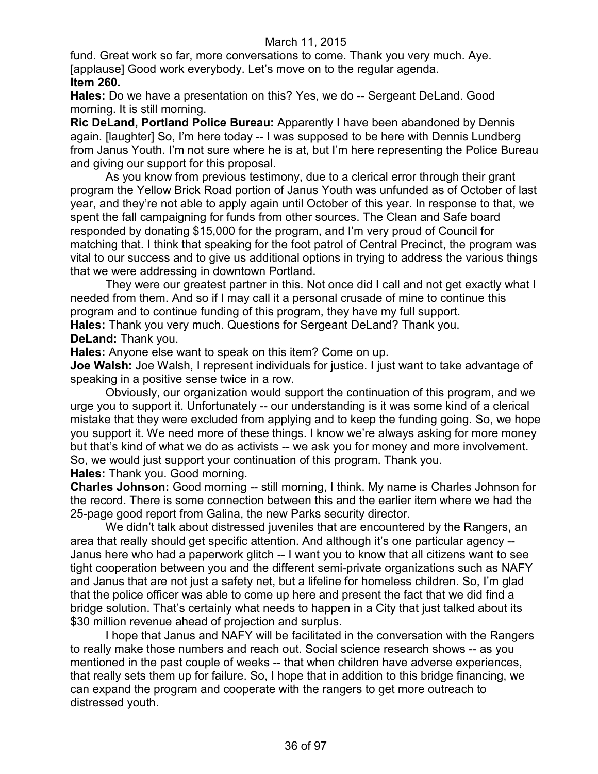fund. Great work so far, more conversations to come. Thank you very much. Aye. [applause] Good work everybody. Let's move on to the regular agenda. **Item 260.**

**Hales:** Do we have a presentation on this? Yes, we do -- Sergeant DeLand. Good morning. It is still morning.

**Ric DeLand, Portland Police Bureau:** Apparently I have been abandoned by Dennis again. [laughter] So, I'm here today -- I was supposed to be here with Dennis Lundberg from Janus Youth. I'm not sure where he is at, but I'm here representing the Police Bureau and giving our support for this proposal.

As you know from previous testimony, due to a clerical error through their grant program the Yellow Brick Road portion of Janus Youth was unfunded as of October of last year, and they're not able to apply again until October of this year. In response to that, we spent the fall campaigning for funds from other sources. The Clean and Safe board responded by donating \$15,000 for the program, and I'm very proud of Council for matching that. I think that speaking for the foot patrol of Central Precinct, the program was vital to our success and to give us additional options in trying to address the various things that we were addressing in downtown Portland.

They were our greatest partner in this. Not once did I call and not get exactly what I needed from them. And so if I may call it a personal crusade of mine to continue this program and to continue funding of this program, they have my full support. **Hales:** Thank you very much. Questions for Sergeant DeLand? Thank you.

**DeLand:** Thank you.

**Hales:** Anyone else want to speak on this item? Come on up.

**Joe Walsh:** Joe Walsh, I represent individuals for justice. I just want to take advantage of speaking in a positive sense twice in a row.

Obviously, our organization would support the continuation of this program, and we urge you to support it. Unfortunately -- our understanding is it was some kind of a clerical mistake that they were excluded from applying and to keep the funding going. So, we hope you support it. We need more of these things. I know we're always asking for more money but that's kind of what we do as activists -- we ask you for money and more involvement. So, we would just support your continuation of this program. Thank you.

**Hales:** Thank you. Good morning.

**Charles Johnson:** Good morning -- still morning, I think. My name is Charles Johnson for the record. There is some connection between this and the earlier item where we had the 25-page good report from Galina, the new Parks security director.

We didn't talk about distressed juveniles that are encountered by the Rangers, an area that really should get specific attention. And although it's one particular agency -- Janus here who had a paperwork glitch -- I want you to know that all citizens want to see tight cooperation between you and the different semi-private organizations such as NAFY and Janus that are not just a safety net, but a lifeline for homeless children. So, I'm glad that the police officer was able to come up here and present the fact that we did find a bridge solution. That's certainly what needs to happen in a City that just talked about its \$30 million revenue ahead of projection and surplus.

I hope that Janus and NAFY will be facilitated in the conversation with the Rangers to really make those numbers and reach out. Social science research shows -- as you mentioned in the past couple of weeks -- that when children have adverse experiences, that really sets them up for failure. So, I hope that in addition to this bridge financing, we can expand the program and cooperate with the rangers to get more outreach to distressed youth.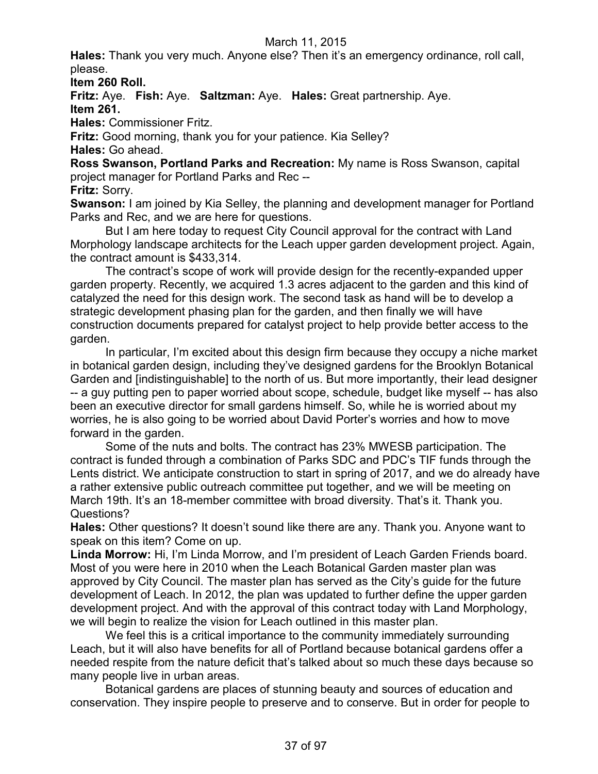**Hales:** Thank you very much. Anyone else? Then it's an emergency ordinance, roll call, please.

**Item 260 Roll.**

**Fritz:** Aye. **Fish:** Aye. **Saltzman:** Aye. **Hales:** Great partnership. Aye. **Item 261.**

**Hales:** Commissioner Fritz.

**Fritz:** Good morning, thank you for your patience. Kia Selley? **Hales:** Go ahead.

**Ross Swanson, Portland Parks and Recreation:** My name is Ross Swanson, capital project manager for Portland Parks and Rec --

**Fritz:** Sorry.

**Swanson:** I am joined by Kia Selley, the planning and development manager for Portland Parks and Rec, and we are here for questions.

But I am here today to request City Council approval for the contract with Land Morphology landscape architects for the Leach upper garden development project. Again, the contract amount is \$433,314.

The contract's scope of work will provide design for the recently-expanded upper garden property. Recently, we acquired 1.3 acres adjacent to the garden and this kind of catalyzed the need for this design work. The second task as hand will be to develop a strategic development phasing plan for the garden, and then finally we will have construction documents prepared for catalyst project to help provide better access to the garden.

In particular, I'm excited about this design firm because they occupy a niche market in botanical garden design, including they've designed gardens for the Brooklyn Botanical Garden and [indistinguishable] to the north of us. But more importantly, their lead designer -- a guy putting pen to paper worried about scope, schedule, budget like myself -- has also been an executive director for small gardens himself. So, while he is worried about my worries, he is also going to be worried about David Porter's worries and how to move forward in the garden.

Some of the nuts and bolts. The contract has 23% MWESB participation. The contract is funded through a combination of Parks SDC and PDC's TIF funds through the Lents district. We anticipate construction to start in spring of 2017, and we do already have a rather extensive public outreach committee put together, and we will be meeting on March 19th. It's an 18-member committee with broad diversity. That's it. Thank you. Questions?

**Hales:** Other questions? It doesn't sound like there are any. Thank you. Anyone want to speak on this item? Come on up.

**Linda Morrow:** Hi, I'm Linda Morrow, and I'm president of Leach Garden Friends board. Most of you were here in 2010 when the Leach Botanical Garden master plan was approved by City Council. The master plan has served as the City's guide for the future development of Leach. In 2012, the plan was updated to further define the upper garden development project. And with the approval of this contract today with Land Morphology, we will begin to realize the vision for Leach outlined in this master plan.

We feel this is a critical importance to the community immediately surrounding Leach, but it will also have benefits for all of Portland because botanical gardens offer a needed respite from the nature deficit that's talked about so much these days because so many people live in urban areas.

Botanical gardens are places of stunning beauty and sources of education and conservation. They inspire people to preserve and to conserve. But in order for people to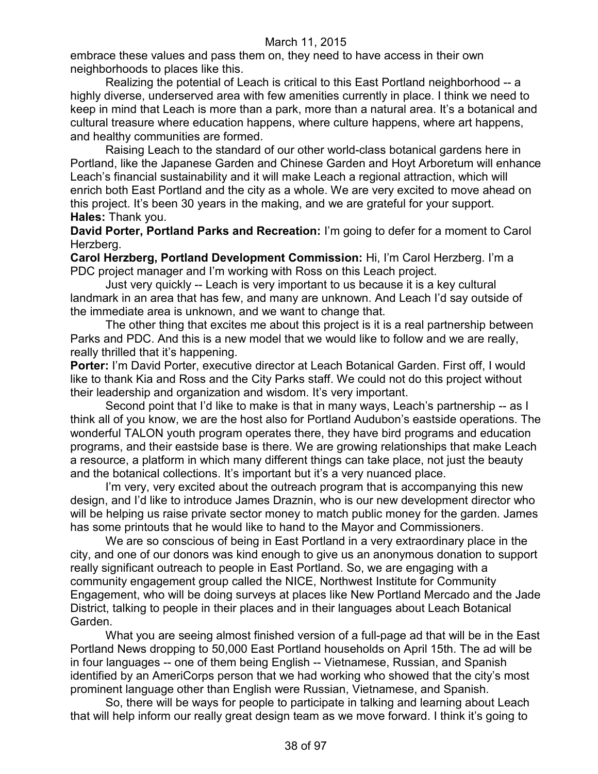embrace these values and pass them on, they need to have access in their own neighborhoods to places like this.

Realizing the potential of Leach is critical to this East Portland neighborhood -- a highly diverse, underserved area with few amenities currently in place. I think we need to keep in mind that Leach is more than a park, more than a natural area. It's a botanical and cultural treasure where education happens, where culture happens, where art happens, and healthy communities are formed.

Raising Leach to the standard of our other world-class botanical gardens here in Portland, like the Japanese Garden and Chinese Garden and Hoyt Arboretum will enhance Leach's financial sustainability and it will make Leach a regional attraction, which will enrich both East Portland and the city as a whole. We are very excited to move ahead on this project. It's been 30 years in the making, and we are grateful for your support. **Hales:** Thank you.

**David Porter, Portland Parks and Recreation:** I'm going to defer for a moment to Carol Herzberg.

**Carol Herzberg, Portland Development Commission:** Hi, I'm Carol Herzberg. I'm a PDC project manager and I'm working with Ross on this Leach project.

Just very quickly -- Leach is very important to us because it is a key cultural landmark in an area that has few, and many are unknown. And Leach I'd say outside of the immediate area is unknown, and we want to change that.

The other thing that excites me about this project is it is a real partnership between Parks and PDC. And this is a new model that we would like to follow and we are really, really thrilled that it's happening.

**Porter: I'm David Porter, executive director at Leach Botanical Garden. First off, I would** like to thank Kia and Ross and the City Parks staff. We could not do this project without their leadership and organization and wisdom. It's very important.

Second point that I'd like to make is that in many ways, Leach's partnership -- as I think all of you know, we are the host also for Portland Audubon's eastside operations. The wonderful TALON youth program operates there, they have bird programs and education programs, and their eastside base is there. We are growing relationships that make Leach a resource, a platform in which many different things can take place, not just the beauty and the botanical collections. It's important but it's a very nuanced place.

I'm very, very excited about the outreach program that is accompanying this new design, and I'd like to introduce James Draznin, who is our new development director who will be helping us raise private sector money to match public money for the garden. James has some printouts that he would like to hand to the Mayor and Commissioners.

We are so conscious of being in East Portland in a very extraordinary place in the city, and one of our donors was kind enough to give us an anonymous donation to support really significant outreach to people in East Portland. So, we are engaging with a community engagement group called the NICE, Northwest Institute for Community Engagement, who will be doing surveys at places like New Portland Mercado and the Jade District, talking to people in their places and in their languages about Leach Botanical Garden.

What you are seeing almost finished version of a full-page ad that will be in the East Portland News dropping to 50,000 East Portland households on April 15th. The ad will be in four languages -- one of them being English -- Vietnamese, Russian, and Spanish identified by an AmeriCorps person that we had working who showed that the city's most prominent language other than English were Russian, Vietnamese, and Spanish.

So, there will be ways for people to participate in talking and learning about Leach that will help inform our really great design team as we move forward. I think it's going to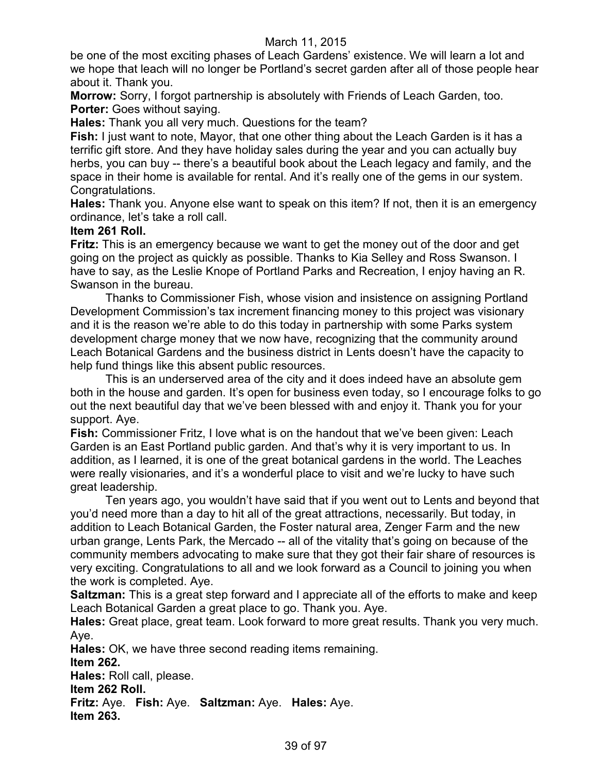be one of the most exciting phases of Leach Gardens' existence. We will learn a lot and we hope that leach will no longer be Portland's secret garden after all of those people hear about it. Thank you.

**Morrow:** Sorry, I forgot partnership is absolutely with Friends of Leach Garden, too. **Porter:** Goes without saying.

**Hales:** Thank you all very much. Questions for the team?

**Fish:** I just want to note, Mayor, that one other thing about the Leach Garden is it has a terrific gift store. And they have holiday sales during the year and you can actually buy herbs, you can buy -- there's a beautiful book about the Leach legacy and family, and the space in their home is available for rental. And it's really one of the gems in our system. Congratulations.

**Hales:** Thank you. Anyone else want to speak on this item? If not, then it is an emergency ordinance, let's take a roll call.

# **Item 261 Roll.**

**Fritz:** This is an emergency because we want to get the money out of the door and get going on the project as quickly as possible. Thanks to Kia Selley and Ross Swanson. I have to say, as the Leslie Knope of Portland Parks and Recreation, I enjoy having an R. Swanson in the bureau.

Thanks to Commissioner Fish, whose vision and insistence on assigning Portland Development Commission's tax increment financing money to this project was visionary and it is the reason we're able to do this today in partnership with some Parks system development charge money that we now have, recognizing that the community around Leach Botanical Gardens and the business district in Lents doesn't have the capacity to help fund things like this absent public resources.

This is an underserved area of the city and it does indeed have an absolute gem both in the house and garden. It's open for business even today, so I encourage folks to go out the next beautiful day that we've been blessed with and enjoy it. Thank you for your support. Aye.

**Fish:** Commissioner Fritz, I love what is on the handout that we've been given: Leach Garden is an East Portland public garden. And that's why it is very important to us. In addition, as I learned, it is one of the great botanical gardens in the world. The Leaches were really visionaries, and it's a wonderful place to visit and we're lucky to have such great leadership.

Ten years ago, you wouldn't have said that if you went out to Lents and beyond that you'd need more than a day to hit all of the great attractions, necessarily. But today, in addition to Leach Botanical Garden, the Foster natural area, Zenger Farm and the new urban grange, Lents Park, the Mercado -- all of the vitality that's going on because of the community members advocating to make sure that they got their fair share of resources is very exciting. Congratulations to all and we look forward as a Council to joining you when the work is completed. Aye.

**Saltzman:** This is a great step forward and I appreciate all of the efforts to make and keep Leach Botanical Garden a great place to go. Thank you. Aye.

**Hales:** Great place, great team. Look forward to more great results. Thank you very much. Aye.

**Hales:** OK, we have three second reading items remaining. **Item 262.**

**Hales:** Roll call, please.

**Item 262 Roll.**

**Fritz:** Aye. **Fish:** Aye. **Saltzman:** Aye. **Hales:** Aye. **Item 263.**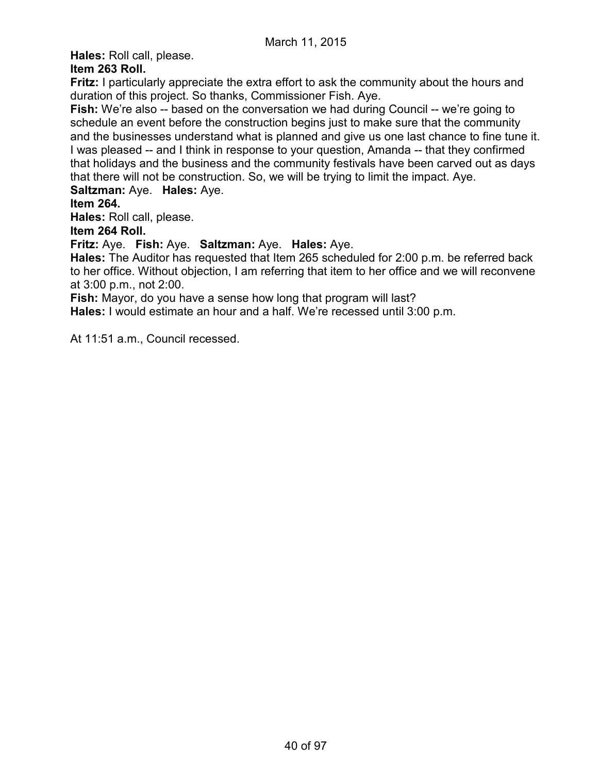**Hales:** Roll call, please.

# **Item 263 Roll.**

**Fritz:** I particularly appreciate the extra effort to ask the community about the hours and duration of this project. So thanks, Commissioner Fish. Aye.

**Fish:** We're also -- based on the conversation we had during Council -- we're going to schedule an event before the construction begins just to make sure that the community and the businesses understand what is planned and give us one last chance to fine tune it. I was pleased -- and I think in response to your question, Amanda -- that they confirmed that holidays and the business and the community festivals have been carved out as days that there will not be construction. So, we will be trying to limit the impact. Aye.

**Saltzman:** Aye. **Hales:** Aye.

# **Item 264.**

**Hales:** Roll call, please.

**Item 264 Roll.**

**Fritz:** Aye. **Fish:** Aye. **Saltzman:** Aye. **Hales:** Aye.

**Hales:** The Auditor has requested that Item 265 scheduled for 2:00 p.m. be referred back to her office. Without objection, I am referring that item to her office and we will reconvene at 3:00 p.m., not 2:00.

**Fish:** Mayor, do you have a sense how long that program will last?

**Hales:** I would estimate an hour and a half. We're recessed until 3:00 p.m.

At 11:51 a.m., Council recessed.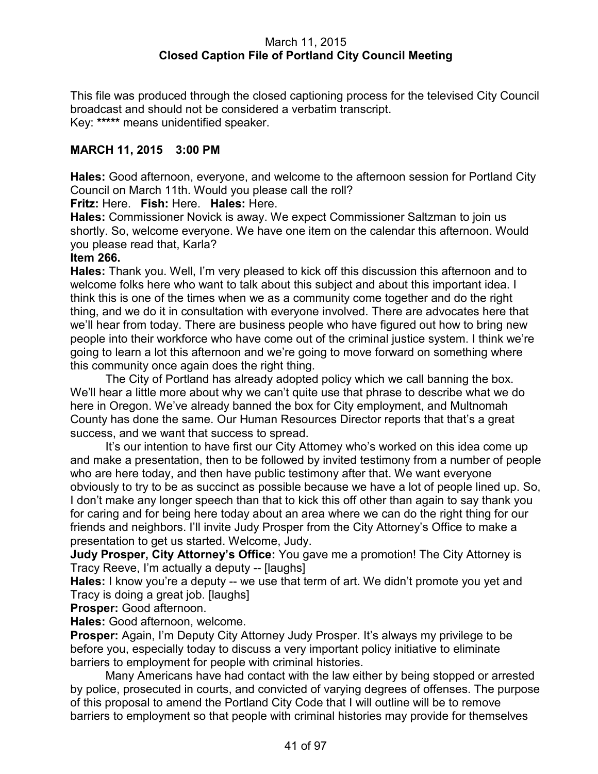### March 11, 2015 **Closed Caption File of Portland City Council Meeting**

This file was produced through the closed captioning process for the televised City Council broadcast and should not be considered a verbatim transcript. Key: **\*\*\*\*\*** means unidentified speaker.

# **MARCH 11, 2015 3:00 PM**

**Hales:** Good afternoon, everyone, and welcome to the afternoon session for Portland City Council on March 11th. Would you please call the roll?

**Fritz:** Here. **Fish:** Here. **Hales:** Here.

**Hales:** Commissioner Novick is away. We expect Commissioner Saltzman to join us shortly. So, welcome everyone. We have one item on the calendar this afternoon. Would you please read that, Karla?

#### **Item 266.**

**Hales:** Thank you. Well, I'm very pleased to kick off this discussion this afternoon and to welcome folks here who want to talk about this subject and about this important idea. I think this is one of the times when we as a community come together and do the right thing, and we do it in consultation with everyone involved. There are advocates here that we'll hear from today. There are business people who have figured out how to bring new people into their workforce who have come out of the criminal justice system. I think we're going to learn a lot this afternoon and we're going to move forward on something where this community once again does the right thing.

The City of Portland has already adopted policy which we call banning the box. We'll hear a little more about why we can't quite use that phrase to describe what we do here in Oregon. We've already banned the box for City employment, and Multnomah County has done the same. Our Human Resources Director reports that that's a great success, and we want that success to spread.

It's our intention to have first our City Attorney who's worked on this idea come up and make a presentation, then to be followed by invited testimony from a number of people who are here today, and then have public testimony after that. We want everyone obviously to try to be as succinct as possible because we have a lot of people lined up. So, I don't make any longer speech than that to kick this off other than again to say thank you for caring and for being here today about an area where we can do the right thing for our friends and neighbors. I'll invite Judy Prosper from the City Attorney's Office to make a presentation to get us started. Welcome, Judy.

**Judy Prosper, City Attorney's Office:** You gave me a promotion! The City Attorney is Tracy Reeve, I'm actually a deputy -- [laughs]

**Hales:** I know you're a deputy -- we use that term of art. We didn't promote you yet and Tracy is doing a great job. [laughs]

**Prosper:** Good afternoon.

**Hales:** Good afternoon, welcome.

**Prosper:** Again, I'm Deputy City Attorney Judy Prosper. It's always my privilege to be before you, especially today to discuss a very important policy initiative to eliminate barriers to employment for people with criminal histories.

Many Americans have had contact with the law either by being stopped or arrested by police, prosecuted in courts, and convicted of varying degrees of offenses. The purpose of this proposal to amend the Portland City Code that I will outline will be to remove barriers to employment so that people with criminal histories may provide for themselves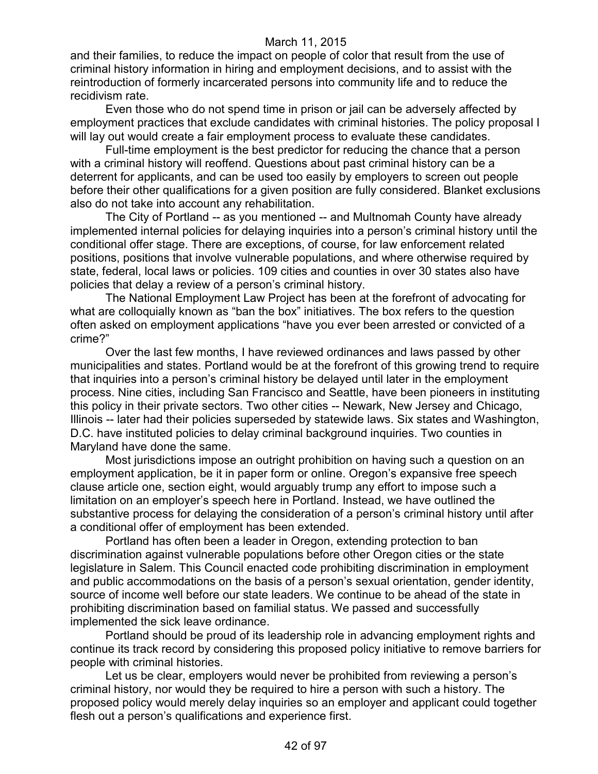and their families, to reduce the impact on people of color that result from the use of criminal history information in hiring and employment decisions, and to assist with the reintroduction of formerly incarcerated persons into community life and to reduce the recidivism rate.

Even those who do not spend time in prison or jail can be adversely affected by employment practices that exclude candidates with criminal histories. The policy proposal I will lay out would create a fair employment process to evaluate these candidates.

Full-time employment is the best predictor for reducing the chance that a person with a criminal history will reoffend. Questions about past criminal history can be a deterrent for applicants, and can be used too easily by employers to screen out people before their other qualifications for a given position are fully considered. Blanket exclusions also do not take into account any rehabilitation.

The City of Portland -- as you mentioned -- and Multnomah County have already implemented internal policies for delaying inquiries into a person's criminal history until the conditional offer stage. There are exceptions, of course, for law enforcement related positions, positions that involve vulnerable populations, and where otherwise required by state, federal, local laws or policies. 109 cities and counties in over 30 states also have policies that delay a review of a person's criminal history.

The National Employment Law Project has been at the forefront of advocating for what are colloquially known as "ban the box" initiatives. The box refers to the question often asked on employment applications "have you ever been arrested or convicted of a crime?"

Over the last few months, I have reviewed ordinances and laws passed by other municipalities and states. Portland would be at the forefront of this growing trend to require that inquiries into a person's criminal history be delayed until later in the employment process. Nine cities, including San Francisco and Seattle, have been pioneers in instituting this policy in their private sectors. Two other cities -- Newark, New Jersey and Chicago, Illinois -- later had their policies superseded by statewide laws. Six states and Washington, D.C. have instituted policies to delay criminal background inquiries. Two counties in Maryland have done the same.

Most jurisdictions impose an outright prohibition on having such a question on an employment application, be it in paper form or online. Oregon's expansive free speech clause article one, section eight, would arguably trump any effort to impose such a limitation on an employer's speech here in Portland. Instead, we have outlined the substantive process for delaying the consideration of a person's criminal history until after a conditional offer of employment has been extended.

Portland has often been a leader in Oregon, extending protection to ban discrimination against vulnerable populations before other Oregon cities or the state legislature in Salem. This Council enacted code prohibiting discrimination in employment and public accommodations on the basis of a person's sexual orientation, gender identity, source of income well before our state leaders. We continue to be ahead of the state in prohibiting discrimination based on familial status. We passed and successfully implemented the sick leave ordinance.

Portland should be proud of its leadership role in advancing employment rights and continue its track record by considering this proposed policy initiative to remove barriers for people with criminal histories.

Let us be clear, employers would never be prohibited from reviewing a person's criminal history, nor would they be required to hire a person with such a history. The proposed policy would merely delay inquiries so an employer and applicant could together flesh out a person's qualifications and experience first.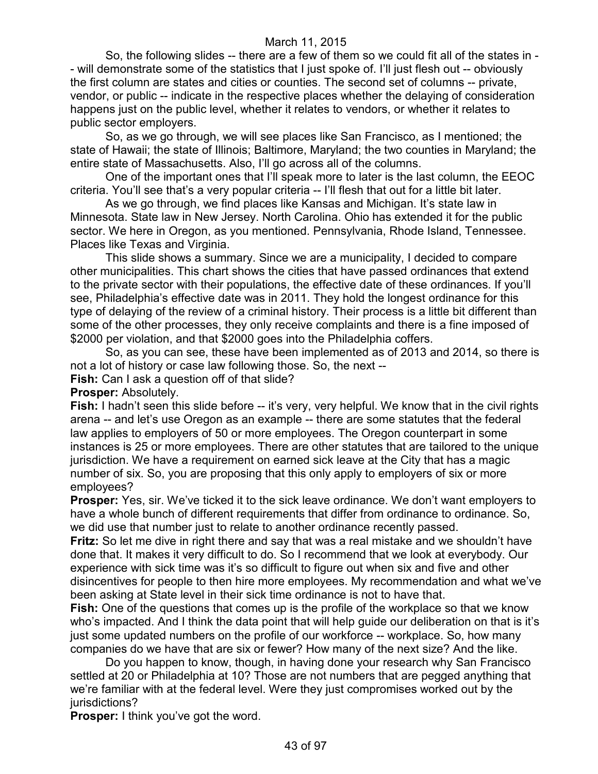So, the following slides -- there are a few of them so we could fit all of the states in - - will demonstrate some of the statistics that I just spoke of. I'll just flesh out -- obviously the first column are states and cities or counties. The second set of columns -- private, vendor, or public -- indicate in the respective places whether the delaying of consideration happens just on the public level, whether it relates to vendors, or whether it relates to public sector employers.

So, as we go through, we will see places like San Francisco, as I mentioned; the state of Hawaii; the state of Illinois; Baltimore, Maryland; the two counties in Maryland; the entire state of Massachusetts. Also, I'll go across all of the columns.

One of the important ones that I'll speak more to later is the last column, the EEOC criteria. You'll see that's a very popular criteria -- I'll flesh that out for a little bit later.

As we go through, we find places like Kansas and Michigan. It's state law in Minnesota. State law in New Jersey. North Carolina. Ohio has extended it for the public sector. We here in Oregon, as you mentioned. Pennsylvania, Rhode Island, Tennessee. Places like Texas and Virginia.

This slide shows a summary. Since we are a municipality, I decided to compare other municipalities. This chart shows the cities that have passed ordinances that extend to the private sector with their populations, the effective date of these ordinances. If you'll see, Philadelphia's effective date was in 2011. They hold the longest ordinance for this type of delaying of the review of a criminal history. Their process is a little bit different than some of the other processes, they only receive complaints and there is a fine imposed of \$2000 per violation, and that \$2000 goes into the Philadelphia coffers.

So, as you can see, these have been implemented as of 2013 and 2014, so there is not a lot of history or case law following those. So, the next --

**Fish:** Can I ask a question off of that slide?

### **Prosper:** Absolutely.

**Fish:** I hadn't seen this slide before -- it's very, very helpful. We know that in the civil rights arena -- and let's use Oregon as an example -- there are some statutes that the federal law applies to employers of 50 or more employees. The Oregon counterpart in some instances is 25 or more employees. There are other statutes that are tailored to the unique jurisdiction. We have a requirement on earned sick leave at the City that has a magic number of six. So, you are proposing that this only apply to employers of six or more employees?

**Prosper:** Yes, sir. We've ticked it to the sick leave ordinance. We don't want employers to have a whole bunch of different requirements that differ from ordinance to ordinance. So, we did use that number just to relate to another ordinance recently passed.

**Fritz:** So let me dive in right there and say that was a real mistake and we shouldn't have done that. It makes it very difficult to do. So I recommend that we look at everybody. Our experience with sick time was it's so difficult to figure out when six and five and other disincentives for people to then hire more employees. My recommendation and what we've been asking at State level in their sick time ordinance is not to have that.

**Fish:** One of the questions that comes up is the profile of the workplace so that we know who's impacted. And I think the data point that will help guide our deliberation on that is it's just some updated numbers on the profile of our workforce -- workplace. So, how many companies do we have that are six or fewer? How many of the next size? And the like.

Do you happen to know, though, in having done your research why San Francisco settled at 20 or Philadelphia at 10? Those are not numbers that are pegged anything that we're familiar with at the federal level. Were they just compromises worked out by the jurisdictions?

**Prosper:** I think you've got the word.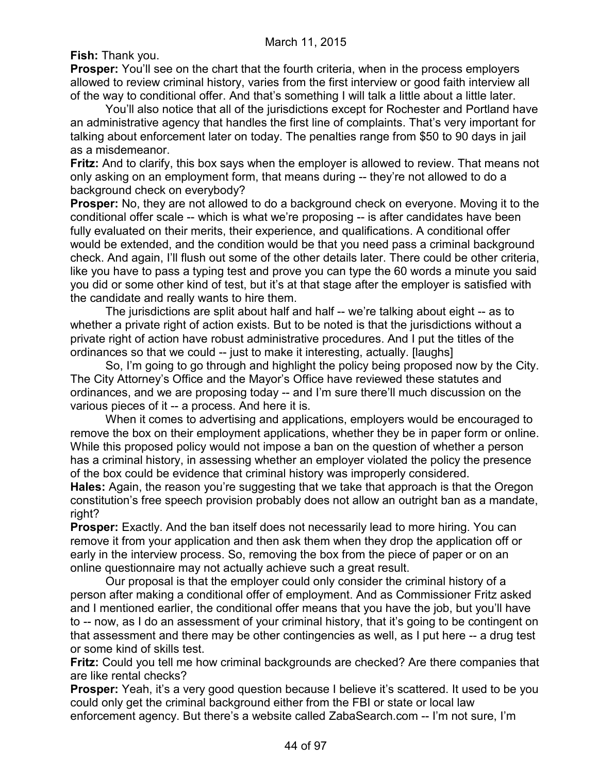**Fish:** Thank you.

**Prosper:** You'll see on the chart that the fourth criteria, when in the process employers allowed to review criminal history, varies from the first interview or good faith interview all of the way to conditional offer. And that's something I will talk a little about a little later.

You'll also notice that all of the jurisdictions except for Rochester and Portland have an administrative agency that handles the first line of complaints. That's very important for talking about enforcement later on today. The penalties range from \$50 to 90 days in jail as a misdemeanor.

**Fritz:** And to clarify, this box says when the employer is allowed to review. That means not only asking on an employment form, that means during -- they're not allowed to do a background check on everybody?

**Prosper:** No, they are not allowed to do a background check on everyone. Moving it to the conditional offer scale -- which is what we're proposing -- is after candidates have been fully evaluated on their merits, their experience, and qualifications. A conditional offer would be extended, and the condition would be that you need pass a criminal background check. And again, I'll flush out some of the other details later. There could be other criteria, like you have to pass a typing test and prove you can type the 60 words a minute you said you did or some other kind of test, but it's at that stage after the employer is satisfied with the candidate and really wants to hire them.

The jurisdictions are split about half and half -- we're talking about eight -- as to whether a private right of action exists. But to be noted is that the jurisdictions without a private right of action have robust administrative procedures. And I put the titles of the ordinances so that we could -- just to make it interesting, actually. [laughs]

So, I'm going to go through and highlight the policy being proposed now by the City. The City Attorney's Office and the Mayor's Office have reviewed these statutes and ordinances, and we are proposing today -- and I'm sure there'll much discussion on the various pieces of it -- a process. And here it is.

When it comes to advertising and applications, employers would be encouraged to remove the box on their employment applications, whether they be in paper form or online. While this proposed policy would not impose a ban on the question of whether a person has a criminal history, in assessing whether an employer violated the policy the presence of the box could be evidence that criminal history was improperly considered.

**Hales:** Again, the reason you're suggesting that we take that approach is that the Oregon constitution's free speech provision probably does not allow an outright ban as a mandate, right?

**Prosper:** Exactly. And the ban itself does not necessarily lead to more hiring. You can remove it from your application and then ask them when they drop the application off or early in the interview process. So, removing the box from the piece of paper or on an online questionnaire may not actually achieve such a great result.

Our proposal is that the employer could only consider the criminal history of a person after making a conditional offer of employment. And as Commissioner Fritz asked and I mentioned earlier, the conditional offer means that you have the job, but you'll have to -- now, as I do an assessment of your criminal history, that it's going to be contingent on that assessment and there may be other contingencies as well, as I put here -- a drug test or some kind of skills test.

**Fritz:** Could you tell me how criminal backgrounds are checked? Are there companies that are like rental checks?

**Prosper:** Yeah, it's a very good question because I believe it's scattered. It used to be you could only get the criminal background either from the FBI or state or local law enforcement agency. But there's a website called ZabaSearch.com -- I'm not sure, I'm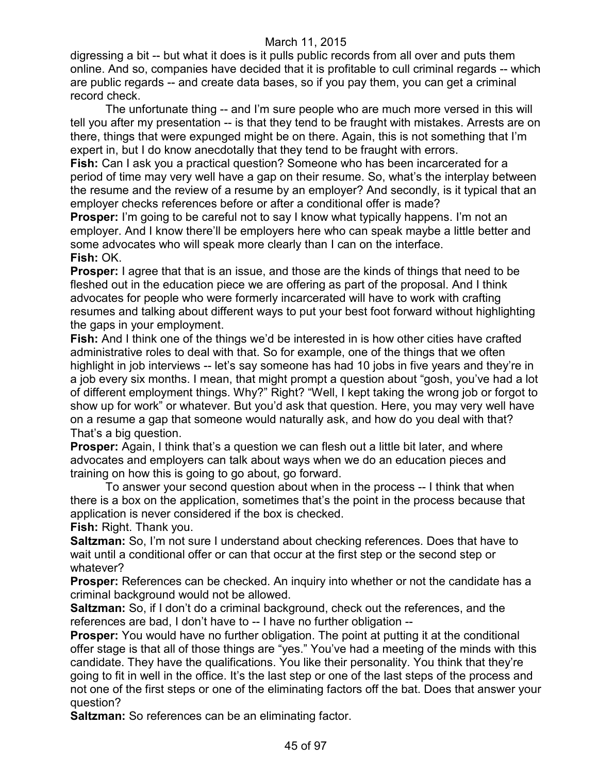digressing a bit -- but what it does is it pulls public records from all over and puts them online. And so, companies have decided that it is profitable to cull criminal regards -- which are public regards -- and create data bases, so if you pay them, you can get a criminal record check.

The unfortunate thing -- and I'm sure people who are much more versed in this will tell you after my presentation -- is that they tend to be fraught with mistakes. Arrests are on there, things that were expunged might be on there. Again, this is not something that I'm expert in, but I do know anecdotally that they tend to be fraught with errors.

**Fish:** Can I ask you a practical question? Someone who has been incarcerated for a period of time may very well have a gap on their resume. So, what's the interplay between the resume and the review of a resume by an employer? And secondly, is it typical that an employer checks references before or after a conditional offer is made?

**Prosper:** I'm going to be careful not to say I know what typically happens. I'm not an employer. And I know there'll be employers here who can speak maybe a little better and some advocates who will speak more clearly than I can on the interface. **Fish:** OK.

**Prosper:** I agree that that is an issue, and those are the kinds of things that need to be fleshed out in the education piece we are offering as part of the proposal. And I think advocates for people who were formerly incarcerated will have to work with crafting resumes and talking about different ways to put your best foot forward without highlighting the gaps in your employment.

**Fish:** And I think one of the things we'd be interested in is how other cities have crafted administrative roles to deal with that. So for example, one of the things that we often highlight in job interviews -- let's say someone has had 10 jobs in five years and they're in a job every six months. I mean, that might prompt a question about "gosh, you've had a lot of different employment things. Why?" Right? "Well, I kept taking the wrong job or forgot to show up for work" or whatever. But you'd ask that question. Here, you may very well have on a resume a gap that someone would naturally ask, and how do you deal with that? That's a big question.

**Prosper:** Again, I think that's a question we can flesh out a little bit later, and where advocates and employers can talk about ways when we do an education pieces and training on how this is going to go about, go forward.

To answer your second question about when in the process -- I think that when there is a box on the application, sometimes that's the point in the process because that application is never considered if the box is checked.

**Fish:** Right. Thank you.

**Saltzman:** So, I'm not sure I understand about checking references. Does that have to wait until a conditional offer or can that occur at the first step or the second step or whatever?

**Prosper:** References can be checked. An inquiry into whether or not the candidate has a criminal background would not be allowed.

**Saltzman:** So, if I don't do a criminal background, check out the references, and the references are bad, I don't have to -- I have no further obligation --

**Prosper:** You would have no further obligation. The point at putting it at the conditional offer stage is that all of those things are "yes." You've had a meeting of the minds with this candidate. They have the qualifications. You like their personality. You think that they're going to fit in well in the office. It's the last step or one of the last steps of the process and not one of the first steps or one of the eliminating factors off the bat. Does that answer your question?

**Saltzman:** So references can be an eliminating factor.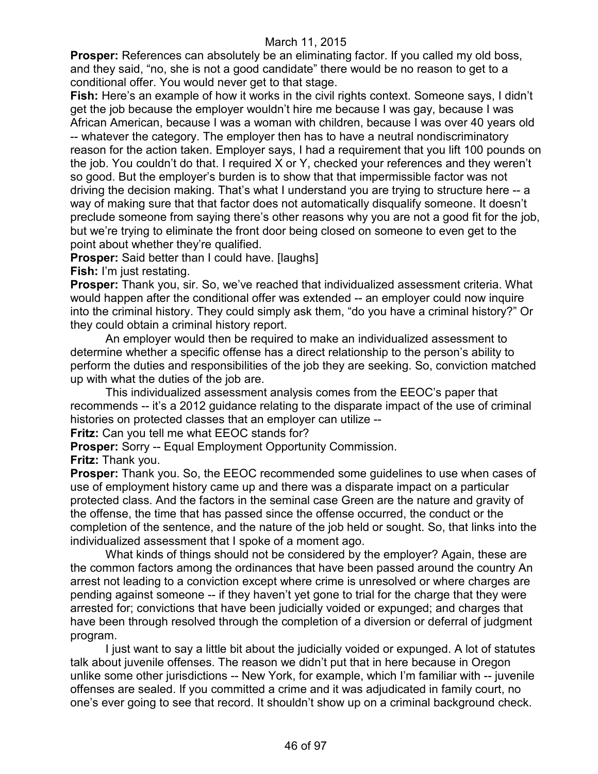**Prosper:** References can absolutely be an eliminating factor. If you called my old boss, and they said, "no, she is not a good candidate" there would be no reason to get to a conditional offer. You would never get to that stage.

**Fish:** Here's an example of how it works in the civil rights context. Someone says, I didn't get the job because the employer wouldn't hire me because I was gay, because I was African American, because I was a woman with children, because I was over 40 years old -- whatever the category. The employer then has to have a neutral nondiscriminatory reason for the action taken. Employer says, I had a requirement that you lift 100 pounds on the job. You couldn't do that. I required X or Y, checked your references and they weren't so good. But the employer's burden is to show that that impermissible factor was not driving the decision making. That's what I understand you are trying to structure here -- a way of making sure that that factor does not automatically disqualify someone. It doesn't preclude someone from saying there's other reasons why you are not a good fit for the job, but we're trying to eliminate the front door being closed on someone to even get to the point about whether they're qualified.

**Prosper:** Said better than I could have. [laughs]

**Fish:** I'm just restating.

**Prosper:** Thank you, sir. So, we've reached that individualized assessment criteria. What would happen after the conditional offer was extended -- an employer could now inquire into the criminal history. They could simply ask them, "do you have a criminal history?" Or they could obtain a criminal history report.

An employer would then be required to make an individualized assessment to determine whether a specific offense has a direct relationship to the person's ability to perform the duties and responsibilities of the job they are seeking. So, conviction matched up with what the duties of the job are.

This individualized assessment analysis comes from the EEOC's paper that recommends -- it's a 2012 guidance relating to the disparate impact of the use of criminal histories on protected classes that an employer can utilize --

**Fritz:** Can you tell me what EEOC stands for?

**Prosper:** Sorry -- Equal Employment Opportunity Commission.

**Fritz:** Thank you.

**Prosper:** Thank you. So, the EEOC recommended some guidelines to use when cases of use of employment history came up and there was a disparate impact on a particular protected class. And the factors in the seminal case Green are the nature and gravity of the offense, the time that has passed since the offense occurred, the conduct or the completion of the sentence, and the nature of the job held or sought. So, that links into the individualized assessment that I spoke of a moment ago.

What kinds of things should not be considered by the employer? Again, these are the common factors among the ordinances that have been passed around the country An arrest not leading to a conviction except where crime is unresolved or where charges are pending against someone -- if they haven't yet gone to trial for the charge that they were arrested for; convictions that have been judicially voided or expunged; and charges that have been through resolved through the completion of a diversion or deferral of judgment program.

I just want to say a little bit about the judicially voided or expunged. A lot of statutes talk about juvenile offenses. The reason we didn't put that in here because in Oregon unlike some other jurisdictions -- New York, for example, which I'm familiar with -- juvenile offenses are sealed. If you committed a crime and it was adjudicated in family court, no one's ever going to see that record. It shouldn't show up on a criminal background check.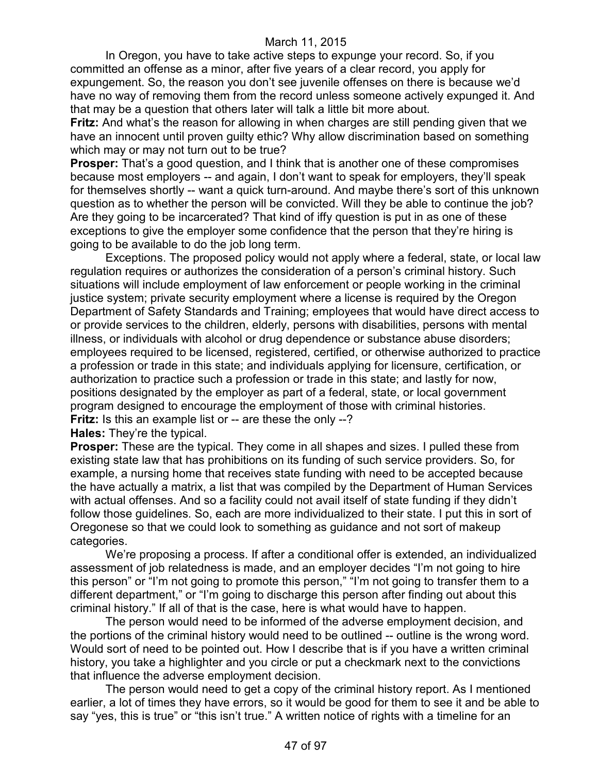In Oregon, you have to take active steps to expunge your record. So, if you committed an offense as a minor, after five years of a clear record, you apply for expungement. So, the reason you don't see juvenile offenses on there is because we'd have no way of removing them from the record unless someone actively expunged it. And that may be a question that others later will talk a little bit more about.

**Fritz:** And what's the reason for allowing in when charges are still pending given that we have an innocent until proven guilty ethic? Why allow discrimination based on something which may or may not turn out to be true?

**Prosper:** That's a good question, and I think that is another one of these compromises because most employers -- and again, I don't want to speak for employers, they'll speak for themselves shortly -- want a quick turn-around. And maybe there's sort of this unknown question as to whether the person will be convicted. Will they be able to continue the job? Are they going to be incarcerated? That kind of iffy question is put in as one of these exceptions to give the employer some confidence that the person that they're hiring is going to be available to do the job long term.

Exceptions. The proposed policy would not apply where a federal, state, or local law regulation requires or authorizes the consideration of a person's criminal history. Such situations will include employment of law enforcement or people working in the criminal justice system; private security employment where a license is required by the Oregon Department of Safety Standards and Training; employees that would have direct access to or provide services to the children, elderly, persons with disabilities, persons with mental illness, or individuals with alcohol or drug dependence or substance abuse disorders; employees required to be licensed, registered, certified, or otherwise authorized to practice a profession or trade in this state; and individuals applying for licensure, certification, or authorization to practice such a profession or trade in this state; and lastly for now, positions designated by the employer as part of a federal, state, or local government program designed to encourage the employment of those with criminal histories. **Fritz:** Is this an example list or -- are these the only --?

**Hales:** They're the typical.

**Prosper:** These are the typical. They come in all shapes and sizes. I pulled these from existing state law that has prohibitions on its funding of such service providers. So, for example, a nursing home that receives state funding with need to be accepted because the have actually a matrix, a list that was compiled by the Department of Human Services with actual offenses. And so a facility could not avail itself of state funding if they didn't follow those guidelines. So, each are more individualized to their state. I put this in sort of Oregonese so that we could look to something as guidance and not sort of makeup categories.

We're proposing a process. If after a conditional offer is extended, an individualized assessment of job relatedness is made, and an employer decides "I'm not going to hire this person" or "I'm not going to promote this person," "I'm not going to transfer them to a different department," or "I'm going to discharge this person after finding out about this criminal history." If all of that is the case, here is what would have to happen.

The person would need to be informed of the adverse employment decision, and the portions of the criminal history would need to be outlined -- outline is the wrong word. Would sort of need to be pointed out. How I describe that is if you have a written criminal history, you take a highlighter and you circle or put a checkmark next to the convictions that influence the adverse employment decision.

The person would need to get a copy of the criminal history report. As I mentioned earlier, a lot of times they have errors, so it would be good for them to see it and be able to say "yes, this is true" or "this isn't true." A written notice of rights with a timeline for an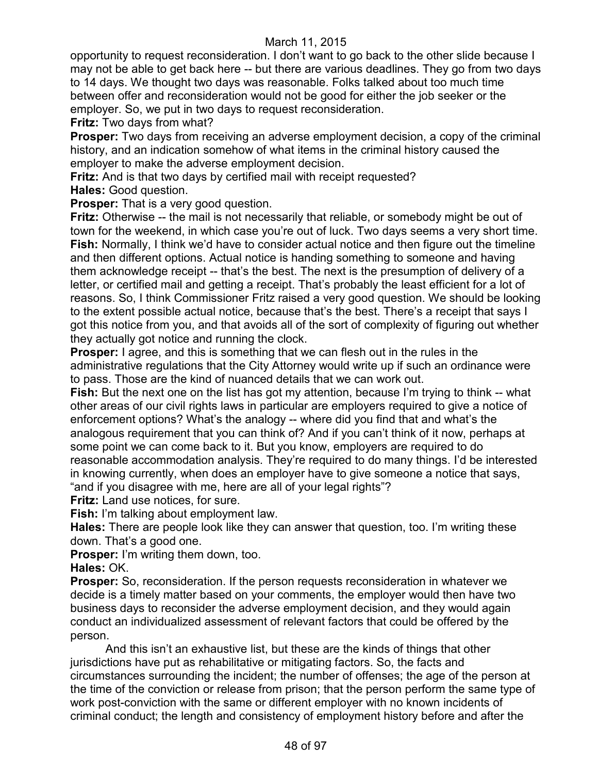opportunity to request reconsideration. I don't want to go back to the other slide because I may not be able to get back here -- but there are various deadlines. They go from two days to 14 days. We thought two days was reasonable. Folks talked about too much time between offer and reconsideration would not be good for either the job seeker or the employer. So, we put in two days to request reconsideration.

**Fritz:** Two days from what?

**Prosper:** Two days from receiving an adverse employment decision, a copy of the criminal history, and an indication somehow of what items in the criminal history caused the employer to make the adverse employment decision.

**Fritz:** And is that two days by certified mail with receipt requested? **Hales:** Good question.

**Prosper:** That is a very good question.

**Fritz:** Otherwise -- the mail is not necessarily that reliable, or somebody might be out of town for the weekend, in which case you're out of luck. Two days seems a very short time. **Fish:** Normally, I think we'd have to consider actual notice and then figure out the timeline and then different options. Actual notice is handing something to someone and having them acknowledge receipt -- that's the best. The next is the presumption of delivery of a letter, or certified mail and getting a receipt. That's probably the least efficient for a lot of reasons. So, I think Commissioner Fritz raised a very good question. We should be looking to the extent possible actual notice, because that's the best. There's a receipt that says I got this notice from you, and that avoids all of the sort of complexity of figuring out whether they actually got notice and running the clock.

**Prosper:** I agree, and this is something that we can flesh out in the rules in the administrative regulations that the City Attorney would write up if such an ordinance were to pass. Those are the kind of nuanced details that we can work out.

**Fish:** But the next one on the list has got my attention, because I'm trying to think -- what other areas of our civil rights laws in particular are employers required to give a notice of enforcement options? What's the analogy -- where did you find that and what's the analogous requirement that you can think of? And if you can't think of it now, perhaps at some point we can come back to it. But you know, employers are required to do reasonable accommodation analysis. They're required to do many things. I'd be interested in knowing currently, when does an employer have to give someone a notice that says, "and if you disagree with me, here are all of your legal rights"?

**Fritz:** Land use notices, for sure.

**Fish:** I'm talking about employment law.

**Hales:** There are people look like they can answer that question, too. I'm writing these down. That's a good one.

**Prosper:** I'm writing them down, too.

**Hales:** OK.

**Prosper:** So, reconsideration. If the person requests reconsideration in whatever we decide is a timely matter based on your comments, the employer would then have two business days to reconsider the adverse employment decision, and they would again conduct an individualized assessment of relevant factors that could be offered by the person.

And this isn't an exhaustive list, but these are the kinds of things that other jurisdictions have put as rehabilitative or mitigating factors. So, the facts and circumstances surrounding the incident; the number of offenses; the age of the person at the time of the conviction or release from prison; that the person perform the same type of work post-conviction with the same or different employer with no known incidents of criminal conduct; the length and consistency of employment history before and after the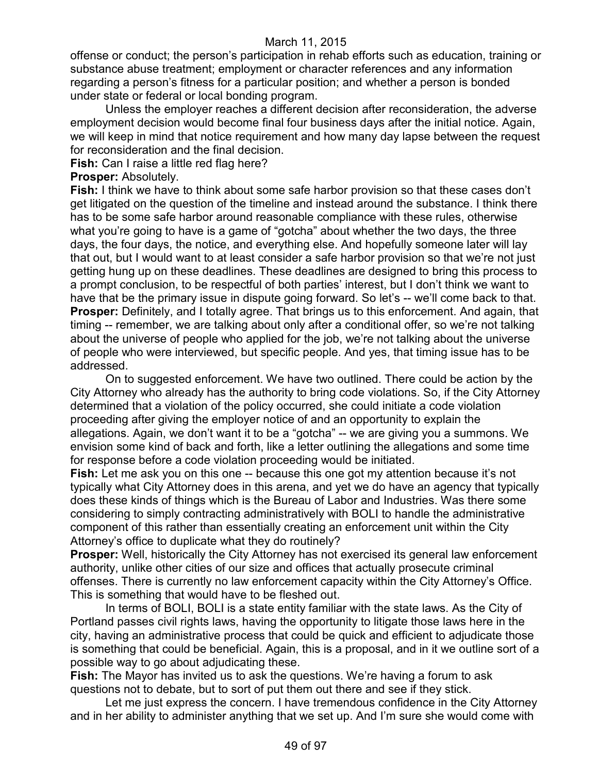offense or conduct; the person's participation in rehab efforts such as education, training or substance abuse treatment; employment or character references and any information regarding a person's fitness for a particular position; and whether a person is bonded under state or federal or local bonding program.

Unless the employer reaches a different decision after reconsideration, the adverse employment decision would become final four business days after the initial notice. Again, we will keep in mind that notice requirement and how many day lapse between the request for reconsideration and the final decision.

**Fish:** Can I raise a little red flag here?

#### **Prosper:** Absolutely.

**Fish:** I think we have to think about some safe harbor provision so that these cases don't get litigated on the question of the timeline and instead around the substance. I think there has to be some safe harbor around reasonable compliance with these rules, otherwise what you're going to have is a game of "gotcha" about whether the two days, the three days, the four days, the notice, and everything else. And hopefully someone later will lay that out, but I would want to at least consider a safe harbor provision so that we're not just getting hung up on these deadlines. These deadlines are designed to bring this process to a prompt conclusion, to be respectful of both parties' interest, but I don't think we want to have that be the primary issue in dispute going forward. So let's -- we'll come back to that. **Prosper:** Definitely, and I totally agree. That brings us to this enforcement. And again, that timing -- remember, we are talking about only after a conditional offer, so we're not talking about the universe of people who applied for the job, we're not talking about the universe of people who were interviewed, but specific people. And yes, that timing issue has to be addressed.

On to suggested enforcement. We have two outlined. There could be action by the City Attorney who already has the authority to bring code violations. So, if the City Attorney determined that a violation of the policy occurred, she could initiate a code violation proceeding after giving the employer notice of and an opportunity to explain the allegations. Again, we don't want it to be a "gotcha" -- we are giving you a summons. We envision some kind of back and forth, like a letter outlining the allegations and some time for response before a code violation proceeding would be initiated.

**Fish:** Let me ask you on this one -- because this one got my attention because it's not typically what City Attorney does in this arena, and yet we do have an agency that typically does these kinds of things which is the Bureau of Labor and Industries. Was there some considering to simply contracting administratively with BOLI to handle the administrative component of this rather than essentially creating an enforcement unit within the City Attorney's office to duplicate what they do routinely?

**Prosper:** Well, historically the City Attorney has not exercised its general law enforcement authority, unlike other cities of our size and offices that actually prosecute criminal offenses. There is currently no law enforcement capacity within the City Attorney's Office. This is something that would have to be fleshed out.

In terms of BOLI, BOLI is a state entity familiar with the state laws. As the City of Portland passes civil rights laws, having the opportunity to litigate those laws here in the city, having an administrative process that could be quick and efficient to adjudicate those is something that could be beneficial. Again, this is a proposal, and in it we outline sort of a possible way to go about adjudicating these.

**Fish:** The Mayor has invited us to ask the questions. We're having a forum to ask questions not to debate, but to sort of put them out there and see if they stick.

Let me just express the concern. I have tremendous confidence in the City Attorney and in her ability to administer anything that we set up. And I'm sure she would come with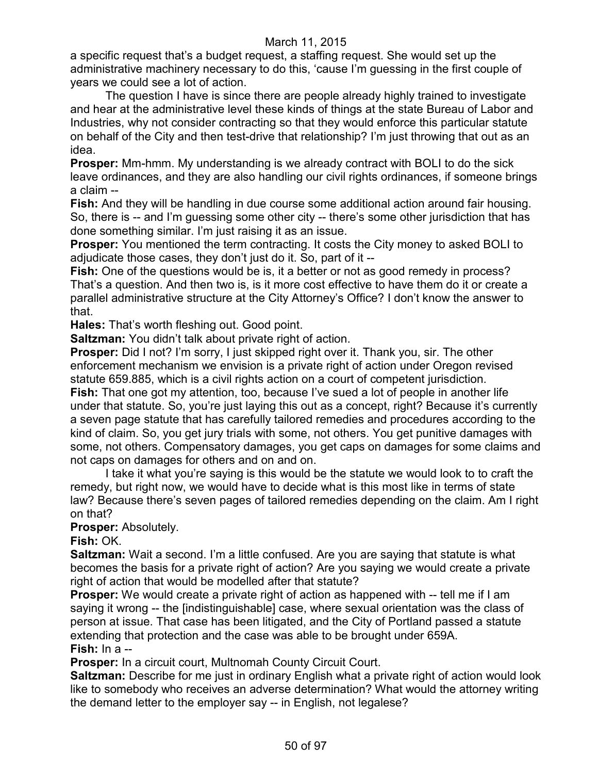a specific request that's a budget request, a staffing request. She would set up the administrative machinery necessary to do this, 'cause I'm guessing in the first couple of years we could see a lot of action.

The question I have is since there are people already highly trained to investigate and hear at the administrative level these kinds of things at the state Bureau of Labor and Industries, why not consider contracting so that they would enforce this particular statute on behalf of the City and then test-drive that relationship? I'm just throwing that out as an idea.

**Prosper:** Mm-hmm. My understanding is we already contract with BOLI to do the sick leave ordinances, and they are also handling our civil rights ordinances, if someone brings a claim --

**Fish:** And they will be handling in due course some additional action around fair housing. So, there is -- and I'm guessing some other city -- there's some other jurisdiction that has done something similar. I'm just raising it as an issue.

**Prosper:** You mentioned the term contracting. It costs the City money to asked BOLI to adjudicate those cases, they don't just do it. So, part of it --

**Fish:** One of the questions would be is, it a better or not as good remedy in process? That's a question. And then two is, is it more cost effective to have them do it or create a parallel administrative structure at the City Attorney's Office? I don't know the answer to that.

**Hales:** That's worth fleshing out. Good point.

**Saltzman:** You didn't talk about private right of action.

**Prosper:** Did I not? I'm sorry, I just skipped right over it. Thank you, sir. The other enforcement mechanism we envision is a private right of action under Oregon revised statute 659.885, which is a civil rights action on a court of competent jurisdiction.

**Fish:** That one got my attention, too, because I've sued a lot of people in another life under that statute. So, you're just laying this out as a concept, right? Because it's currently a seven page statute that has carefully tailored remedies and procedures according to the kind of claim. So, you get jury trials with some, not others. You get punitive damages with some, not others. Compensatory damages, you get caps on damages for some claims and not caps on damages for others and on and on.

I take it what you're saying is this would be the statute we would look to to craft the remedy, but right now, we would have to decide what is this most like in terms of state law? Because there's seven pages of tailored remedies depending on the claim. Am I right on that?

**Prosper:** Absolutely.

**Fish:** OK.

**Saltzman:** Wait a second. I'm a little confused. Are you are saying that statute is what becomes the basis for a private right of action? Are you saying we would create a private right of action that would be modelled after that statute?

**Prosper:** We would create a private right of action as happened with -- tell me if I am saying it wrong -- the [indistinguishable] case, where sexual orientation was the class of person at issue. That case has been litigated, and the City of Portland passed a statute extending that protection and the case was able to be brought under 659A. **Fish:** In a --

**Prosper:** In a circuit court, Multnomah County Circuit Court.

**Saltzman:** Describe for me just in ordinary English what a private right of action would look like to somebody who receives an adverse determination? What would the attorney writing the demand letter to the employer say -- in English, not legalese?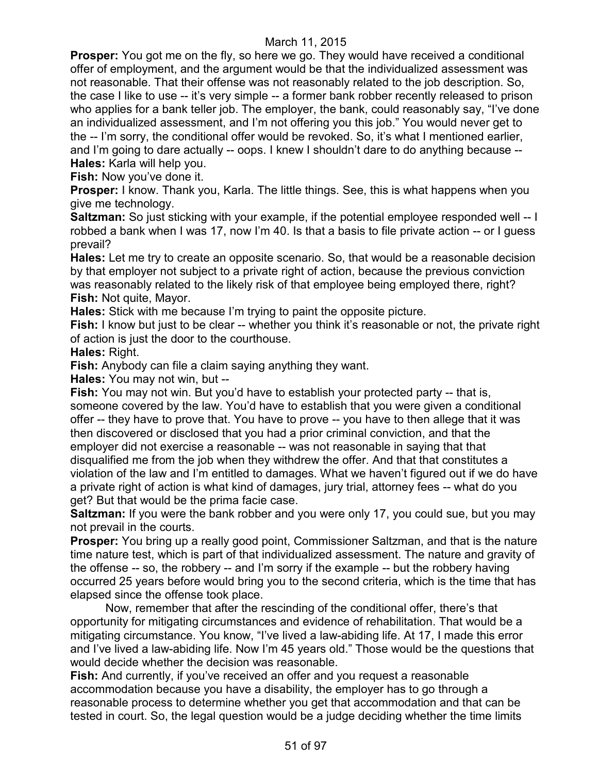**Prosper:** You got me on the fly, so here we go. They would have received a conditional offer of employment, and the argument would be that the individualized assessment was not reasonable. That their offense was not reasonably related to the job description. So, the case I like to use -- it's very simple -- a former bank robber recently released to prison who applies for a bank teller job. The employer, the bank, could reasonably say, "I've done an individualized assessment, and I'm not offering you this job." You would never get to the -- I'm sorry, the conditional offer would be revoked. So, it's what I mentioned earlier, and I'm going to dare actually -- oops. I knew I shouldn't dare to do anything because -- **Hales:** Karla will help you.

**Fish:** Now you've done it.

**Prosper:** I know. Thank you, Karla. The little things. See, this is what happens when you give me technology.

**Saltzman:** So just sticking with your example, if the potential employee responded well -- I robbed a bank when I was 17, now I'm 40. Is that a basis to file private action -- or I guess prevail?

**Hales:** Let me try to create an opposite scenario. So, that would be a reasonable decision by that employer not subject to a private right of action, because the previous conviction was reasonably related to the likely risk of that employee being employed there, right? **Fish:** Not quite, Mayor.

**Hales:** Stick with me because I'm trying to paint the opposite picture.

**Fish:** I know but just to be clear -- whether you think it's reasonable or not, the private right of action is just the door to the courthouse.

**Hales:** Right.

**Fish:** Anybody can file a claim saying anything they want.

**Hales:** You may not win, but --

**Fish:** You may not win. But you'd have to establish your protected party -- that is, someone covered by the law. You'd have to establish that you were given a conditional offer -- they have to prove that. You have to prove -- you have to then allege that it was then discovered or disclosed that you had a prior criminal conviction, and that the employer did not exercise a reasonable -- was not reasonable in saying that that disqualified me from the job when they withdrew the offer. And that that constitutes a violation of the law and I'm entitled to damages. What we haven't figured out if we do have a private right of action is what kind of damages, jury trial, attorney fees -- what do you get? But that would be the prima facie case.

**Saltzman:** If you were the bank robber and you were only 17, you could sue, but you may not prevail in the courts.

**Prosper:** You bring up a really good point, Commissioner Saltzman, and that is the nature time nature test, which is part of that individualized assessment. The nature and gravity of the offense -- so, the robbery -- and I'm sorry if the example -- but the robbery having occurred 25 years before would bring you to the second criteria, which is the time that has elapsed since the offense took place.

Now, remember that after the rescinding of the conditional offer, there's that opportunity for mitigating circumstances and evidence of rehabilitation. That would be a mitigating circumstance. You know, "I've lived a law-abiding life. At 17, I made this error and I've lived a law-abiding life. Now I'm 45 years old." Those would be the questions that would decide whether the decision was reasonable.

**Fish:** And currently, if you've received an offer and you request a reasonable accommodation because you have a disability, the employer has to go through a reasonable process to determine whether you get that accommodation and that can be tested in court. So, the legal question would be a judge deciding whether the time limits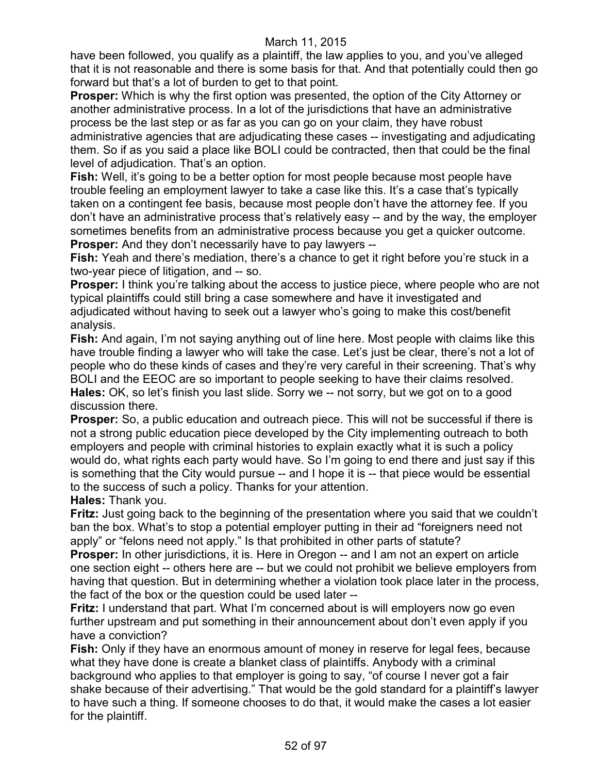have been followed, you qualify as a plaintiff, the law applies to you, and you've alleged that it is not reasonable and there is some basis for that. And that potentially could then go forward but that's a lot of burden to get to that point.

**Prosper:** Which is why the first option was presented, the option of the City Attorney or another administrative process. In a lot of the jurisdictions that have an administrative process be the last step or as far as you can go on your claim, they have robust administrative agencies that are adjudicating these cases -- investigating and adjudicating them. So if as you said a place like BOLI could be contracted, then that could be the final level of adjudication. That's an option.

**Fish:** Well, it's going to be a better option for most people because most people have trouble feeling an employment lawyer to take a case like this. It's a case that's typically taken on a contingent fee basis, because most people don't have the attorney fee. If you don't have an administrative process that's relatively easy -- and by the way, the employer sometimes benefits from an administrative process because you get a quicker outcome. **Prosper:** And they don't necessarily have to pay lawyers --

**Fish:** Yeah and there's mediation, there's a chance to get it right before you're stuck in a two-year piece of litigation, and -- so.

**Prosper:** I think you're talking about the access to justice piece, where people who are not typical plaintiffs could still bring a case somewhere and have it investigated and adjudicated without having to seek out a lawyer who's going to make this cost/benefit analysis.

**Fish:** And again, I'm not saying anything out of line here. Most people with claims like this have trouble finding a lawyer who will take the case. Let's just be clear, there's not a lot of people who do these kinds of cases and they're very careful in their screening. That's why BOLI and the EEOC are so important to people seeking to have their claims resolved. **Hales:** OK, so let's finish you last slide. Sorry we -- not sorry, but we got on to a good discussion there.

**Prosper:** So, a public education and outreach piece. This will not be successful if there is not a strong public education piece developed by the City implementing outreach to both employers and people with criminal histories to explain exactly what it is such a policy would do, what rights each party would have. So I'm going to end there and just say if this is something that the City would pursue -- and I hope it is -- that piece would be essential to the success of such a policy. Thanks for your attention.

**Hales:** Thank you.

**Fritz:** Just going back to the beginning of the presentation where you said that we couldn't ban the box. What's to stop a potential employer putting in their ad "foreigners need not apply" or "felons need not apply." Is that prohibited in other parts of statute?

**Prosper:** In other jurisdictions, it is. Here in Oregon -- and I am not an expert on article one section eight -- others here are -- but we could not prohibit we believe employers from having that question. But in determining whether a violation took place later in the process, the fact of the box or the question could be used later --

**Fritz:** I understand that part. What I'm concerned about is will employers now go even further upstream and put something in their announcement about don't even apply if you have a conviction?

**Fish:** Only if they have an enormous amount of money in reserve for legal fees, because what they have done is create a blanket class of plaintiffs. Anybody with a criminal background who applies to that employer is going to say, "of course I never got a fair shake because of their advertising." That would be the gold standard for a plaintiff's lawyer to have such a thing. If someone chooses to do that, it would make the cases a lot easier for the plaintiff.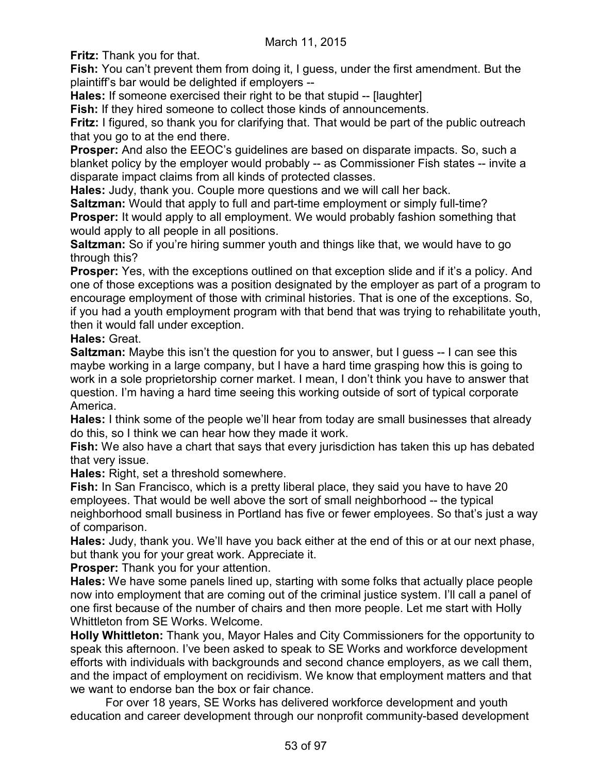**Fritz:** Thank you for that.

**Fish:** You can't prevent them from doing it, I guess, under the first amendment. But the plaintiff's bar would be delighted if employers --

**Hales:** If someone exercised their right to be that stupid -- [laughter]

**Fish:** If they hired someone to collect those kinds of announcements.

**Fritz:** I figured, so thank you for clarifying that. That would be part of the public outreach that you go to at the end there.

**Prosper:** And also the EEOC's guidelines are based on disparate impacts. So, such a blanket policy by the employer would probably -- as Commissioner Fish states -- invite a disparate impact claims from all kinds of protected classes.

**Hales:** Judy, thank you. Couple more questions and we will call her back.

**Saltzman:** Would that apply to full and part-time employment or simply full-time? **Prosper:** It would apply to all employment. We would probably fashion something that would apply to all people in all positions.

**Saltzman:** So if you're hiring summer youth and things like that, we would have to go through this?

**Prosper:** Yes, with the exceptions outlined on that exception slide and if it's a policy. And one of those exceptions was a position designated by the employer as part of a program to encourage employment of those with criminal histories. That is one of the exceptions. So, if you had a youth employment program with that bend that was trying to rehabilitate youth, then it would fall under exception.

**Hales:** Great.

**Saltzman:** Maybe this isn't the question for you to answer, but I guess -- I can see this maybe working in a large company, but I have a hard time grasping how this is going to work in a sole proprietorship corner market. I mean, I don't think you have to answer that question. I'm having a hard time seeing this working outside of sort of typical corporate America.

**Hales:** I think some of the people we'll hear from today are small businesses that already do this, so I think we can hear how they made it work.

**Fish:** We also have a chart that says that every jurisdiction has taken this up has debated that very issue.

**Hales:** Right, set a threshold somewhere.

**Fish:** In San Francisco, which is a pretty liberal place, they said you have to have 20 employees. That would be well above the sort of small neighborhood -- the typical neighborhood small business in Portland has five or fewer employees. So that's just a way of comparison.

**Hales:** Judy, thank you. We'll have you back either at the end of this or at our next phase, but thank you for your great work. Appreciate it.

**Prosper:** Thank you for your attention.

**Hales:** We have some panels lined up, starting with some folks that actually place people now into employment that are coming out of the criminal justice system. I'll call a panel of one first because of the number of chairs and then more people. Let me start with Holly Whittleton from SE Works. Welcome.

**Holly Whittleton:** Thank you, Mayor Hales and City Commissioners for the opportunity to speak this afternoon. I've been asked to speak to SE Works and workforce development efforts with individuals with backgrounds and second chance employers, as we call them, and the impact of employment on recidivism. We know that employment matters and that we want to endorse ban the box or fair chance.

For over 18 years, SE Works has delivered workforce development and youth education and career development through our nonprofit community-based development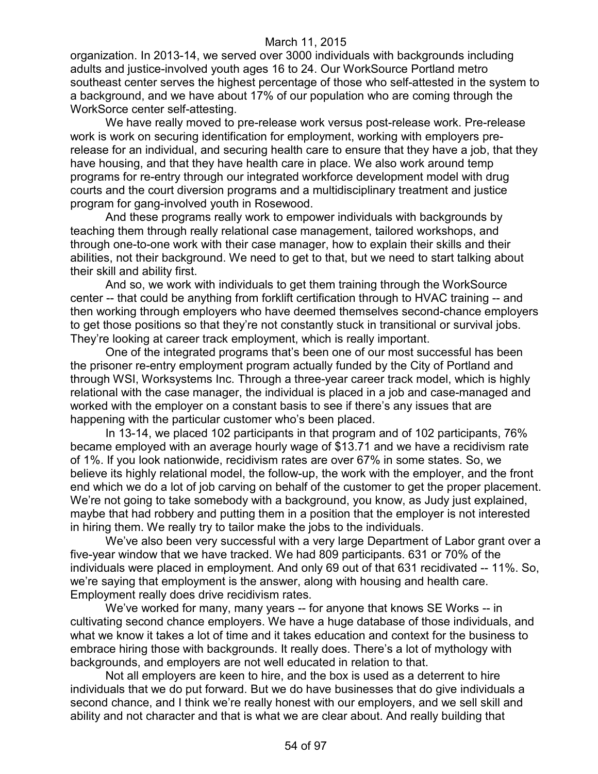organization. In 2013-14, we served over 3000 individuals with backgrounds including adults and justice-involved youth ages 16 to 24. Our WorkSource Portland metro southeast center serves the highest percentage of those who self-attested in the system to a background, and we have about 17% of our population who are coming through the WorkSorce center self-attesting.

We have really moved to pre-release work versus post-release work. Pre-release work is work on securing identification for employment, working with employers prerelease for an individual, and securing health care to ensure that they have a job, that they have housing, and that they have health care in place. We also work around temp programs for re-entry through our integrated workforce development model with drug courts and the court diversion programs and a multidisciplinary treatment and justice program for gang-involved youth in Rosewood.

And these programs really work to empower individuals with backgrounds by teaching them through really relational case management, tailored workshops, and through one-to-one work with their case manager, how to explain their skills and their abilities, not their background. We need to get to that, but we need to start talking about their skill and ability first.

And so, we work with individuals to get them training through the WorkSource center -- that could be anything from forklift certification through to HVAC training -- and then working through employers who have deemed themselves second-chance employers to get those positions so that they're not constantly stuck in transitional or survival jobs. They're looking at career track employment, which is really important.

One of the integrated programs that's been one of our most successful has been the prisoner re-entry employment program actually funded by the City of Portland and through WSI, Worksystems Inc. Through a three-year career track model, which is highly relational with the case manager, the individual is placed in a job and case-managed and worked with the employer on a constant basis to see if there's any issues that are happening with the particular customer who's been placed.

In 13-14, we placed 102 participants in that program and of 102 participants, 76% became employed with an average hourly wage of \$13.71 and we have a recidivism rate of 1%. If you look nationwide, recidivism rates are over 67% in some states. So, we believe its highly relational model, the follow-up, the work with the employer, and the front end which we do a lot of job carving on behalf of the customer to get the proper placement. We're not going to take somebody with a background, you know, as Judy just explained, maybe that had robbery and putting them in a position that the employer is not interested in hiring them. We really try to tailor make the jobs to the individuals.

We've also been very successful with a very large Department of Labor grant over a five-year window that we have tracked. We had 809 participants. 631 or 70% of the individuals were placed in employment. And only 69 out of that 631 recidivated -- 11%. So, we're saying that employment is the answer, along with housing and health care. Employment really does drive recidivism rates.

We've worked for many, many years -- for anyone that knows SE Works -- in cultivating second chance employers. We have a huge database of those individuals, and what we know it takes a lot of time and it takes education and context for the business to embrace hiring those with backgrounds. It really does. There's a lot of mythology with backgrounds, and employers are not well educated in relation to that.

Not all employers are keen to hire, and the box is used as a deterrent to hire individuals that we do put forward. But we do have businesses that do give individuals a second chance, and I think we're really honest with our employers, and we sell skill and ability and not character and that is what we are clear about. And really building that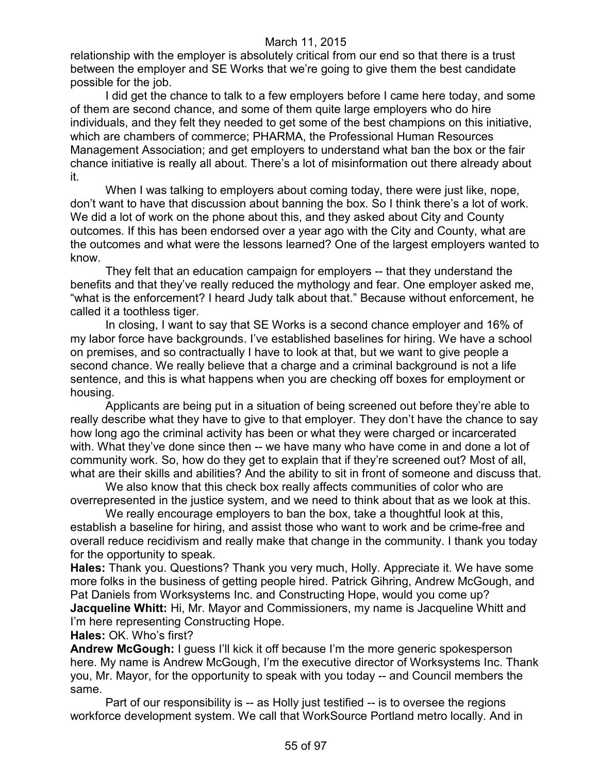relationship with the employer is absolutely critical from our end so that there is a trust between the employer and SE Works that we're going to give them the best candidate possible for the job.

I did get the chance to talk to a few employers before I came here today, and some of them are second chance, and some of them quite large employers who do hire individuals, and they felt they needed to get some of the best champions on this initiative, which are chambers of commerce; PHARMA, the Professional Human Resources Management Association; and get employers to understand what ban the box or the fair chance initiative is really all about. There's a lot of misinformation out there already about it.

When I was talking to employers about coming today, there were just like, nope, don't want to have that discussion about banning the box. So I think there's a lot of work. We did a lot of work on the phone about this, and they asked about City and County outcomes. If this has been endorsed over a year ago with the City and County, what are the outcomes and what were the lessons learned? One of the largest employers wanted to know.

They felt that an education campaign for employers -- that they understand the benefits and that they've really reduced the mythology and fear. One employer asked me, "what is the enforcement? I heard Judy talk about that." Because without enforcement, he called it a toothless tiger.

In closing, I want to say that SE Works is a second chance employer and 16% of my labor force have backgrounds. I've established baselines for hiring. We have a school on premises, and so contractually I have to look at that, but we want to give people a second chance. We really believe that a charge and a criminal background is not a life sentence, and this is what happens when you are checking off boxes for employment or housing.

Applicants are being put in a situation of being screened out before they're able to really describe what they have to give to that employer. They don't have the chance to say how long ago the criminal activity has been or what they were charged or incarcerated with. What they've done since then -- we have many who have come in and done a lot of community work. So, how do they get to explain that if they're screened out? Most of all, what are their skills and abilities? And the ability to sit in front of someone and discuss that.

We also know that this check box really affects communities of color who are overrepresented in the justice system, and we need to think about that as we look at this.

We really encourage employers to ban the box, take a thoughtful look at this, establish a baseline for hiring, and assist those who want to work and be crime-free and overall reduce recidivism and really make that change in the community. I thank you today for the opportunity to speak.

**Hales:** Thank you. Questions? Thank you very much, Holly. Appreciate it. We have some more folks in the business of getting people hired. Patrick Gihring, Andrew McGough, and Pat Daniels from Worksystems Inc. and Constructing Hope, would you come up? **Jacqueline Whitt:** Hi, Mr. Mayor and Commissioners, my name is Jacqueline Whitt and I'm here representing Constructing Hope.

**Hales:** OK. Who's first?

**Andrew McGough:** I guess I'll kick it off because I'm the more generic spokesperson here. My name is Andrew McGough, I'm the executive director of Worksystems Inc. Thank you, Mr. Mayor, for the opportunity to speak with you today -- and Council members the same.

Part of our responsibility is -- as Holly just testified -- is to oversee the regions workforce development system. We call that WorkSource Portland metro locally. And in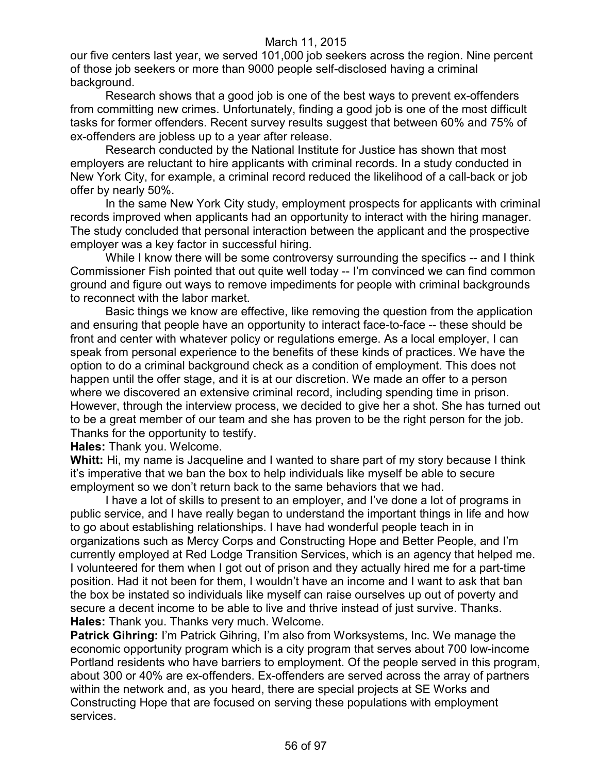our five centers last year, we served 101,000 job seekers across the region. Nine percent of those job seekers or more than 9000 people self-disclosed having a criminal background.

Research shows that a good job is one of the best ways to prevent ex-offenders from committing new crimes. Unfortunately, finding a good job is one of the most difficult tasks for former offenders. Recent survey results suggest that between 60% and 75% of ex-offenders are jobless up to a year after release.

Research conducted by the National Institute for Justice has shown that most employers are reluctant to hire applicants with criminal records. In a study conducted in New York City, for example, a criminal record reduced the likelihood of a call-back or job offer by nearly 50%.

In the same New York City study, employment prospects for applicants with criminal records improved when applicants had an opportunity to interact with the hiring manager. The study concluded that personal interaction between the applicant and the prospective employer was a key factor in successful hiring.

While I know there will be some controversy surrounding the specifics -- and I think Commissioner Fish pointed that out quite well today -- I'm convinced we can find common ground and figure out ways to remove impediments for people with criminal backgrounds to reconnect with the labor market.

Basic things we know are effective, like removing the question from the application and ensuring that people have an opportunity to interact face-to-face -- these should be front and center with whatever policy or regulations emerge. As a local employer, I can speak from personal experience to the benefits of these kinds of practices. We have the option to do a criminal background check as a condition of employment. This does not happen until the offer stage, and it is at our discretion. We made an offer to a person where we discovered an extensive criminal record, including spending time in prison. However, through the interview process, we decided to give her a shot. She has turned out to be a great member of our team and she has proven to be the right person for the job. Thanks for the opportunity to testify.

**Hales:** Thank you. Welcome.

**Whitt:** Hi, my name is Jacqueline and I wanted to share part of my story because I think it's imperative that we ban the box to help individuals like myself be able to secure employment so we don't return back to the same behaviors that we had.

I have a lot of skills to present to an employer, and I've done a lot of programs in public service, and I have really began to understand the important things in life and how to go about establishing relationships. I have had wonderful people teach in in organizations such as Mercy Corps and Constructing Hope and Better People, and I'm currently employed at Red Lodge Transition Services, which is an agency that helped me. I volunteered for them when I got out of prison and they actually hired me for a part-time position. Had it not been for them, I wouldn't have an income and I want to ask that ban the box be instated so individuals like myself can raise ourselves up out of poverty and secure a decent income to be able to live and thrive instead of just survive. Thanks. **Hales:** Thank you. Thanks very much. Welcome.

**Patrick Gihring:** I'm Patrick Gihring, I'm also from Worksystems, Inc. We manage the economic opportunity program which is a city program that serves about 700 low-income Portland residents who have barriers to employment. Of the people served in this program, about 300 or 40% are ex-offenders. Ex-offenders are served across the array of partners within the network and, as you heard, there are special projects at SE Works and Constructing Hope that are focused on serving these populations with employment services.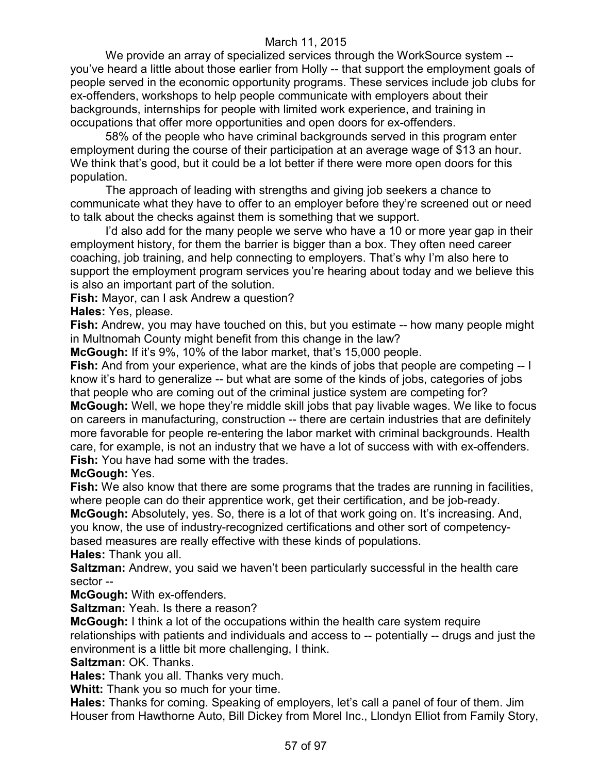We provide an array of specialized services through the WorkSource system - you've heard a little about those earlier from Holly -- that support the employment goals of people served in the economic opportunity programs. These services include job clubs for ex-offenders, workshops to help people communicate with employers about their backgrounds, internships for people with limited work experience, and training in occupations that offer more opportunities and open doors for ex-offenders.

58% of the people who have criminal backgrounds served in this program enter employment during the course of their participation at an average wage of \$13 an hour. We think that's good, but it could be a lot better if there were more open doors for this population.

The approach of leading with strengths and giving job seekers a chance to communicate what they have to offer to an employer before they're screened out or need to talk about the checks against them is something that we support.

I'd also add for the many people we serve who have a 10 or more year gap in their employment history, for them the barrier is bigger than a box. They often need career coaching, job training, and help connecting to employers. That's why I'm also here to support the employment program services you're hearing about today and we believe this is also an important part of the solution.

**Fish:** Mayor, can I ask Andrew a question?

**Hales:** Yes, please.

**Fish:** Andrew, you may have touched on this, but you estimate -- how many people might in Multnomah County might benefit from this change in the law?

**McGough:** If it's 9%, 10% of the labor market, that's 15,000 people.

**Fish:** And from your experience, what are the kinds of jobs that people are competing -- I know it's hard to generalize -- but what are some of the kinds of jobs, categories of jobs that people who are coming out of the criminal justice system are competing for?

**McGough:** Well, we hope they're middle skill jobs that pay livable wages. We like to focus on careers in manufacturing, construction -- there are certain industries that are definitely more favorable for people re-entering the labor market with criminal backgrounds. Health care, for example, is not an industry that we have a lot of success with with ex-offenders. **Fish:** You have had some with the trades.

# **McGough:** Yes.

**Fish:** We also know that there are some programs that the trades are running in facilities, where people can do their apprentice work, get their certification, and be job-ready. **McGough:** Absolutely, yes. So, there is a lot of that work going on. It's increasing. And, you know, the use of industry-recognized certifications and other sort of competencybased measures are really effective with these kinds of populations.

**Hales:** Thank you all. **Saltzman:** Andrew, you said we haven't been particularly successful in the health care

sector --

**McGough:** With ex-offenders.

**Saltzman:** Yeah. Is there a reason?

**McGough:** I think a lot of the occupations within the health care system require relationships with patients and individuals and access to -- potentially -- drugs and just the environment is a little bit more challenging, I think.

**Saltzman:** OK. Thanks.

**Hales:** Thank you all. Thanks very much.

**Whitt:** Thank you so much for your time.

**Hales:** Thanks for coming. Speaking of employers, let's call a panel of four of them. Jim Houser from Hawthorne Auto, Bill Dickey from Morel Inc., Llondyn Elliot from Family Story,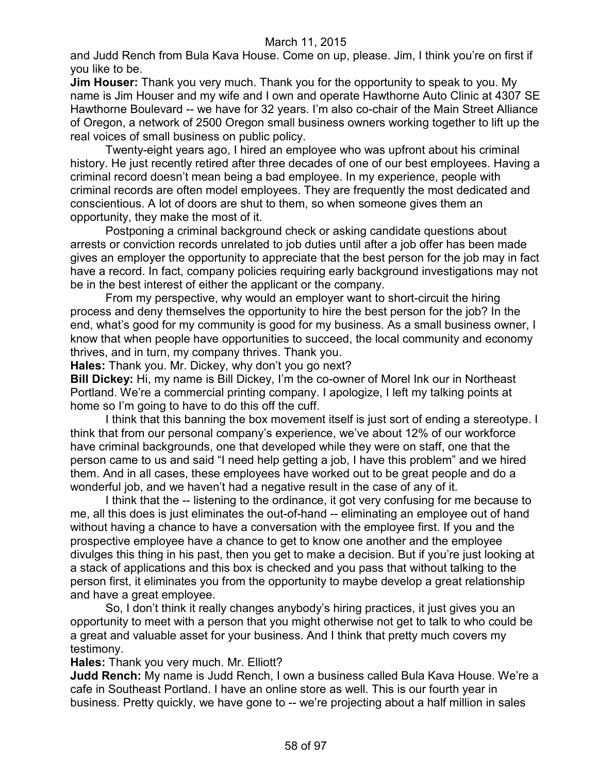and Judd Rench from Bula Kava House. Come on up, please. Jim, I think you're on first if you like to be.

**Jim Houser:** Thank you very much. Thank you for the opportunity to speak to you. My name is Jim Houser and my wife and I own and operate Hawthorne Auto Clinic at 4307 SE Hawthorne Boulevard -- we have for 32 years. I'm also co-chair of the Main Street Alliance of Oregon, a network of 2500 Oregon small business owners working together to lift up the real voices of small business on public policy.

Twenty-eight years ago, I hired an employee who was upfront about his criminal history. He just recently retired after three decades of one of our best employees. Having a criminal record doesn't mean being a bad employee. In my experience, people with criminal records are often model employees. They are frequently the most dedicated and conscientious. A lot of doors are shut to them, so when someone gives them an opportunity, they make the most of it.

Postponing a criminal background check or asking candidate questions about arrests or conviction records unrelated to job duties until after a job offer has been made gives an employer the opportunity to appreciate that the best person for the job may in fact have a record. In fact, company policies requiring early background investigations may not be in the best interest of either the applicant or the company.

From my perspective, why would an employer want to short-circuit the hiring process and deny themselves the opportunity to hire the best person for the job? In the end, what's good for my community is good for my business. As a small business owner, I know that when people have opportunities to succeed, the local community and economy thrives, and in turn, my company thrives. Thank you.

**Hales:** Thank you. Mr. Dickey, why don't you go next?

**Bill Dickey:** Hi, my name is Bill Dickey, I'm the co-owner of Morel Ink our in Northeast Portland. We're a commercial printing company. I apologize, I left my talking points at home so I'm going to have to do this off the cuff.

I think that this banning the box movement itself is just sort of ending a stereotype. I think that from our personal company's experience, we've about 12% of our workforce have criminal backgrounds, one that developed while they were on staff, one that the person came to us and said "I need help getting a job, I have this problem" and we hired them. And in all cases, these employees have worked out to be great people and do a wonderful job, and we haven't had a negative result in the case of any of it.

I think that the -- listening to the ordinance, it got very confusing for me because to me, all this does is just eliminates the out-of-hand -- eliminating an employee out of hand without having a chance to have a conversation with the employee first. If you and the prospective employee have a chance to get to know one another and the employee divulges this thing in his past, then you get to make a decision. But if you're just looking at a stack of applications and this box is checked and you pass that without talking to the person first, it eliminates you from the opportunity to maybe develop a great relationship and have a great employee.

So, I don't think it really changes anybody's hiring practices, it just gives you an opportunity to meet with a person that you might otherwise not get to talk to who could be a great and valuable asset for your business. And I think that pretty much covers my testimony.

**Hales:** Thank you very much. Mr. Elliott?

**Judd Rench:** My name is Judd Rench, I own a business called Bula Kava House. We're a cafe in Southeast Portland. I have an online store as well. This is our fourth year in business. Pretty quickly, we have gone to -- we're projecting about a half million in sales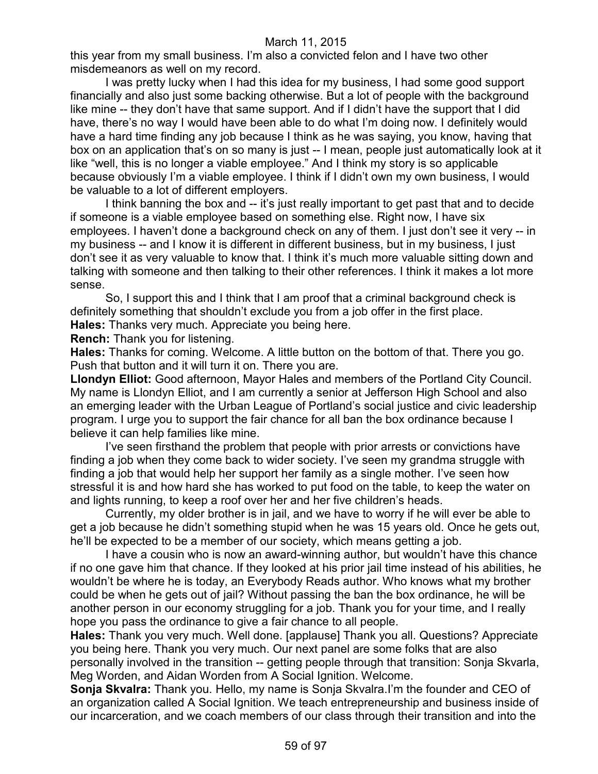this year from my small business. I'm also a convicted felon and I have two other misdemeanors as well on my record.

I was pretty lucky when I had this idea for my business, I had some good support financially and also just some backing otherwise. But a lot of people with the background like mine -- they don't have that same support. And if I didn't have the support that I did have, there's no way I would have been able to do what I'm doing now. I definitely would have a hard time finding any job because I think as he was saying, you know, having that box on an application that's on so many is just -- I mean, people just automatically look at it like "well, this is no longer a viable employee." And I think my story is so applicable because obviously I'm a viable employee. I think if I didn't own my own business, I would be valuable to a lot of different employers.

I think banning the box and -- it's just really important to get past that and to decide if someone is a viable employee based on something else. Right now, I have six employees. I haven't done a background check on any of them. I just don't see it very -- in my business -- and I know it is different in different business, but in my business, I just don't see it as very valuable to know that. I think it's much more valuable sitting down and talking with someone and then talking to their other references. I think it makes a lot more sense.

So, I support this and I think that I am proof that a criminal background check is definitely something that shouldn't exclude you from a job offer in the first place. **Hales:** Thanks very much. Appreciate you being here.

**Rench:** Thank you for listening.

**Hales:** Thanks for coming. Welcome. A little button on the bottom of that. There you go. Push that button and it will turn it on. There you are.

**Llondyn Elliot:** Good afternoon, Mayor Hales and members of the Portland City Council. My name is Llondyn Elliot, and I am currently a senior at Jefferson High School and also an emerging leader with the Urban League of Portland's social justice and civic leadership program. I urge you to support the fair chance for all ban the box ordinance because I believe it can help families like mine.

I've seen firsthand the problem that people with prior arrests or convictions have finding a job when they come back to wider society. I've seen my grandma struggle with finding a job that would help her support her family as a single mother. I've seen how stressful it is and how hard she has worked to put food on the table, to keep the water on and lights running, to keep a roof over her and her five children's heads.

Currently, my older brother is in jail, and we have to worry if he will ever be able to get a job because he didn't something stupid when he was 15 years old. Once he gets out, he'll be expected to be a member of our society, which means getting a job.

I have a cousin who is now an award-winning author, but wouldn't have this chance if no one gave him that chance. If they looked at his prior jail time instead of his abilities, he wouldn't be where he is today, an Everybody Reads author. Who knows what my brother could be when he gets out of jail? Without passing the ban the box ordinance, he will be another person in our economy struggling for a job. Thank you for your time, and I really hope you pass the ordinance to give a fair chance to all people.

**Hales:** Thank you very much. Well done. [applause] Thank you all. Questions? Appreciate you being here. Thank you very much. Our next panel are some folks that are also personally involved in the transition -- getting people through that transition: Sonja Skvarla, Meg Worden, and Aidan Worden from A Social Ignition. Welcome.

**Sonja Skvalra:** Thank you. Hello, my name is Sonja Skvalra.I'm the founder and CEO of an organization called A Social Ignition. We teach entrepreneurship and business inside of our incarceration, and we coach members of our class through their transition and into the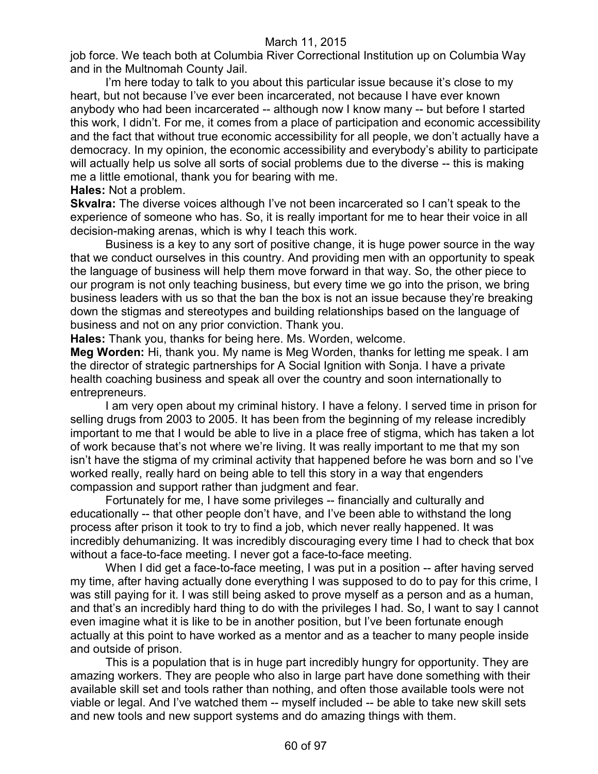job force. We teach both at Columbia River Correctional Institution up on Columbia Way and in the Multnomah County Jail.

I'm here today to talk to you about this particular issue because it's close to my heart, but not because I've ever been incarcerated, not because I have ever known anybody who had been incarcerated -- although now I know many -- but before I started this work, I didn't. For me, it comes from a place of participation and economic accessibility and the fact that without true economic accessibility for all people, we don't actually have a democracy. In my opinion, the economic accessibility and everybody's ability to participate will actually help us solve all sorts of social problems due to the diverse -- this is making me a little emotional, thank you for bearing with me.

#### **Hales:** Not a problem.

**Skvalra:** The diverse voices although I've not been incarcerated so I can't speak to the experience of someone who has. So, it is really important for me to hear their voice in all decision-making arenas, which is why I teach this work.

Business is a key to any sort of positive change, it is huge power source in the way that we conduct ourselves in this country. And providing men with an opportunity to speak the language of business will help them move forward in that way. So, the other piece to our program is not only teaching business, but every time we go into the prison, we bring business leaders with us so that the ban the box is not an issue because they're breaking down the stigmas and stereotypes and building relationships based on the language of business and not on any prior conviction. Thank you.

**Hales:** Thank you, thanks for being here. Ms. Worden, welcome.

**Meg Worden:** Hi, thank you. My name is Meg Worden, thanks for letting me speak. I am the director of strategic partnerships for A Social Ignition with Sonja. I have a private health coaching business and speak all over the country and soon internationally to entrepreneurs.

I am very open about my criminal history. I have a felony. I served time in prison for selling drugs from 2003 to 2005. It has been from the beginning of my release incredibly important to me that I would be able to live in a place free of stigma, which has taken a lot of work because that's not where we're living. It was really important to me that my son isn't have the stigma of my criminal activity that happened before he was born and so I've worked really, really hard on being able to tell this story in a way that engenders compassion and support rather than judgment and fear.

Fortunately for me, I have some privileges -- financially and culturally and educationally -- that other people don't have, and I've been able to withstand the long process after prison it took to try to find a job, which never really happened. It was incredibly dehumanizing. It was incredibly discouraging every time I had to check that box without a face-to-face meeting. I never got a face-to-face meeting.

When I did get a face-to-face meeting, I was put in a position -- after having served my time, after having actually done everything I was supposed to do to pay for this crime, I was still paying for it. I was still being asked to prove myself as a person and as a human, and that's an incredibly hard thing to do with the privileges I had. So, I want to say I cannot even imagine what it is like to be in another position, but I've been fortunate enough actually at this point to have worked as a mentor and as a teacher to many people inside and outside of prison.

This is a population that is in huge part incredibly hungry for opportunity. They are amazing workers. They are people who also in large part have done something with their available skill set and tools rather than nothing, and often those available tools were not viable or legal. And I've watched them -- myself included -- be able to take new skill sets and new tools and new support systems and do amazing things with them.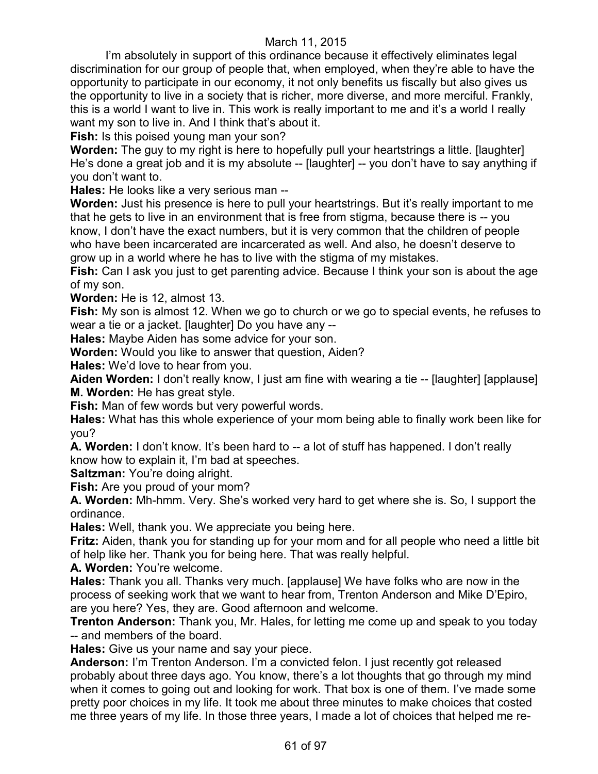I'm absolutely in support of this ordinance because it effectively eliminates legal discrimination for our group of people that, when employed, when they're able to have the opportunity to participate in our economy, it not only benefits us fiscally but also gives us the opportunity to live in a society that is richer, more diverse, and more merciful. Frankly, this is a world I want to live in. This work is really important to me and it's a world I really want my son to live in. And I think that's about it.

**Fish:** Is this poised young man your son?

**Worden:** The guy to my right is here to hopefully pull your heartstrings a little. [laughter] He's done a great job and it is my absolute -- [laughter] -- you don't have to say anything if you don't want to.

**Hales:** He looks like a very serious man --

**Worden:** Just his presence is here to pull your heartstrings. But it's really important to me that he gets to live in an environment that is free from stigma, because there is -- you know, I don't have the exact numbers, but it is very common that the children of people who have been incarcerated are incarcerated as well. And also, he doesn't deserve to grow up in a world where he has to live with the stigma of my mistakes.

**Fish:** Can I ask you just to get parenting advice. Because I think your son is about the age of my son.

**Worden:** He is 12, almost 13.

**Fish:** My son is almost 12. When we go to church or we go to special events, he refuses to wear a tie or a jacket. [laughter] Do you have any --

**Hales:** Maybe Aiden has some advice for your son.

**Worden:** Would you like to answer that question, Aiden?

**Hales:** We'd love to hear from you.

**Aiden Worden:** I don't really know, I just am fine with wearing a tie -- [laughter] [applause] **M. Worden:** He has great style.

**Fish:** Man of few words but very powerful words.

**Hales:** What has this whole experience of your mom being able to finally work been like for you?

**A. Worden:** I don't know. It's been hard to -- a lot of stuff has happened. I don't really know how to explain it, I'm bad at speeches.

**Saltzman:** You're doing alright.

**Fish:** Are you proud of your mom?

**A. Worden:** Mh-hmm. Very. She's worked very hard to get where she is. So, I support the ordinance.

**Hales:** Well, thank you. We appreciate you being here.

**Fritz:** Aiden, thank you for standing up for your mom and for all people who need a little bit of help like her. Thank you for being here. That was really helpful.

**A. Worden:** You're welcome.

**Hales:** Thank you all. Thanks very much. [applause] We have folks who are now in the process of seeking work that we want to hear from, Trenton Anderson and Mike D'Epiro, are you here? Yes, they are. Good afternoon and welcome.

**Trenton Anderson:** Thank you, Mr. Hales, for letting me come up and speak to you today -- and members of the board.

**Hales:** Give us your name and say your piece.

**Anderson:** I'm Trenton Anderson. I'm a convicted felon. I just recently got released probably about three days ago. You know, there's a lot thoughts that go through my mind when it comes to going out and looking for work. That box is one of them. I've made some pretty poor choices in my life. It took me about three minutes to make choices that costed me three years of my life. In those three years, I made a lot of choices that helped me re-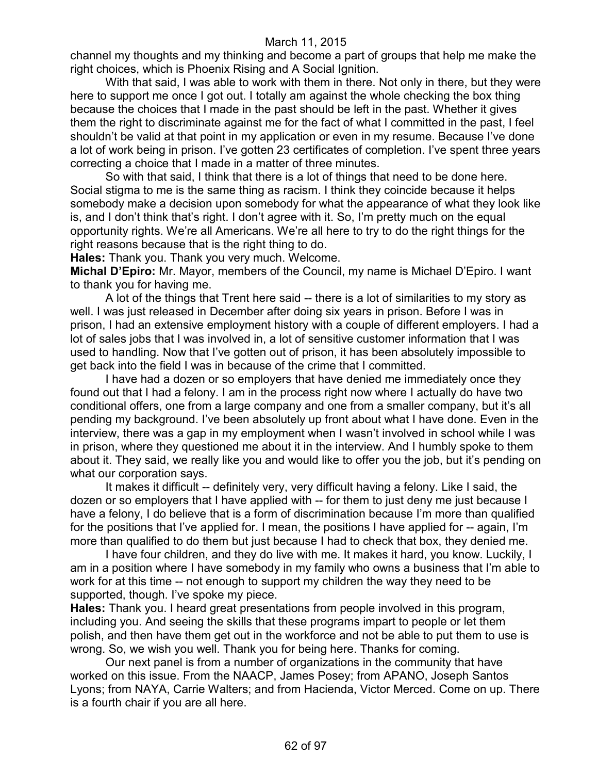channel my thoughts and my thinking and become a part of groups that help me make the right choices, which is Phoenix Rising and A Social Ignition.

With that said, I was able to work with them in there. Not only in there, but they were here to support me once I got out. I totally am against the whole checking the box thing because the choices that I made in the past should be left in the past. Whether it gives them the right to discriminate against me for the fact of what I committed in the past, I feel shouldn't be valid at that point in my application or even in my resume. Because I've done a lot of work being in prison. I've gotten 23 certificates of completion. I've spent three years correcting a choice that I made in a matter of three minutes.

So with that said, I think that there is a lot of things that need to be done here. Social stigma to me is the same thing as racism. I think they coincide because it helps somebody make a decision upon somebody for what the appearance of what they look like is, and I don't think that's right. I don't agree with it. So, I'm pretty much on the equal opportunity rights. We're all Americans. We're all here to try to do the right things for the right reasons because that is the right thing to do.

**Hales:** Thank you. Thank you very much. Welcome.

**Michal D'Epiro:** Mr. Mayor, members of the Council, my name is Michael D'Epiro. I want to thank you for having me.

A lot of the things that Trent here said -- there is a lot of similarities to my story as well. I was just released in December after doing six years in prison. Before I was in prison, I had an extensive employment history with a couple of different employers. I had a lot of sales jobs that I was involved in, a lot of sensitive customer information that I was used to handling. Now that I've gotten out of prison, it has been absolutely impossible to get back into the field I was in because of the crime that I committed.

I have had a dozen or so employers that have denied me immediately once they found out that I had a felony. I am in the process right now where I actually do have two conditional offers, one from a large company and one from a smaller company, but it's all pending my background. I've been absolutely up front about what I have done. Even in the interview, there was a gap in my employment when I wasn't involved in school while I was in prison, where they questioned me about it in the interview. And I humbly spoke to them about it. They said, we really like you and would like to offer you the job, but it's pending on what our corporation says.

It makes it difficult -- definitely very, very difficult having a felony. Like I said, the dozen or so employers that I have applied with -- for them to just deny me just because I have a felony, I do believe that is a form of discrimination because I'm more than qualified for the positions that I've applied for. I mean, the positions I have applied for -- again, I'm more than qualified to do them but just because I had to check that box, they denied me.

I have four children, and they do live with me. It makes it hard, you know. Luckily, I am in a position where I have somebody in my family who owns a business that I'm able to work for at this time -- not enough to support my children the way they need to be supported, though. I've spoke my piece.

**Hales:** Thank you. I heard great presentations from people involved in this program, including you. And seeing the skills that these programs impart to people or let them polish, and then have them get out in the workforce and not be able to put them to use is wrong. So, we wish you well. Thank you for being here. Thanks for coming.

Our next panel is from a number of organizations in the community that have worked on this issue. From the NAACP, James Posey; from APANO, Joseph Santos Lyons; from NAYA, Carrie Walters; and from Hacienda, Victor Merced. Come on up. There is a fourth chair if you are all here.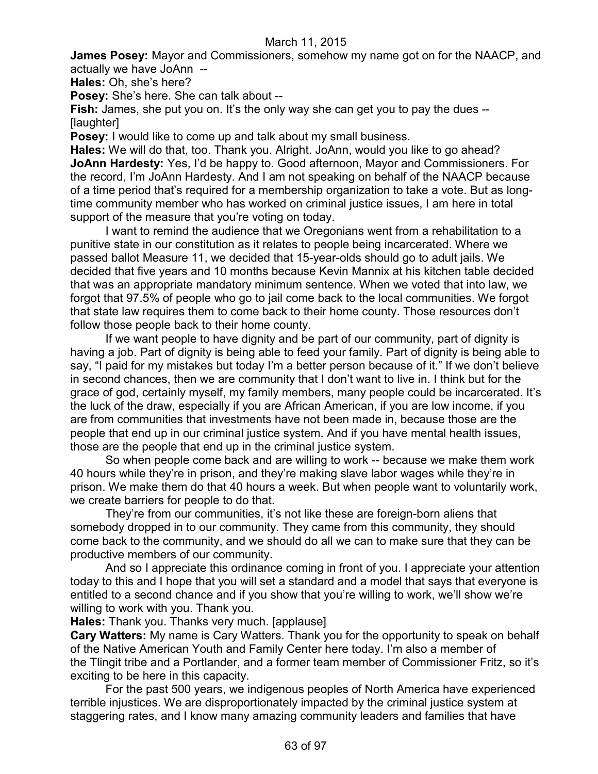**James Posey:** Mayor and Commissioners, somehow my name got on for the NAACP, and actually we have JoAnn --

**Hales:** Oh, she's here?

**Posey:** She's here. She can talk about --

**Fish:** James, she put you on. It's the only way she can get you to pay the dues --[laughter]

**Posey:** I would like to come up and talk about my small business.

**Hales:** We will do that, too. Thank you. Alright. JoAnn, would you like to go ahead? **JoAnn Hardesty:** Yes, I'd be happy to. Good afternoon, Mayor and Commissioners. For the record, I'm JoAnn Hardesty. And I am not speaking on behalf of the NAACP because of a time period that's required for a membership organization to take a vote. But as longtime community member who has worked on criminal justice issues, I am here in total support of the measure that you're voting on today.

I want to remind the audience that we Oregonians went from a rehabilitation to a punitive state in our constitution as it relates to people being incarcerated. Where we passed ballot Measure 11, we decided that 15-year-olds should go to adult jails. We decided that five years and 10 months because Kevin Mannix at his kitchen table decided that was an appropriate mandatory minimum sentence. When we voted that into law, we forgot that 97.5% of people who go to jail come back to the local communities. We forgot that state law requires them to come back to their home county. Those resources don't follow those people back to their home county.

If we want people to have dignity and be part of our community, part of dignity is having a job. Part of dignity is being able to feed your family. Part of dignity is being able to say, "I paid for my mistakes but today I'm a better person because of it." If we don't believe in second chances, then we are community that I don't want to live in. I think but for the grace of god, certainly myself, my family members, many people could be incarcerated. It's the luck of the draw, especially if you are African American, if you are low income, if you are from communities that investments have not been made in, because those are the people that end up in our criminal justice system. And if you have mental health issues, those are the people that end up in the criminal justice system.

So when people come back and are willing to work -- because we make them work 40 hours while they're in prison, and they're making slave labor wages while they're in prison. We make them do that 40 hours a week. But when people want to voluntarily work, we create barriers for people to do that.

They're from our communities, it's not like these are foreign-born aliens that somebody dropped in to our community. They came from this community, they should come back to the community, and we should do all we can to make sure that they can be productive members of our community.

And so I appreciate this ordinance coming in front of you. I appreciate your attention today to this and I hope that you will set a standard and a model that says that everyone is entitled to a second chance and if you show that you're willing to work, we'll show we're willing to work with you. Thank you.

**Hales:** Thank you. Thanks very much. [applause]

**Cary Watters:** My name is Cary Watters. Thank you for the opportunity to speak on behalf of the Native American Youth and Family Center here today. I'm also a member of the Tlingit tribe and a Portlander, and a former team member of Commissioner Fritz, so it's exciting to be here in this capacity.

For the past 500 years, we indigenous peoples of North America have experienced terrible injustices. We are disproportionately impacted by the criminal justice system at staggering rates, and I know many amazing community leaders and families that have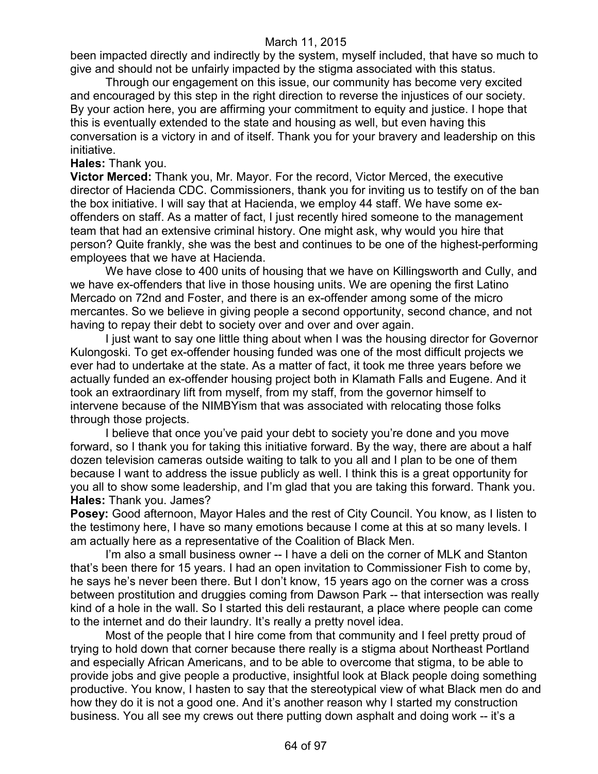been impacted directly and indirectly by the system, myself included, that have so much to give and should not be unfairly impacted by the stigma associated with this status.

Through our engagement on this issue, our community has become very excited and encouraged by this step in the right direction to reverse the injustices of our society. By your action here, you are affirming your commitment to equity and justice. I hope that this is eventually extended to the state and housing as well, but even having this conversation is a victory in and of itself. Thank you for your bravery and leadership on this initiative.

**Hales:** Thank you.

**Victor Merced:** Thank you, Mr. Mayor. For the record, Victor Merced, the executive director of Hacienda CDC. Commissioners, thank you for inviting us to testify on of the ban the box initiative. I will say that at Hacienda, we employ 44 staff. We have some exoffenders on staff. As a matter of fact, I just recently hired someone to the management team that had an extensive criminal history. One might ask, why would you hire that person? Quite frankly, she was the best and continues to be one of the highest-performing employees that we have at Hacienda.

We have close to 400 units of housing that we have on Killingsworth and Cully, and we have ex-offenders that live in those housing units. We are opening the first Latino Mercado on 72nd and Foster, and there is an ex-offender among some of the micro mercantes. So we believe in giving people a second opportunity, second chance, and not having to repay their debt to society over and over and over again.

I just want to say one little thing about when I was the housing director for Governor Kulongoski. To get ex-offender housing funded was one of the most difficult projects we ever had to undertake at the state. As a matter of fact, it took me three years before we actually funded an ex-offender housing project both in Klamath Falls and Eugene. And it took an extraordinary lift from myself, from my staff, from the governor himself to intervene because of the NIMBYism that was associated with relocating those folks through those projects.

I believe that once you've paid your debt to society you're done and you move forward, so I thank you for taking this initiative forward. By the way, there are about a half dozen television cameras outside waiting to talk to you all and I plan to be one of them because I want to address the issue publicly as well. I think this is a great opportunity for you all to show some leadership, and I'm glad that you are taking this forward. Thank you. **Hales:** Thank you. James?

**Posey:** Good afternoon, Mayor Hales and the rest of City Council. You know, as I listen to the testimony here, I have so many emotions because I come at this at so many levels. I am actually here as a representative of the Coalition of Black Men.

I'm also a small business owner -- I have a deli on the corner of MLK and Stanton that's been there for 15 years. I had an open invitation to Commissioner Fish to come by, he says he's never been there. But I don't know, 15 years ago on the corner was a cross between prostitution and druggies coming from Dawson Park -- that intersection was really kind of a hole in the wall. So I started this deli restaurant, a place where people can come to the internet and do their laundry. It's really a pretty novel idea.

Most of the people that I hire come from that community and I feel pretty proud of trying to hold down that corner because there really is a stigma about Northeast Portland and especially African Americans, and to be able to overcome that stigma, to be able to provide jobs and give people a productive, insightful look at Black people doing something productive. You know, I hasten to say that the stereotypical view of what Black men do and how they do it is not a good one. And it's another reason why I started my construction business. You all see my crews out there putting down asphalt and doing work -- it's a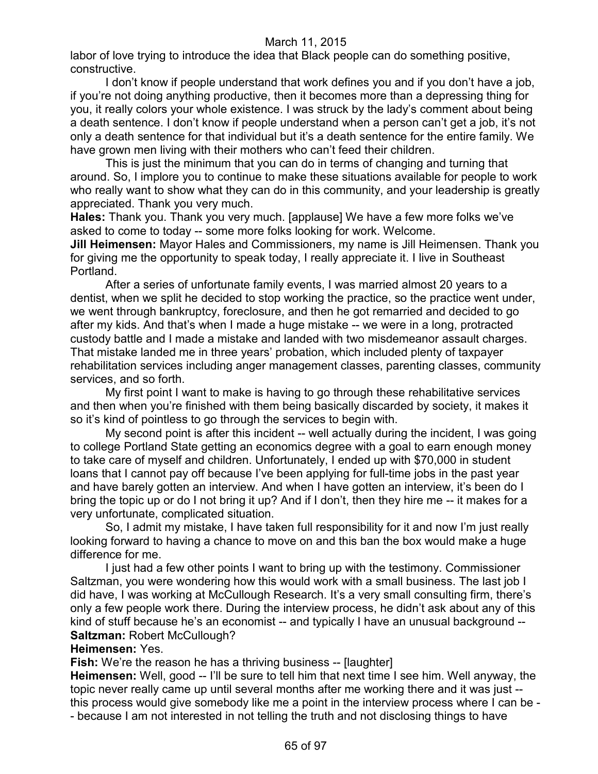labor of love trying to introduce the idea that Black people can do something positive, constructive.

I don't know if people understand that work defines you and if you don't have a job, if you're not doing anything productive, then it becomes more than a depressing thing for you, it really colors your whole existence. I was struck by the lady's comment about being a death sentence. I don't know if people understand when a person can't get a job, it's not only a death sentence for that individual but it's a death sentence for the entire family. We have grown men living with their mothers who can't feed their children.

This is just the minimum that you can do in terms of changing and turning that around. So, I implore you to continue to make these situations available for people to work who really want to show what they can do in this community, and your leadership is greatly appreciated. Thank you very much.

**Hales:** Thank you. Thank you very much. [applause] We have a few more folks we've asked to come to today -- some more folks looking for work. Welcome.

**Jill Heimensen:** Mayor Hales and Commissioners, my name is Jill Heimensen. Thank you for giving me the opportunity to speak today, I really appreciate it. I live in Southeast Portland.

After a series of unfortunate family events, I was married almost 20 years to a dentist, when we split he decided to stop working the practice, so the practice went under, we went through bankruptcy, foreclosure, and then he got remarried and decided to go after my kids. And that's when I made a huge mistake -- we were in a long, protracted custody battle and I made a mistake and landed with two misdemeanor assault charges. That mistake landed me in three years' probation, which included plenty of taxpayer rehabilitation services including anger management classes, parenting classes, community services, and so forth.

My first point I want to make is having to go through these rehabilitative services and then when you're finished with them being basically discarded by society, it makes it so it's kind of pointless to go through the services to begin with.

My second point is after this incident -- well actually during the incident, I was going to college Portland State getting an economics degree with a goal to earn enough money to take care of myself and children. Unfortunately, I ended up with \$70,000 in student loans that I cannot pay off because I've been applying for full-time jobs in the past year and have barely gotten an interview. And when I have gotten an interview, it's been do I bring the topic up or do I not bring it up? And if I don't, then they hire me -- it makes for a very unfortunate, complicated situation.

So, I admit my mistake, I have taken full responsibility for it and now I'm just really looking forward to having a chance to move on and this ban the box would make a huge difference for me.

I just had a few other points I want to bring up with the testimony. Commissioner Saltzman, you were wondering how this would work with a small business. The last job I did have, I was working at McCullough Research. It's a very small consulting firm, there's only a few people work there. During the interview process, he didn't ask about any of this kind of stuff because he's an economist -- and typically I have an unusual background --**Saltzman:** Robert McCullough?

#### **Heimensen:** Yes.

**Fish:** We're the reason he has a thriving business -- [laughter]

**Heimensen:** Well, good -- I'll be sure to tell him that next time I see him. Well anyway, the topic never really came up until several months after me working there and it was just - this process would give somebody like me a point in the interview process where I can be -

- because I am not interested in not telling the truth and not disclosing things to have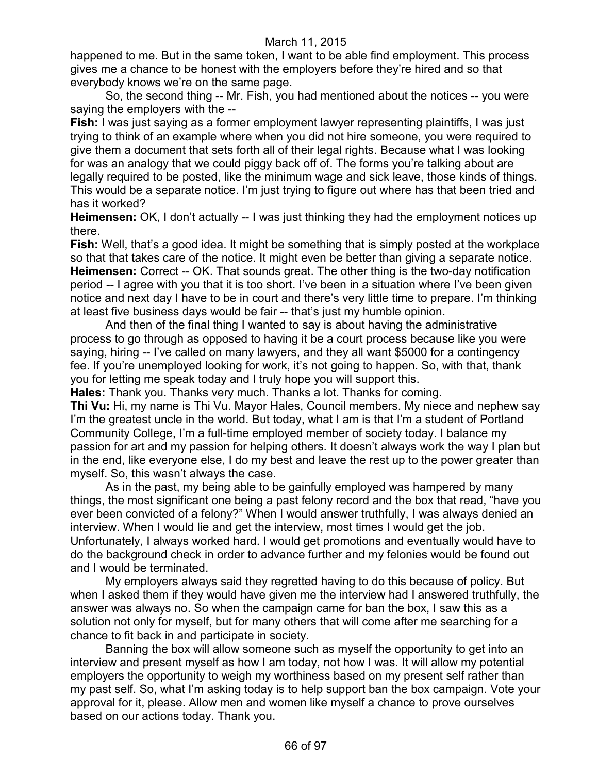happened to me. But in the same token, I want to be able find employment. This process gives me a chance to be honest with the employers before they're hired and so that everybody knows we're on the same page.

So, the second thing -- Mr. Fish, you had mentioned about the notices -- you were saying the employers with the --

**Fish:** I was just saying as a former employment lawyer representing plaintiffs, I was just trying to think of an example where when you did not hire someone, you were required to give them a document that sets forth all of their legal rights. Because what I was looking for was an analogy that we could piggy back off of. The forms you're talking about are legally required to be posted, like the minimum wage and sick leave, those kinds of things. This would be a separate notice. I'm just trying to figure out where has that been tried and has it worked?

**Heimensen:** OK, I don't actually -- I was just thinking they had the employment notices up there.

**Fish:** Well, that's a good idea. It might be something that is simply posted at the workplace so that that takes care of the notice. It might even be better than giving a separate notice. **Heimensen:** Correct -- OK. That sounds great. The other thing is the two-day notification period -- I agree with you that it is too short. I've been in a situation where I've been given notice and next day I have to be in court and there's very little time to prepare. I'm thinking at least five business days would be fair -- that's just my humble opinion.

And then of the final thing I wanted to say is about having the administrative process to go through as opposed to having it be a court process because like you were saying, hiring -- I've called on many lawyers, and they all want \$5000 for a contingency fee. If you're unemployed looking for work, it's not going to happen. So, with that, thank you for letting me speak today and I truly hope you will support this.

**Hales:** Thank you. Thanks very much. Thanks a lot. Thanks for coming.

**Thi Vu:** Hi, my name is Thi Vu. Mayor Hales, Council members. My niece and nephew say I'm the greatest uncle in the world. But today, what I am is that I'm a student of Portland Community College, I'm a full-time employed member of society today. I balance my passion for art and my passion for helping others. It doesn't always work the way I plan but in the end, like everyone else, I do my best and leave the rest up to the power greater than myself. So, this wasn't always the case.

As in the past, my being able to be gainfully employed was hampered by many things, the most significant one being a past felony record and the box that read, "have you ever been convicted of a felony?" When I would answer truthfully, I was always denied an interview. When I would lie and get the interview, most times I would get the job. Unfortunately, I always worked hard. I would get promotions and eventually would have to do the background check in order to advance further and my felonies would be found out and I would be terminated.

My employers always said they regretted having to do this because of policy. But when I asked them if they would have given me the interview had I answered truthfully, the answer was always no. So when the campaign came for ban the box, I saw this as a solution not only for myself, but for many others that will come after me searching for a chance to fit back in and participate in society.

Banning the box will allow someone such as myself the opportunity to get into an interview and present myself as how I am today, not how I was. It will allow my potential employers the opportunity to weigh my worthiness based on my present self rather than my past self. So, what I'm asking today is to help support ban the box campaign. Vote your approval for it, please. Allow men and women like myself a chance to prove ourselves based on our actions today. Thank you.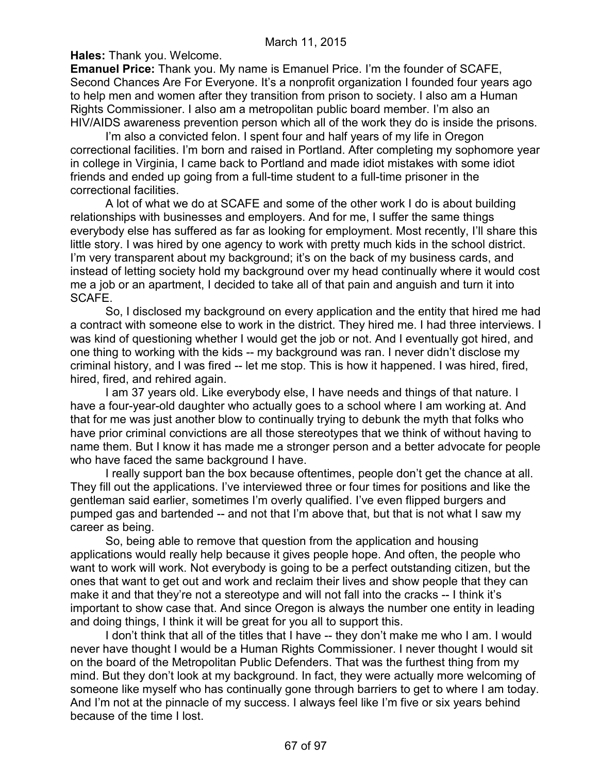**Hales:** Thank you. Welcome.

**Emanuel Price:** Thank you. My name is Emanuel Price. I'm the founder of SCAFE, Second Chances Are For Everyone. It's a nonprofit organization I founded four years ago to help men and women after they transition from prison to society. I also am a Human Rights Commissioner. I also am a metropolitan public board member. I'm also an HIV/AIDS awareness prevention person which all of the work they do is inside the prisons.

I'm also a convicted felon. I spent four and half years of my life in Oregon correctional facilities. I'm born and raised in Portland. After completing my sophomore year in college in Virginia, I came back to Portland and made idiot mistakes with some idiot friends and ended up going from a full-time student to a full-time prisoner in the correctional facilities.

A lot of what we do at SCAFE and some of the other work I do is about building relationships with businesses and employers. And for me, I suffer the same things everybody else has suffered as far as looking for employment. Most recently, I'll share this little story. I was hired by one agency to work with pretty much kids in the school district. I'm very transparent about my background; it's on the back of my business cards, and instead of letting society hold my background over my head continually where it would cost me a job or an apartment, I decided to take all of that pain and anguish and turn it into SCAFE.

So, I disclosed my background on every application and the entity that hired me had a contract with someone else to work in the district. They hired me. I had three interviews. I was kind of questioning whether I would get the job or not. And I eventually got hired, and one thing to working with the kids -- my background was ran. I never didn't disclose my criminal history, and I was fired -- let me stop. This is how it happened. I was hired, fired, hired, fired, and rehired again.

I am 37 years old. Like everybody else, I have needs and things of that nature. I have a four-year-old daughter who actually goes to a school where I am working at. And that for me was just another blow to continually trying to debunk the myth that folks who have prior criminal convictions are all those stereotypes that we think of without having to name them. But I know it has made me a stronger person and a better advocate for people who have faced the same background I have.

I really support ban the box because oftentimes, people don't get the chance at all. They fill out the applications. I've interviewed three or four times for positions and like the gentleman said earlier, sometimes I'm overly qualified. I've even flipped burgers and pumped gas and bartended -- and not that I'm above that, but that is not what I saw my career as being.

So, being able to remove that question from the application and housing applications would really help because it gives people hope. And often, the people who want to work will work. Not everybody is going to be a perfect outstanding citizen, but the ones that want to get out and work and reclaim their lives and show people that they can make it and that they're not a stereotype and will not fall into the cracks -- I think it's important to show case that. And since Oregon is always the number one entity in leading and doing things, I think it will be great for you all to support this.

I don't think that all of the titles that I have -- they don't make me who I am. I would never have thought I would be a Human Rights Commissioner. I never thought I would sit on the board of the Metropolitan Public Defenders. That was the furthest thing from my mind. But they don't look at my background. In fact, they were actually more welcoming of someone like myself who has continually gone through barriers to get to where I am today. And I'm not at the pinnacle of my success. I always feel like I'm five or six years behind because of the time I lost.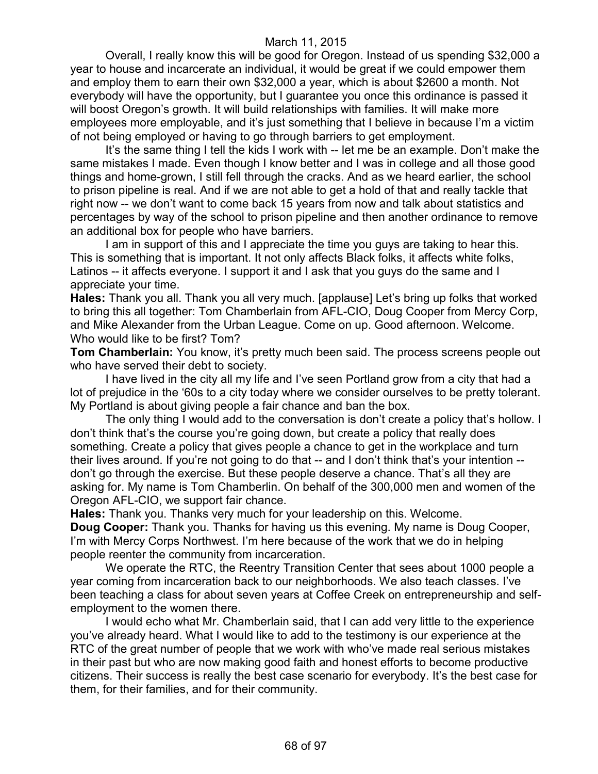Overall, I really know this will be good for Oregon. Instead of us spending \$32,000 a year to house and incarcerate an individual, it would be great if we could empower them and employ them to earn their own \$32,000 a year, which is about \$2600 a month. Not everybody will have the opportunity, but I guarantee you once this ordinance is passed it will boost Oregon's growth. It will build relationships with families. It will make more employees more employable, and it's just something that I believe in because I'm a victim of not being employed or having to go through barriers to get employment.

It's the same thing I tell the kids I work with -- let me be an example. Don't make the same mistakes I made. Even though I know better and I was in college and all those good things and home-grown, I still fell through the cracks. And as we heard earlier, the school to prison pipeline is real. And if we are not able to get a hold of that and really tackle that right now -- we don't want to come back 15 years from now and talk about statistics and percentages by way of the school to prison pipeline and then another ordinance to remove an additional box for people who have barriers.

I am in support of this and I appreciate the time you guys are taking to hear this. This is something that is important. It not only affects Black folks, it affects white folks, Latinos -- it affects everyone. I support it and I ask that you guys do the same and I appreciate your time.

**Hales:** Thank you all. Thank you all very much. [applause] Let's bring up folks that worked to bring this all together: Tom Chamberlain from AFL-CIO, Doug Cooper from Mercy Corp, and Mike Alexander from the Urban League. Come on up. Good afternoon. Welcome. Who would like to be first? Tom?

**Tom Chamberlain:** You know, it's pretty much been said. The process screens people out who have served their debt to society.

I have lived in the city all my life and I've seen Portland grow from a city that had a lot of prejudice in the '60s to a city today where we consider ourselves to be pretty tolerant. My Portland is about giving people a fair chance and ban the box.

The only thing I would add to the conversation is don't create a policy that's hollow. I don't think that's the course you're going down, but create a policy that really does something. Create a policy that gives people a chance to get in the workplace and turn their lives around. If you're not going to do that -- and I don't think that's your intention - don't go through the exercise. But these people deserve a chance. That's all they are asking for. My name is Tom Chamberlin. On behalf of the 300,000 men and women of the Oregon AFL-CIO, we support fair chance.

**Hales:** Thank you. Thanks very much for your leadership on this. Welcome. **Doug Cooper:** Thank you. Thanks for having us this evening. My name is Doug Cooper, I'm with Mercy Corps Northwest. I'm here because of the work that we do in helping people reenter the community from incarceration.

We operate the RTC, the Reentry Transition Center that sees about 1000 people a year coming from incarceration back to our neighborhoods. We also teach classes. I've been teaching a class for about seven years at Coffee Creek on entrepreneurship and selfemployment to the women there.

I would echo what Mr. Chamberlain said, that I can add very little to the experience you've already heard. What I would like to add to the testimony is our experience at the RTC of the great number of people that we work with who've made real serious mistakes in their past but who are now making good faith and honest efforts to become productive citizens. Their success is really the best case scenario for everybody. It's the best case for them, for their families, and for their community.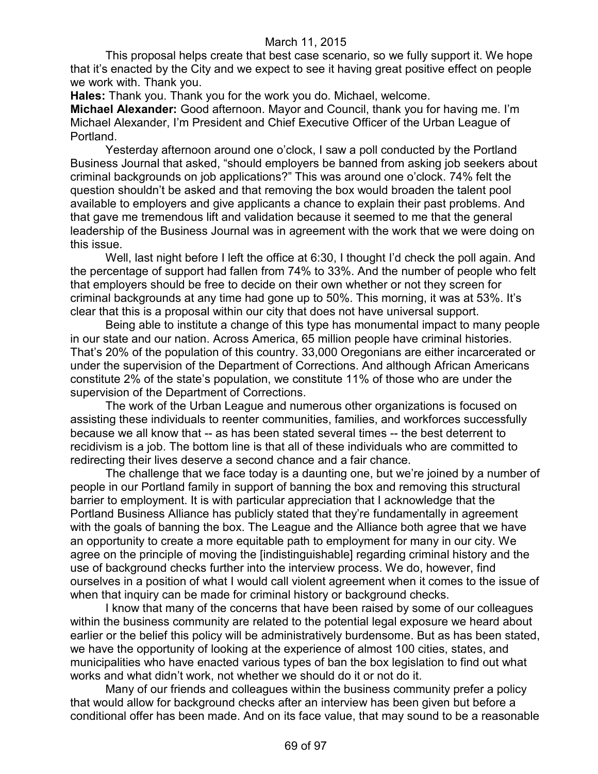This proposal helps create that best case scenario, so we fully support it. We hope that it's enacted by the City and we expect to see it having great positive effect on people we work with. Thank you.

**Hales:** Thank you. Thank you for the work you do. Michael, welcome.

**Michael Alexander:** Good afternoon. Mayor and Council, thank you for having me. I'm Michael Alexander, I'm President and Chief Executive Officer of the Urban League of Portland.

Yesterday afternoon around one o'clock, I saw a poll conducted by the Portland Business Journal that asked, "should employers be banned from asking job seekers about criminal backgrounds on job applications?" This was around one o'clock. 74% felt the question shouldn't be asked and that removing the box would broaden the talent pool available to employers and give applicants a chance to explain their past problems. And that gave me tremendous lift and validation because it seemed to me that the general leadership of the Business Journal was in agreement with the work that we were doing on this issue.

Well, last night before I left the office at 6:30, I thought I'd check the poll again. And the percentage of support had fallen from 74% to 33%. And the number of people who felt that employers should be free to decide on their own whether or not they screen for criminal backgrounds at any time had gone up to 50%. This morning, it was at 53%. It's clear that this is a proposal within our city that does not have universal support.

Being able to institute a change of this type has monumental impact to many people in our state and our nation. Across America, 65 million people have criminal histories. That's 20% of the population of this country. 33,000 Oregonians are either incarcerated or under the supervision of the Department of Corrections. And although African Americans constitute 2% of the state's population, we constitute 11% of those who are under the supervision of the Department of Corrections.

The work of the Urban League and numerous other organizations is focused on assisting these individuals to reenter communities, families, and workforces successfully because we all know that -- as has been stated several times -- the best deterrent to recidivism is a job. The bottom line is that all of these individuals who are committed to redirecting their lives deserve a second chance and a fair chance.

The challenge that we face today is a daunting one, but we're joined by a number of people in our Portland family in support of banning the box and removing this structural barrier to employment. It is with particular appreciation that I acknowledge that the Portland Business Alliance has publicly stated that they're fundamentally in agreement with the goals of banning the box. The League and the Alliance both agree that we have an opportunity to create a more equitable path to employment for many in our city. We agree on the principle of moving the [indistinguishable] regarding criminal history and the use of background checks further into the interview process. We do, however, find ourselves in a position of what I would call violent agreement when it comes to the issue of when that inquiry can be made for criminal history or background checks.

I know that many of the concerns that have been raised by some of our colleagues within the business community are related to the potential legal exposure we heard about earlier or the belief this policy will be administratively burdensome. But as has been stated, we have the opportunity of looking at the experience of almost 100 cities, states, and municipalities who have enacted various types of ban the box legislation to find out what works and what didn't work, not whether we should do it or not do it.

Many of our friends and colleagues within the business community prefer a policy that would allow for background checks after an interview has been given but before a conditional offer has been made. And on its face value, that may sound to be a reasonable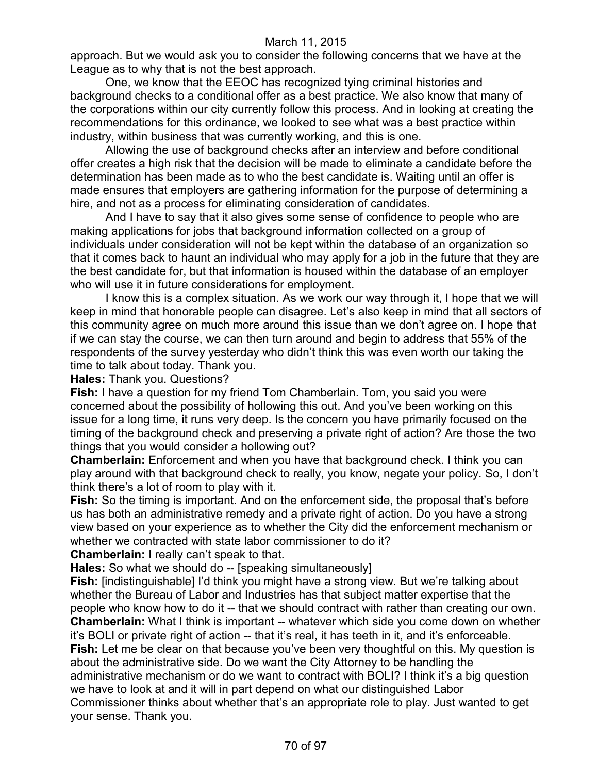approach. But we would ask you to consider the following concerns that we have at the League as to why that is not the best approach.

One, we know that the EEOC has recognized tying criminal histories and background checks to a conditional offer as a best practice. We also know that many of the corporations within our city currently follow this process. And in looking at creating the recommendations for this ordinance, we looked to see what was a best practice within industry, within business that was currently working, and this is one.

Allowing the use of background checks after an interview and before conditional offer creates a high risk that the decision will be made to eliminate a candidate before the determination has been made as to who the best candidate is. Waiting until an offer is made ensures that employers are gathering information for the purpose of determining a hire, and not as a process for eliminating consideration of candidates.

And I have to say that it also gives some sense of confidence to people who are making applications for jobs that background information collected on a group of individuals under consideration will not be kept within the database of an organization so that it comes back to haunt an individual who may apply for a job in the future that they are the best candidate for, but that information is housed within the database of an employer who will use it in future considerations for employment.

I know this is a complex situation. As we work our way through it, I hope that we will keep in mind that honorable people can disagree. Let's also keep in mind that all sectors of this community agree on much more around this issue than we don't agree on. I hope that if we can stay the course, we can then turn around and begin to address that 55% of the respondents of the survey yesterday who didn't think this was even worth our taking the time to talk about today. Thank you.

**Hales:** Thank you. Questions?

**Fish:** I have a question for my friend Tom Chamberlain. Tom, you said you were concerned about the possibility of hollowing this out. And you've been working on this issue for a long time, it runs very deep. Is the concern you have primarily focused on the timing of the background check and preserving a private right of action? Are those the two things that you would consider a hollowing out?

**Chamberlain:** Enforcement and when you have that background check. I think you can play around with that background check to really, you know, negate your policy. So, I don't think there's a lot of room to play with it.

**Fish:** So the timing is important. And on the enforcement side, the proposal that's before us has both an administrative remedy and a private right of action. Do you have a strong view based on your experience as to whether the City did the enforcement mechanism or whether we contracted with state labor commissioner to do it?

**Chamberlain:** I really can't speak to that.

**Hales:** So what we should do -- [speaking simultaneously]

**Fish:** [indistinguishable] I'd think you might have a strong view. But we're talking about whether the Bureau of Labor and Industries has that subject matter expertise that the people who know how to do it -- that we should contract with rather than creating our own. **Chamberlain:** What I think is important -- whatever which side you come down on whether it's BOLI or private right of action -- that it's real, it has teeth in it, and it's enforceable. **Fish:** Let me be clear on that because you've been very thoughtful on this. My question is about the administrative side. Do we want the City Attorney to be handling the administrative mechanism or do we want to contract with BOLI? I think it's a big question we have to look at and it will in part depend on what our distinguished Labor Commissioner thinks about whether that's an appropriate role to play. Just wanted to get your sense. Thank you.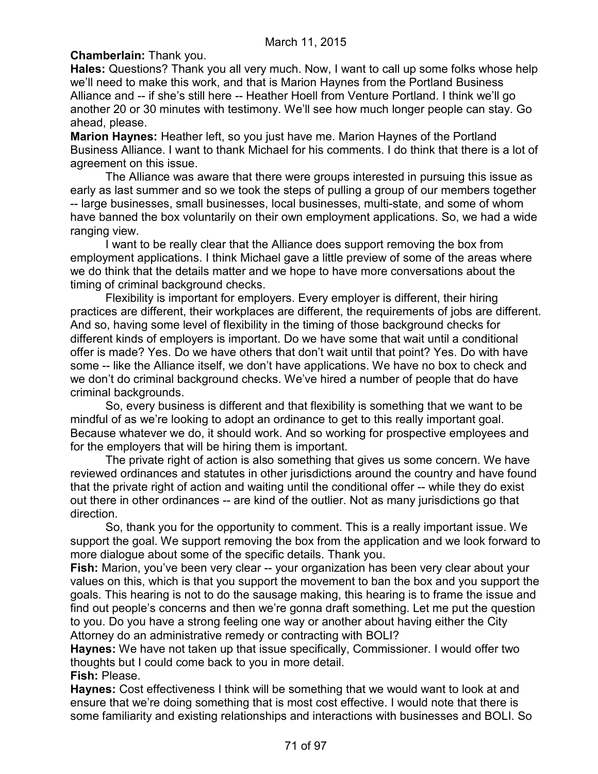# **Chamberlain:** Thank you.

**Hales:** Questions? Thank you all very much. Now, I want to call up some folks whose help we'll need to make this work, and that is Marion Haynes from the Portland Business Alliance and -- if she's still here -- Heather Hoell from Venture Portland. I think we'll go another 20 or 30 minutes with testimony. We'll see how much longer people can stay. Go ahead, please.

**Marion Haynes:** Heather left, so you just have me. Marion Haynes of the Portland Business Alliance. I want to thank Michael for his comments. I do think that there is a lot of agreement on this issue.

The Alliance was aware that there were groups interested in pursuing this issue as early as last summer and so we took the steps of pulling a group of our members together -- large businesses, small businesses, local businesses, multi-state, and some of whom have banned the box voluntarily on their own employment applications. So, we had a wide ranging view.

I want to be really clear that the Alliance does support removing the box from employment applications. I think Michael gave a little preview of some of the areas where we do think that the details matter and we hope to have more conversations about the timing of criminal background checks.

Flexibility is important for employers. Every employer is different, their hiring practices are different, their workplaces are different, the requirements of jobs are different. And so, having some level of flexibility in the timing of those background checks for different kinds of employers is important. Do we have some that wait until a conditional offer is made? Yes. Do we have others that don't wait until that point? Yes. Do with have some -- like the Alliance itself, we don't have applications. We have no box to check and we don't do criminal background checks. We've hired a number of people that do have criminal backgrounds.

So, every business is different and that flexibility is something that we want to be mindful of as we're looking to adopt an ordinance to get to this really important goal. Because whatever we do, it should work. And so working for prospective employees and for the employers that will be hiring them is important.

The private right of action is also something that gives us some concern. We have reviewed ordinances and statutes in other jurisdictions around the country and have found that the private right of action and waiting until the conditional offer -- while they do exist out there in other ordinances -- are kind of the outlier. Not as many jurisdictions go that direction.

So, thank you for the opportunity to comment. This is a really important issue. We support the goal. We support removing the box from the application and we look forward to more dialogue about some of the specific details. Thank you.

**Fish:** Marion, you've been very clear -- your organization has been very clear about your values on this, which is that you support the movement to ban the box and you support the goals. This hearing is not to do the sausage making, this hearing is to frame the issue and find out people's concerns and then we're gonna draft something. Let me put the question to you. Do you have a strong feeling one way or another about having either the City Attorney do an administrative remedy or contracting with BOLI?

**Haynes:** We have not taken up that issue specifically, Commissioner. I would offer two thoughts but I could come back to you in more detail.

**Fish:** Please.

**Haynes:** Cost effectiveness I think will be something that we would want to look at and ensure that we're doing something that is most cost effective. I would note that there is some familiarity and existing relationships and interactions with businesses and BOLI. So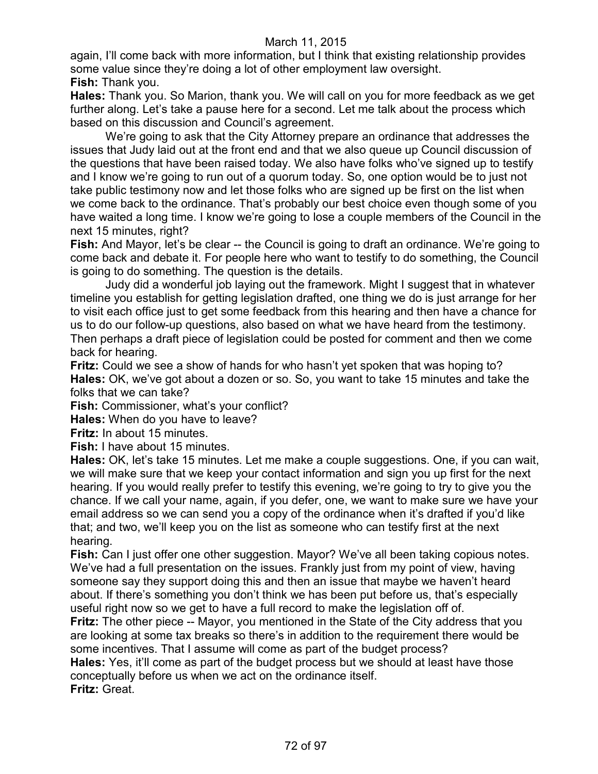again, I'll come back with more information, but I think that existing relationship provides some value since they're doing a lot of other employment law oversight. **Fish:** Thank you.

**Hales:** Thank you. So Marion, thank you. We will call on you for more feedback as we get further along. Let's take a pause here for a second. Let me talk about the process which based on this discussion and Council's agreement.

We're going to ask that the City Attorney prepare an ordinance that addresses the issues that Judy laid out at the front end and that we also queue up Council discussion of the questions that have been raised today. We also have folks who've signed up to testify and I know we're going to run out of a quorum today. So, one option would be to just not take public testimony now and let those folks who are signed up be first on the list when we come back to the ordinance. That's probably our best choice even though some of you have waited a long time. I know we're going to lose a couple members of the Council in the next 15 minutes, right?

**Fish:** And Mayor, let's be clear -- the Council is going to draft an ordinance. We're going to come back and debate it. For people here who want to testify to do something, the Council is going to do something. The question is the details.

Judy did a wonderful job laying out the framework. Might I suggest that in whatever timeline you establish for getting legislation drafted, one thing we do is just arrange for her to visit each office just to get some feedback from this hearing and then have a chance for us to do our follow-up questions, also based on what we have heard from the testimony. Then perhaps a draft piece of legislation could be posted for comment and then we come back for hearing.

**Fritz:** Could we see a show of hands for who hasn't yet spoken that was hoping to? **Hales:** OK, we've got about a dozen or so. So, you want to take 15 minutes and take the folks that we can take?

**Fish:** Commissioner, what's your conflict?

**Hales:** When do you have to leave?

**Fritz:** In about 15 minutes.

**Fish:** I have about 15 minutes.

**Hales:** OK, let's take 15 minutes. Let me make a couple suggestions. One, if you can wait, we will make sure that we keep your contact information and sign you up first for the next hearing. If you would really prefer to testify this evening, we're going to try to give you the chance. If we call your name, again, if you defer, one, we want to make sure we have your email address so we can send you a copy of the ordinance when it's drafted if you'd like that; and two, we'll keep you on the list as someone who can testify first at the next hearing.

**Fish:** Can I just offer one other suggestion. Mayor? We've all been taking copious notes. We've had a full presentation on the issues. Frankly just from my point of view, having someone say they support doing this and then an issue that maybe we haven't heard about. If there's something you don't think we has been put before us, that's especially useful right now so we get to have a full record to make the legislation off of.

**Fritz:** The other piece -- Mayor, you mentioned in the State of the City address that you are looking at some tax breaks so there's in addition to the requirement there would be some incentives. That I assume will come as part of the budget process?

**Hales:** Yes, it'll come as part of the budget process but we should at least have those conceptually before us when we act on the ordinance itself. **Fritz:** Great.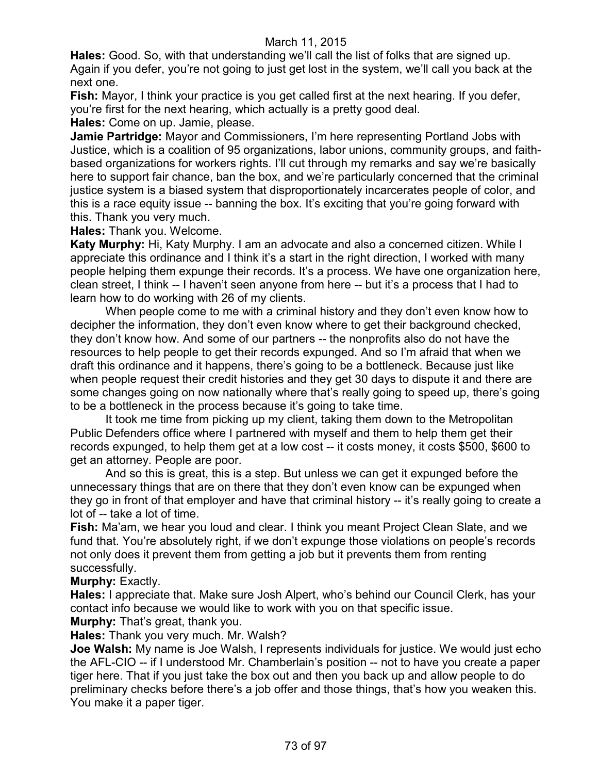**Hales:** Good. So, with that understanding we'll call the list of folks that are signed up. Again if you defer, you're not going to just get lost in the system, we'll call you back at the next one.

**Fish:** Mayor, I think your practice is you get called first at the next hearing. If you defer, you're first for the next hearing, which actually is a pretty good deal.

**Hales:** Come on up. Jamie, please.

**Jamie Partridge:** Mayor and Commissioners, I'm here representing Portland Jobs with Justice, which is a coalition of 95 organizations, labor unions, community groups, and faithbased organizations for workers rights. I'll cut through my remarks and say we're basically here to support fair chance, ban the box, and we're particularly concerned that the criminal justice system is a biased system that disproportionately incarcerates people of color, and this is a race equity issue -- banning the box. It's exciting that you're going forward with this. Thank you very much.

**Hales:** Thank you. Welcome.

**Katy Murphy:** Hi, Katy Murphy. I am an advocate and also a concerned citizen. While I appreciate this ordinance and I think it's a start in the right direction, I worked with many people helping them expunge their records. It's a process. We have one organization here, clean street, I think -- I haven't seen anyone from here -- but it's a process that I had to learn how to do working with 26 of my clients.

When people come to me with a criminal history and they don't even know how to decipher the information, they don't even know where to get their background checked, they don't know how. And some of our partners -- the nonprofits also do not have the resources to help people to get their records expunged. And so I'm afraid that when we draft this ordinance and it happens, there's going to be a bottleneck. Because just like when people request their credit histories and they get 30 days to dispute it and there are some changes going on now nationally where that's really going to speed up, there's going to be a bottleneck in the process because it's going to take time.

It took me time from picking up my client, taking them down to the Metropolitan Public Defenders office where I partnered with myself and them to help them get their records expunged, to help them get at a low cost -- it costs money, it costs \$500, \$600 to get an attorney. People are poor.

And so this is great, this is a step. But unless we can get it expunged before the unnecessary things that are on there that they don't even know can be expunged when they go in front of that employer and have that criminal history -- it's really going to create a lot of -- take a lot of time.

**Fish:** Ma'am, we hear you loud and clear. I think you meant Project Clean Slate, and we fund that. You're absolutely right, if we don't expunge those violations on people's records not only does it prevent them from getting a job but it prevents them from renting successfully.

# **Murphy:** Exactly.

**Hales:** I appreciate that. Make sure Josh Alpert, who's behind our Council Clerk, has your contact info because we would like to work with you on that specific issue. **Murphy:** That's great, thank you.

**Hales:** Thank you very much. Mr. Walsh?

**Joe Walsh:** My name is Joe Walsh, I represents individuals for justice. We would just echo the AFL-CIO -- if I understood Mr. Chamberlain's position -- not to have you create a paper tiger here. That if you just take the box out and then you back up and allow people to do preliminary checks before there's a job offer and those things, that's how you weaken this. You make it a paper tiger.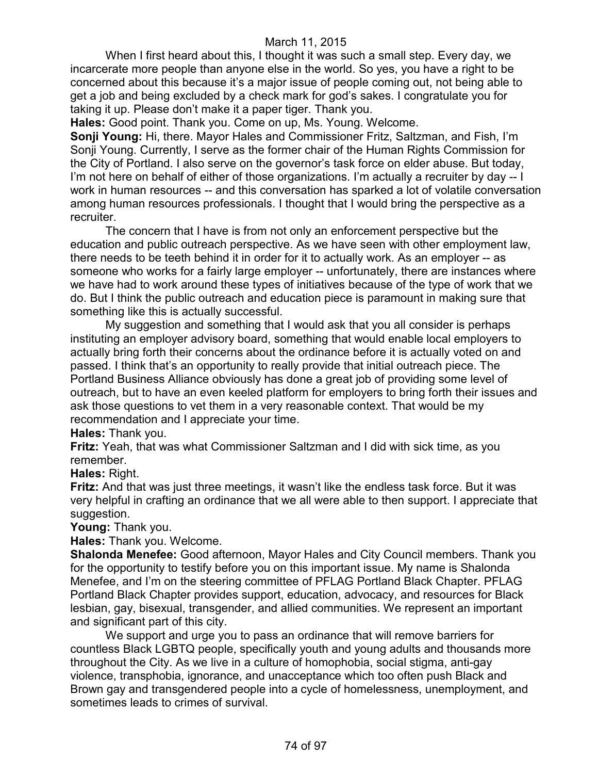When I first heard about this, I thought it was such a small step. Every day, we incarcerate more people than anyone else in the world. So yes, you have a right to be concerned about this because it's a major issue of people coming out, not being able to get a job and being excluded by a check mark for god's sakes. I congratulate you for taking it up. Please don't make it a paper tiger. Thank you.

**Hales:** Good point. Thank you. Come on up, Ms. Young. Welcome.

**Sonji Young:** Hi, there. Mayor Hales and Commissioner Fritz, Saltzman, and Fish, I'm Sonji Young. Currently, I serve as the former chair of the Human Rights Commission for the City of Portland. I also serve on the governor's task force on elder abuse. But today, I'm not here on behalf of either of those organizations. I'm actually a recruiter by day -- I work in human resources -- and this conversation has sparked a lot of volatile conversation among human resources professionals. I thought that I would bring the perspective as a recruiter.

The concern that I have is from not only an enforcement perspective but the education and public outreach perspective. As we have seen with other employment law, there needs to be teeth behind it in order for it to actually work. As an employer -- as someone who works for a fairly large employer -- unfortunately, there are instances where we have had to work around these types of initiatives because of the type of work that we do. But I think the public outreach and education piece is paramount in making sure that something like this is actually successful.

My suggestion and something that I would ask that you all consider is perhaps instituting an employer advisory board, something that would enable local employers to actually bring forth their concerns about the ordinance before it is actually voted on and passed. I think that's an opportunity to really provide that initial outreach piece. The Portland Business Alliance obviously has done a great job of providing some level of outreach, but to have an even keeled platform for employers to bring forth their issues and ask those questions to vet them in a very reasonable context. That would be my recommendation and I appreciate your time.

**Hales:** Thank you.

**Fritz:** Yeah, that was what Commissioner Saltzman and I did with sick time, as you remember.

#### **Hales:** Right.

**Fritz:** And that was just three meetings, it wasn't like the endless task force. But it was very helpful in crafting an ordinance that we all were able to then support. I appreciate that suggestion.

**Young:** Thank you.

**Hales:** Thank you. Welcome.

**Shalonda Menefee:** Good afternoon, Mayor Hales and City Council members. Thank you for the opportunity to testify before you on this important issue. My name is Shalonda Menefee, and I'm on the steering committee of PFLAG Portland Black Chapter. PFLAG Portland Black Chapter provides support, education, advocacy, and resources for Black lesbian, gay, bisexual, transgender, and allied communities. We represent an important and significant part of this city.

We support and urge you to pass an ordinance that will remove barriers for countless Black LGBTQ people, specifically youth and young adults and thousands more throughout the City. As we live in a culture of homophobia, social stigma, anti-gay violence, transphobia, ignorance, and unacceptance which too often push Black and Brown gay and transgendered people into a cycle of homelessness, unemployment, and sometimes leads to crimes of survival.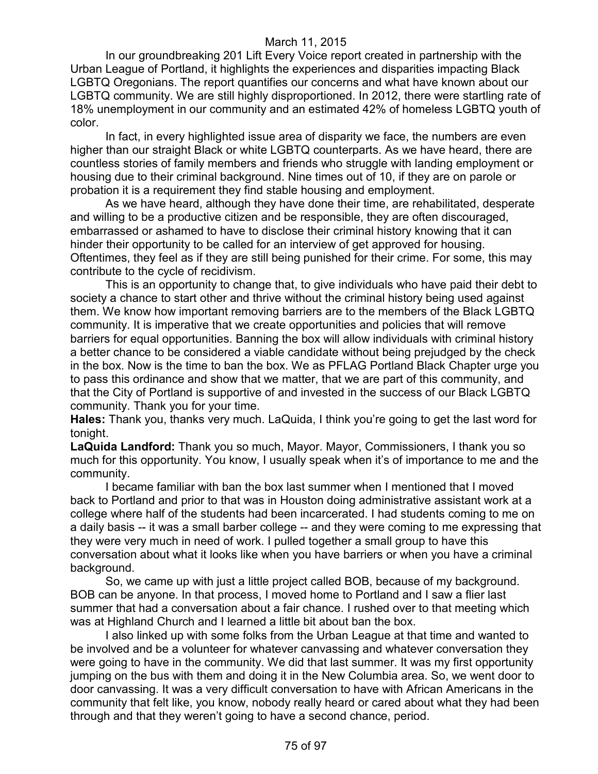In our groundbreaking 201 Lift Every Voice report created in partnership with the Urban League of Portland, it highlights the experiences and disparities impacting Black LGBTQ Oregonians. The report quantifies our concerns and what have known about our LGBTQ community. We are still highly disproportioned. In 2012, there were startling rate of 18% unemployment in our community and an estimated 42% of homeless LGBTQ youth of color.

In fact, in every highlighted issue area of disparity we face, the numbers are even higher than our straight Black or white LGBTQ counterparts. As we have heard, there are countless stories of family members and friends who struggle with landing employment or housing due to their criminal background. Nine times out of 10, if they are on parole or probation it is a requirement they find stable housing and employment.

As we have heard, although they have done their time, are rehabilitated, desperate and willing to be a productive citizen and be responsible, they are often discouraged, embarrassed or ashamed to have to disclose their criminal history knowing that it can hinder their opportunity to be called for an interview of get approved for housing. Oftentimes, they feel as if they are still being punished for their crime. For some, this may contribute to the cycle of recidivism.

This is an opportunity to change that, to give individuals who have paid their debt to society a chance to start other and thrive without the criminal history being used against them. We know how important removing barriers are to the members of the Black LGBTQ community. It is imperative that we create opportunities and policies that will remove barriers for equal opportunities. Banning the box will allow individuals with criminal history a better chance to be considered a viable candidate without being prejudged by the check in the box. Now is the time to ban the box. We as PFLAG Portland Black Chapter urge you to pass this ordinance and show that we matter, that we are part of this community, and that the City of Portland is supportive of and invested in the success of our Black LGBTQ community. Thank you for your time.

**Hales:** Thank you, thanks very much. LaQuida, I think you're going to get the last word for tonight.

**LaQuida Landford:** Thank you so much, Mayor. Mayor, Commissioners, I thank you so much for this opportunity. You know, I usually speak when it's of importance to me and the community.

I became familiar with ban the box last summer when I mentioned that I moved back to Portland and prior to that was in Houston doing administrative assistant work at a college where half of the students had been incarcerated. I had students coming to me on a daily basis -- it was a small barber college -- and they were coming to me expressing that they were very much in need of work. I pulled together a small group to have this conversation about what it looks like when you have barriers or when you have a criminal background.

So, we came up with just a little project called BOB, because of my background. BOB can be anyone. In that process, I moved home to Portland and I saw a flier last summer that had a conversation about a fair chance. I rushed over to that meeting which was at Highland Church and I learned a little bit about ban the box.

I also linked up with some folks from the Urban League at that time and wanted to be involved and be a volunteer for whatever canvassing and whatever conversation they were going to have in the community. We did that last summer. It was my first opportunity jumping on the bus with them and doing it in the New Columbia area. So, we went door to door canvassing. It was a very difficult conversation to have with African Americans in the community that felt like, you know, nobody really heard or cared about what they had been through and that they weren't going to have a second chance, period.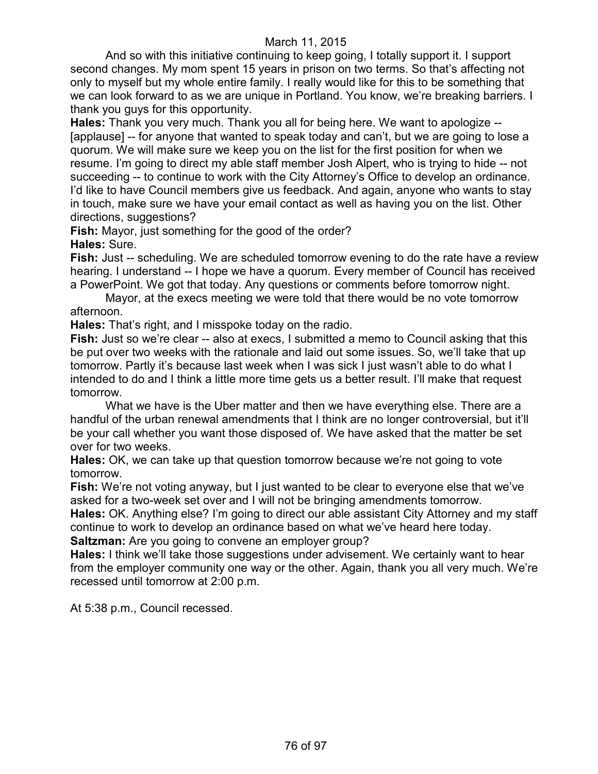And so with this initiative continuing to keep going, I totally support it. I support second changes. My mom spent 15 years in prison on two terms. So that's affecting not only to myself but my whole entire family. I really would like for this to be something that we can look forward to as we are unique in Portland. You know, we're breaking barriers. I thank you guys for this opportunity.

**Hales:** Thank you very much. Thank you all for being here. We want to apologize -- [applause] -- for anyone that wanted to speak today and can't, but we are going to lose a quorum. We will make sure we keep you on the list for the first position for when we resume. I'm going to direct my able staff member Josh Alpert, who is trying to hide -- not succeeding -- to continue to work with the City Attorney's Office to develop an ordinance. I'd like to have Council members give us feedback. And again, anyone who wants to stay in touch, make sure we have your email contact as well as having you on the list. Other directions, suggestions?

**Fish:** Mayor, just something for the good of the order? **Hales:** Sure.

**Fish:** Just -- scheduling. We are scheduled tomorrow evening to do the rate have a review hearing. I understand -- I hope we have a quorum. Every member of Council has received a PowerPoint. We got that today. Any questions or comments before tomorrow night.

Mayor, at the execs meeting we were told that there would be no vote tomorrow afternoon.

**Hales:** That's right, and I misspoke today on the radio.

**Fish:** Just so we're clear -- also at execs, I submitted a memo to Council asking that this be put over two weeks with the rationale and laid out some issues. So, we'll take that up tomorrow. Partly it's because last week when I was sick I just wasn't able to do what I intended to do and I think a little more time gets us a better result. I'll make that request tomorrow.

What we have is the Uber matter and then we have everything else. There are a handful of the urban renewal amendments that I think are no longer controversial, but it'll be your call whether you want those disposed of. We have asked that the matter be set over for two weeks.

**Hales:** OK, we can take up that question tomorrow because we're not going to vote tomorrow.

**Fish:** We're not voting anyway, but I just wanted to be clear to everyone else that we've asked for a two-week set over and I will not be bringing amendments tomorrow.

**Hales:** OK. Anything else? I'm going to direct our able assistant City Attorney and my staff continue to work to develop an ordinance based on what we've heard here today.

**Saltzman:** Are you going to convene an employer group?

**Hales:** I think we'll take those suggestions under advisement. We certainly want to hear from the employer community one way or the other. Again, thank you all very much. We're recessed until tomorrow at 2:00 p.m.

At 5:38 p.m., Council recessed.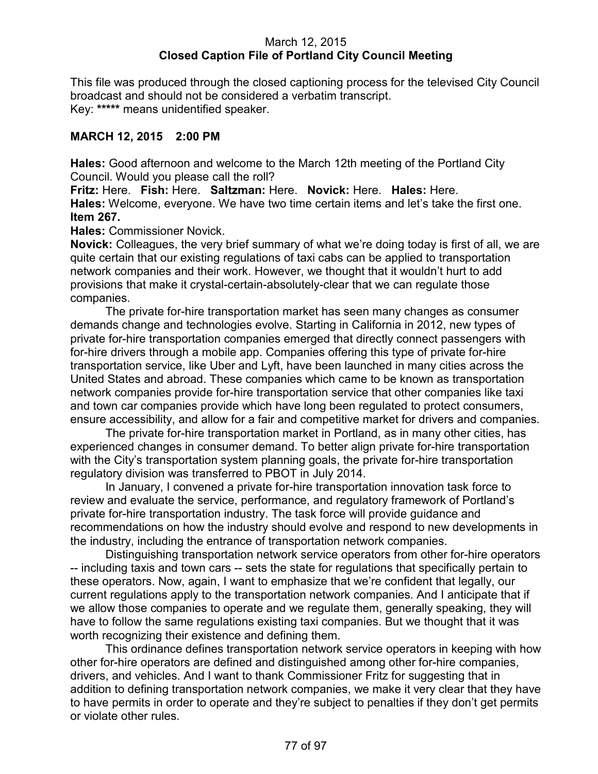# March 12, 2015 **Closed Caption File of Portland City Council Meeting**

This file was produced through the closed captioning process for the televised City Council broadcast and should not be considered a verbatim transcript. Key: **\*\*\*\*\*** means unidentified speaker.

# **MARCH 12, 2015 2:00 PM**

**Hales:** Good afternoon and welcome to the March 12th meeting of the Portland City Council. Would you please call the roll?

**Fritz:** Here. **Fish:** Here. **Saltzman:** Here. **Novick:** Here. **Hales:** Here. **Hales:** Welcome, everyone. We have two time certain items and let's take the first one. **Item 267.**

**Hales:** Commissioner Novick.

**Novick:** Colleagues, the very brief summary of what we're doing today is first of all, we are quite certain that our existing regulations of taxi cabs can be applied to transportation network companies and their work. However, we thought that it wouldn't hurt to add provisions that make it crystal-certain-absolutely-clear that we can regulate those companies.

The private for-hire transportation market has seen many changes as consumer demands change and technologies evolve. Starting in California in 2012, new types of private for-hire transportation companies emerged that directly connect passengers with for-hire drivers through a mobile app. Companies offering this type of private for-hire transportation service, like Uber and Lyft, have been launched in many cities across the United States and abroad. These companies which came to be known as transportation network companies provide for-hire transportation service that other companies like taxi and town car companies provide which have long been regulated to protect consumers, ensure accessibility, and allow for a fair and competitive market for drivers and companies.

The private for-hire transportation market in Portland, as in many other cities, has experienced changes in consumer demand. To better align private for-hire transportation with the City's transportation system planning goals, the private for-hire transportation regulatory division was transferred to PBOT in July 2014.

In January, I convened a private for-hire transportation innovation task force to review and evaluate the service, performance, and regulatory framework of Portland's private for-hire transportation industry. The task force will provide guidance and recommendations on how the industry should evolve and respond to new developments in the industry, including the entrance of transportation network companies.

Distinguishing transportation network service operators from other for-hire operators -- including taxis and town cars -- sets the state for regulations that specifically pertain to these operators. Now, again, I want to emphasize that we're confident that legally, our current regulations apply to the transportation network companies. And I anticipate that if we allow those companies to operate and we regulate them, generally speaking, they will have to follow the same regulations existing taxi companies. But we thought that it was worth recognizing their existence and defining them.

This ordinance defines transportation network service operators in keeping with how other for-hire operators are defined and distinguished among other for-hire companies, drivers, and vehicles. And I want to thank Commissioner Fritz for suggesting that in addition to defining transportation network companies, we make it very clear that they have to have permits in order to operate and they're subject to penalties if they don't get permits or violate other rules.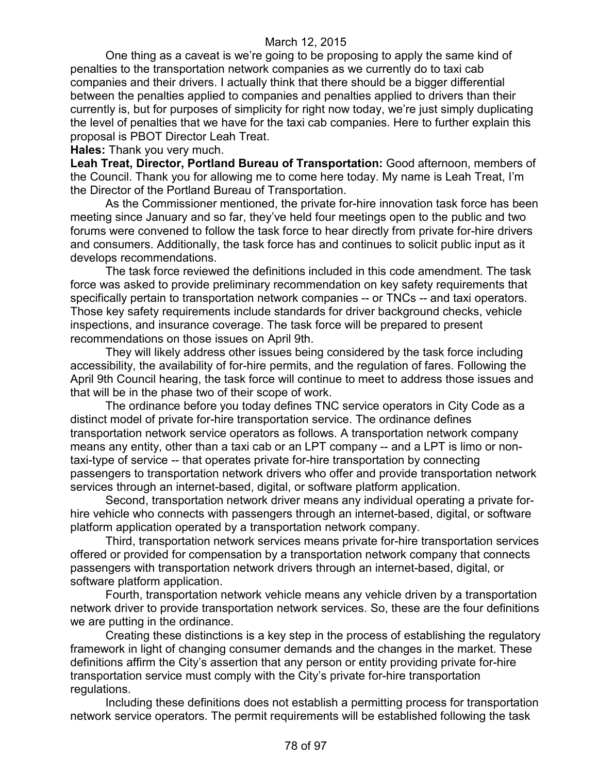One thing as a caveat is we're going to be proposing to apply the same kind of penalties to the transportation network companies as we currently do to taxi cab companies and their drivers. I actually think that there should be a bigger differential between the penalties applied to companies and penalties applied to drivers than their currently is, but for purposes of simplicity for right now today, we're just simply duplicating the level of penalties that we have for the taxi cab companies. Here to further explain this proposal is PBOT Director Leah Treat.

**Hales:** Thank you very much.

**Leah Treat, Director, Portland Bureau of Transportation:** Good afternoon, members of the Council. Thank you for allowing me to come here today. My name is Leah Treat, I'm the Director of the Portland Bureau of Transportation.

As the Commissioner mentioned, the private for-hire innovation task force has been meeting since January and so far, they've held four meetings open to the public and two forums were convened to follow the task force to hear directly from private for-hire drivers and consumers. Additionally, the task force has and continues to solicit public input as it develops recommendations.

The task force reviewed the definitions included in this code amendment. The task force was asked to provide preliminary recommendation on key safety requirements that specifically pertain to transportation network companies -- or TNCs -- and taxi operators. Those key safety requirements include standards for driver background checks, vehicle inspections, and insurance coverage. The task force will be prepared to present recommendations on those issues on April 9th.

They will likely address other issues being considered by the task force including accessibility, the availability of for-hire permits, and the regulation of fares. Following the April 9th Council hearing, the task force will continue to meet to address those issues and that will be in the phase two of their scope of work.

The ordinance before you today defines TNC service operators in City Code as a distinct model of private for-hire transportation service. The ordinance defines transportation network service operators as follows. A transportation network company means any entity, other than a taxi cab or an LPT company -- and a LPT is limo or nontaxi-type of service -- that operates private for-hire transportation by connecting passengers to transportation network drivers who offer and provide transportation network services through an internet-based, digital, or software platform application.

Second, transportation network driver means any individual operating a private forhire vehicle who connects with passengers through an internet-based, digital, or software platform application operated by a transportation network company.

Third, transportation network services means private for-hire transportation services offered or provided for compensation by a transportation network company that connects passengers with transportation network drivers through an internet-based, digital, or software platform application.

Fourth, transportation network vehicle means any vehicle driven by a transportation network driver to provide transportation network services. So, these are the four definitions we are putting in the ordinance.

Creating these distinctions is a key step in the process of establishing the regulatory framework in light of changing consumer demands and the changes in the market. These definitions affirm the City's assertion that any person or entity providing private for-hire transportation service must comply with the City's private for-hire transportation regulations.

Including these definitions does not establish a permitting process for transportation network service operators. The permit requirements will be established following the task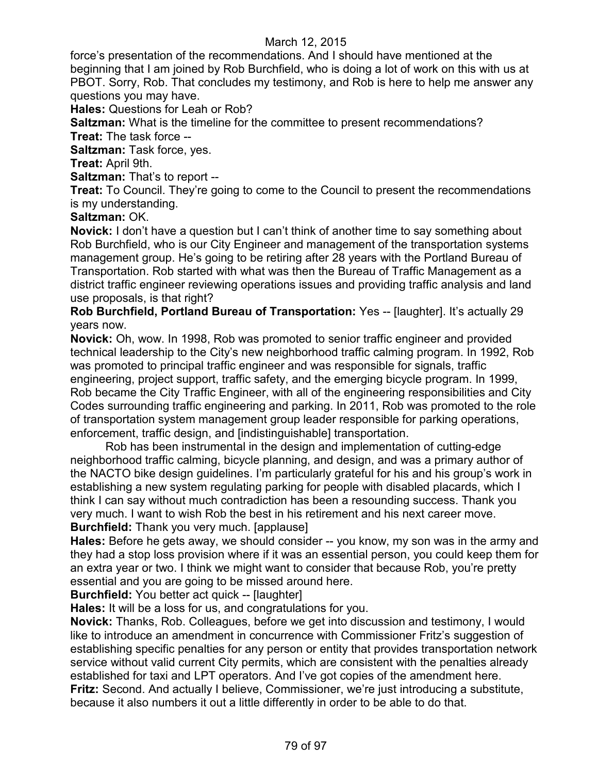force's presentation of the recommendations. And I should have mentioned at the beginning that I am joined by Rob Burchfield, who is doing a lot of work on this with us at PBOT. Sorry, Rob. That concludes my testimony, and Rob is here to help me answer any questions you may have.

**Hales:** Questions for Leah or Rob?

**Saltzman:** What is the timeline for the committee to present recommendations? **Treat:** The task force --

**Saltzman:** Task force, yes.

**Treat:** April 9th.

**Saltzman:** That's to report --

**Treat:** To Council. They're going to come to the Council to present the recommendations is my understanding.

#### **Saltzman:** OK.

**Novick:** I don't have a question but I can't think of another time to say something about Rob Burchfield, who is our City Engineer and management of the transportation systems management group. He's going to be retiring after 28 years with the Portland Bureau of Transportation. Rob started with what was then the Bureau of Traffic Management as a district traffic engineer reviewing operations issues and providing traffic analysis and land use proposals, is that right?

**Rob Burchfield, Portland Bureau of Transportation:** Yes -- [laughter]. It's actually 29 years now.

**Novick:** Oh, wow. In 1998, Rob was promoted to senior traffic engineer and provided technical leadership to the City's new neighborhood traffic calming program. In 1992, Rob was promoted to principal traffic engineer and was responsible for signals, traffic engineering, project support, traffic safety, and the emerging bicycle program. In 1999, Rob became the City Traffic Engineer, with all of the engineering responsibilities and City Codes surrounding traffic engineering and parking. In 2011, Rob was promoted to the role of transportation system management group leader responsible for parking operations, enforcement, traffic design, and [indistinguishable] transportation.

Rob has been instrumental in the design and implementation of cutting-edge neighborhood traffic calming, bicycle planning, and design, and was a primary author of the NACTO bike design guidelines. I'm particularly grateful for his and his group's work in establishing a new system regulating parking for people with disabled placards, which I think I can say without much contradiction has been a resounding success. Thank you very much. I want to wish Rob the best in his retirement and his next career move. **Burchfield:** Thank you very much. [applause]

**Hales:** Before he gets away, we should consider -- you know, my son was in the army and they had a stop loss provision where if it was an essential person, you could keep them for an extra year or two. I think we might want to consider that because Rob, you're pretty essential and you are going to be missed around here.

**Burchfield:** You better act quick -- [laughter]

**Hales:** It will be a loss for us, and congratulations for you.

**Novick:** Thanks, Rob. Colleagues, before we get into discussion and testimony, I would like to introduce an amendment in concurrence with Commissioner Fritz's suggestion of establishing specific penalties for any person or entity that provides transportation network service without valid current City permits, which are consistent with the penalties already established for taxi and LPT operators. And I've got copies of the amendment here. **Fritz:** Second. And actually I believe, Commissioner, we're just introducing a substitute, because it also numbers it out a little differently in order to be able to do that.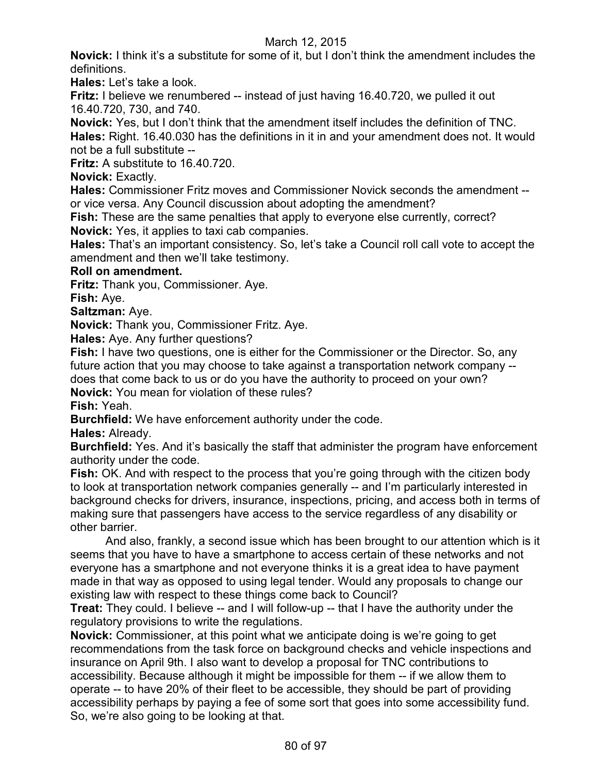**Novick:** I think it's a substitute for some of it, but I don't think the amendment includes the definitions.

**Hales:** Let's take a look.

**Fritz:** I believe we renumbered -- instead of just having 16.40.720, we pulled it out 16.40.720, 730, and 740.

**Novick:** Yes, but I don't think that the amendment itself includes the definition of TNC.

**Hales:** Right. 16.40.030 has the definitions in it in and your amendment does not. It would not be a full substitute --

**Fritz:** A substitute to 16.40.720.

**Novick:** Exactly.

**Hales:** Commissioner Fritz moves and Commissioner Novick seconds the amendment - or vice versa. Any Council discussion about adopting the amendment?

**Fish:** These are the same penalties that apply to everyone else currently, correct? **Novick:** Yes, it applies to taxi cab companies.

**Hales:** That's an important consistency. So, let's take a Council roll call vote to accept the amendment and then we'll take testimony.

# **Roll on amendment.**

**Fritz:** Thank you, Commissioner. Aye.

**Fish:** Aye.

**Saltzman:** Aye.

**Novick:** Thank you, Commissioner Fritz. Aye.

**Hales:** Aye. Any further questions?

**Fish:** I have two questions, one is either for the Commissioner or the Director. So, any future action that you may choose to take against a transportation network company - does that come back to us or do you have the authority to proceed on your own?

**Novick:** You mean for violation of these rules?

**Fish:** Yeah.

**Burchfield:** We have enforcement authority under the code.

**Hales:** Already.

**Burchfield:** Yes. And it's basically the staff that administer the program have enforcement authority under the code.

**Fish:** OK. And with respect to the process that you're going through with the citizen body to look at transportation network companies generally -- and I'm particularly interested in background checks for drivers, insurance, inspections, pricing, and access both in terms of making sure that passengers have access to the service regardless of any disability or other barrier.

And also, frankly, a second issue which has been brought to our attention which is it seems that you have to have a smartphone to access certain of these networks and not everyone has a smartphone and not everyone thinks it is a great idea to have payment made in that way as opposed to using legal tender. Would any proposals to change our existing law with respect to these things come back to Council?

**Treat:** They could. I believe -- and I will follow-up -- that I have the authority under the regulatory provisions to write the regulations.

**Novick:** Commissioner, at this point what we anticipate doing is we're going to get recommendations from the task force on background checks and vehicle inspections and insurance on April 9th. I also want to develop a proposal for TNC contributions to accessibility. Because although it might be impossible for them -- if we allow them to operate -- to have 20% of their fleet to be accessible, they should be part of providing accessibility perhaps by paying a fee of some sort that goes into some accessibility fund. So, we're also going to be looking at that.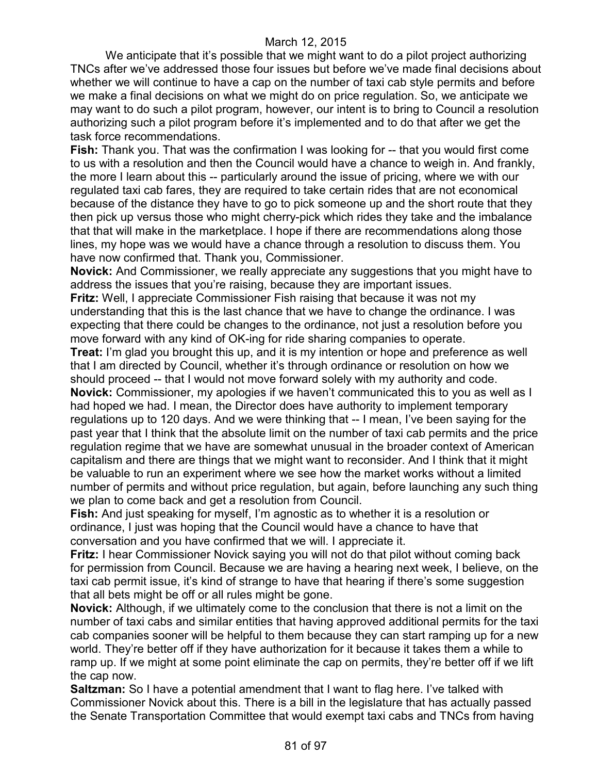We anticipate that it's possible that we might want to do a pilot project authorizing TNCs after we've addressed those four issues but before we've made final decisions about whether we will continue to have a cap on the number of taxi cab style permits and before we make a final decisions on what we might do on price regulation. So, we anticipate we may want to do such a pilot program, however, our intent is to bring to Council a resolution authorizing such a pilot program before it's implemented and to do that after we get the task force recommendations.

**Fish:** Thank you. That was the confirmation I was looking for -- that you would first come to us with a resolution and then the Council would have a chance to weigh in. And frankly, the more I learn about this -- particularly around the issue of pricing, where we with our regulated taxi cab fares, they are required to take certain rides that are not economical because of the distance they have to go to pick someone up and the short route that they then pick up versus those who might cherry-pick which rides they take and the imbalance that that will make in the marketplace. I hope if there are recommendations along those lines, my hope was we would have a chance through a resolution to discuss them. You have now confirmed that. Thank you, Commissioner.

**Novick:** And Commissioner, we really appreciate any suggestions that you might have to address the issues that you're raising, because they are important issues.

**Fritz:** Well, I appreciate Commissioner Fish raising that because it was not my understanding that this is the last chance that we have to change the ordinance. I was expecting that there could be changes to the ordinance, not just a resolution before you move forward with any kind of OK-ing for ride sharing companies to operate.

**Treat:** I'm glad you brought this up, and it is my intention or hope and preference as well that I am directed by Council, whether it's through ordinance or resolution on how we should proceed -- that I would not move forward solely with my authority and code.

**Novick:** Commissioner, my apologies if we haven't communicated this to you as well as I had hoped we had. I mean, the Director does have authority to implement temporary regulations up to 120 days. And we were thinking that -- I mean, I've been saying for the past year that I think that the absolute limit on the number of taxi cab permits and the price regulation regime that we have are somewhat unusual in the broader context of American capitalism and there are things that we might want to reconsider. And I think that it might be valuable to run an experiment where we see how the market works without a limited number of permits and without price regulation, but again, before launching any such thing we plan to come back and get a resolution from Council.

**Fish:** And just speaking for myself, I'm agnostic as to whether it is a resolution or ordinance, I just was hoping that the Council would have a chance to have that conversation and you have confirmed that we will. I appreciate it.

**Fritz:** I hear Commissioner Novick saying you will not do that pilot without coming back for permission from Council. Because we are having a hearing next week, I believe, on the taxi cab permit issue, it's kind of strange to have that hearing if there's some suggestion that all bets might be off or all rules might be gone.

**Novick:** Although, if we ultimately come to the conclusion that there is not a limit on the number of taxi cabs and similar entities that having approved additional permits for the taxi cab companies sooner will be helpful to them because they can start ramping up for a new world. They're better off if they have authorization for it because it takes them a while to ramp up. If we might at some point eliminate the cap on permits, they're better off if we lift the cap now.

**Saltzman:** So I have a potential amendment that I want to flag here. I've talked with Commissioner Novick about this. There is a bill in the legislature that has actually passed the Senate Transportation Committee that would exempt taxi cabs and TNCs from having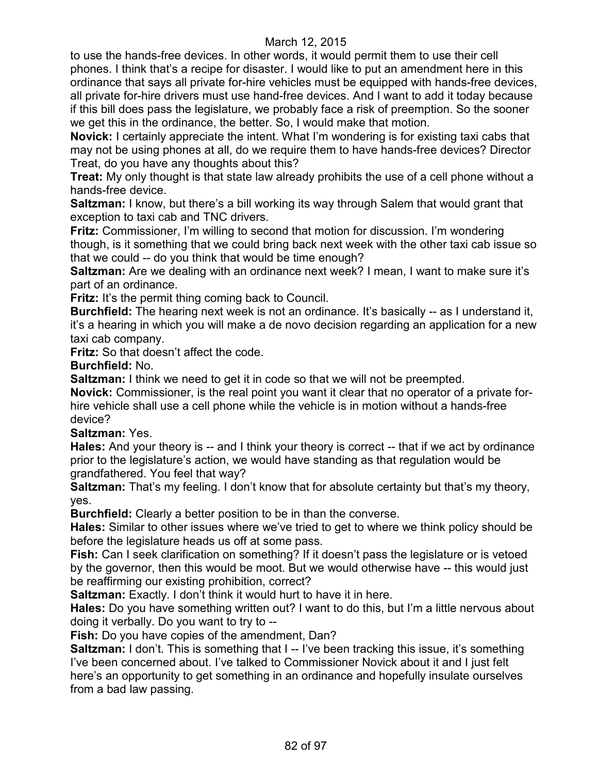to use the hands-free devices. In other words, it would permit them to use their cell phones. I think that's a recipe for disaster. I would like to put an amendment here in this ordinance that says all private for-hire vehicles must be equipped with hands-free devices, all private for-hire drivers must use hand-free devices. And I want to add it today because if this bill does pass the legislature, we probably face a risk of preemption. So the sooner we get this in the ordinance, the better. So, I would make that motion.

**Novick:** I certainly appreciate the intent. What I'm wondering is for existing taxi cabs that may not be using phones at all, do we require them to have hands-free devices? Director Treat, do you have any thoughts about this?

**Treat:** My only thought is that state law already prohibits the use of a cell phone without a hands-free device.

**Saltzman:** I know, but there's a bill working its way through Salem that would grant that exception to taxi cab and TNC drivers.

**Fritz:** Commissioner, I'm willing to second that motion for discussion. I'm wondering though, is it something that we could bring back next week with the other taxi cab issue so that we could -- do you think that would be time enough?

**Saltzman:** Are we dealing with an ordinance next week? I mean, I want to make sure it's part of an ordinance.

**Fritz:** It's the permit thing coming back to Council.

**Burchfield:** The hearing next week is not an ordinance. It's basically -- as I understand it, it's a hearing in which you will make a de novo decision regarding an application for a new taxi cab company.

**Fritz:** So that doesn't affect the code.

**Burchfield:** No.

**Saltzman:** I think we need to get it in code so that we will not be preempted.

**Novick:** Commissioner, is the real point you want it clear that no operator of a private forhire vehicle shall use a cell phone while the vehicle is in motion without a hands-free device?

# **Saltzman:** Yes.

**Hales:** And your theory is -- and I think your theory is correct -- that if we act by ordinance prior to the legislature's action, we would have standing as that regulation would be grandfathered. You feel that way?

**Saltzman:** That's my feeling. I don't know that for absolute certainty but that's my theory, yes.

**Burchfield:** Clearly a better position to be in than the converse.

**Hales:** Similar to other issues where we've tried to get to where we think policy should be before the legislature heads us off at some pass.

**Fish:** Can I seek clarification on something? If it doesn't pass the legislature or is vetoed by the governor, then this would be moot. But we would otherwise have -- this would just be reaffirming our existing prohibition, correct?

**Saltzman:** Exactly. I don't think it would hurt to have it in here.

**Hales:** Do you have something written out? I want to do this, but I'm a little nervous about doing it verbally. Do you want to try to --

**Fish:** Do you have copies of the amendment, Dan?

**Saltzman:** I don't. This is something that I -- I've been tracking this issue, it's something I've been concerned about. I've talked to Commissioner Novick about it and I just felt here's an opportunity to get something in an ordinance and hopefully insulate ourselves from a bad law passing.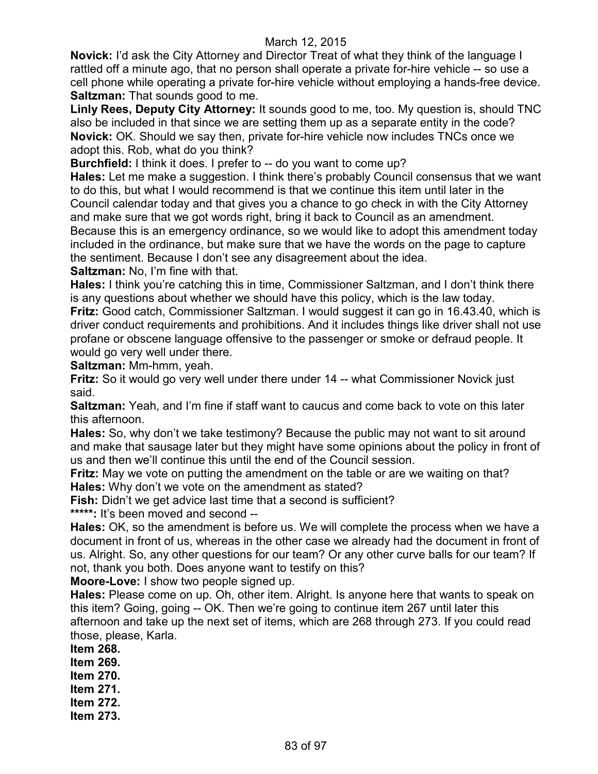**Novick:** I'd ask the City Attorney and Director Treat of what they think of the language I rattled off a minute ago, that no person shall operate a private for-hire vehicle -- so use a cell phone while operating a private for-hire vehicle without employing a hands-free device. **Saltzman:** That sounds good to me.

**Linly Rees, Deputy City Attorney:** It sounds good to me, too. My question is, should TNC also be included in that since we are setting them up as a separate entity in the code? **Novick:** OK. Should we say then, private for-hire vehicle now includes TNCs once we adopt this. Rob, what do you think?

**Burchfield:** I think it does. I prefer to -- do you want to come up?

**Hales:** Let me make a suggestion. I think there's probably Council consensus that we want to do this, but what I would recommend is that we continue this item until later in the Council calendar today and that gives you a chance to go check in with the City Attorney and make sure that we got words right, bring it back to Council as an amendment. Because this is an emergency ordinance, so we would like to adopt this amendment today included in the ordinance, but make sure that we have the words on the page to capture the sentiment. Because I don't see any disagreement about the idea.

**Saltzman:** No, I'm fine with that.

**Hales:** I think you're catching this in time, Commissioner Saltzman, and I don't think there is any questions about whether we should have this policy, which is the law today.

**Fritz:** Good catch, Commissioner Saltzman. I would suggest it can go in 16.43.40, which is driver conduct requirements and prohibitions. And it includes things like driver shall not use profane or obscene language offensive to the passenger or smoke or defraud people. It would go very well under there.

**Saltzman:** Mm-hmm, yeah.

**Fritz:** So it would go very well under there under 14 -- what Commissioner Novick just said.

**Saltzman:** Yeah, and I'm fine if staff want to caucus and come back to vote on this later this afternoon.

**Hales:** So, why don't we take testimony? Because the public may not want to sit around and make that sausage later but they might have some opinions about the policy in front of us and then we'll continue this until the end of the Council session.

**Fritz:** May we vote on putting the amendment on the table or are we waiting on that? **Hales:** Why don't we vote on the amendment as stated?

**Fish:** Didn't we get advice last time that a second is sufficient?

**\*\*\*\*\*:** It's been moved and second --

**Hales:** OK, so the amendment is before us. We will complete the process when we have a document in front of us, whereas in the other case we already had the document in front of us. Alright. So, any other questions for our team? Or any other curve balls for our team? If not, thank you both. Does anyone want to testify on this?

**Moore-Love:** I show two people signed up.

**Hales:** Please come on up. Oh, other item. Alright. Is anyone here that wants to speak on this item? Going, going -- OK. Then we're going to continue item 267 until later this afternoon and take up the next set of items, which are 268 through 273. If you could read those, please, Karla.

**Item 268. Item 269. Item 270. Item 271. Item 272. Item 273.**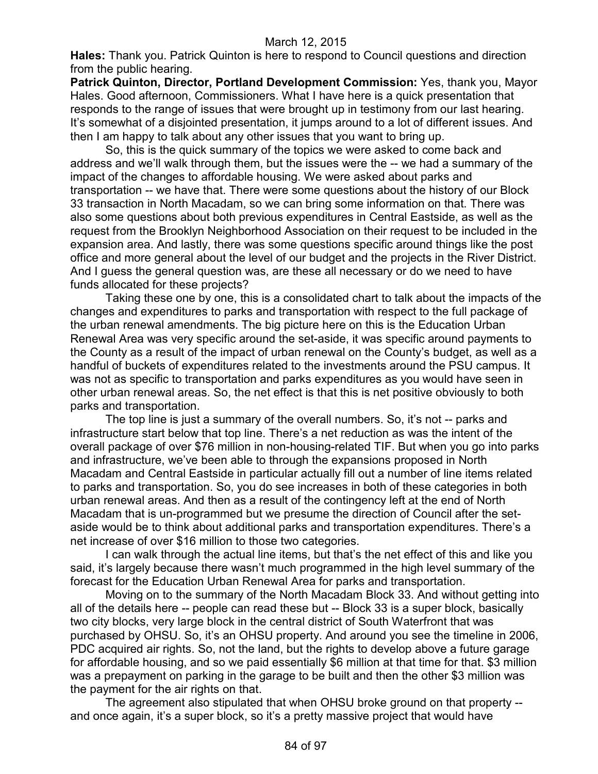**Hales:** Thank you. Patrick Quinton is here to respond to Council questions and direction from the public hearing.

**Patrick Quinton, Director, Portland Development Commission:** Yes, thank you, Mayor Hales. Good afternoon, Commissioners. What I have here is a quick presentation that responds to the range of issues that were brought up in testimony from our last hearing. It's somewhat of a disjointed presentation, it jumps around to a lot of different issues. And then I am happy to talk about any other issues that you want to bring up.

So, this is the quick summary of the topics we were asked to come back and address and we'll walk through them, but the issues were the -- we had a summary of the impact of the changes to affordable housing. We were asked about parks and transportation -- we have that. There were some questions about the history of our Block 33 transaction in North Macadam, so we can bring some information on that. There was also some questions about both previous expenditures in Central Eastside, as well as the request from the Brooklyn Neighborhood Association on their request to be included in the expansion area. And lastly, there was some questions specific around things like the post office and more general about the level of our budget and the projects in the River District. And I guess the general question was, are these all necessary or do we need to have funds allocated for these projects?

Taking these one by one, this is a consolidated chart to talk about the impacts of the changes and expenditures to parks and transportation with respect to the full package of the urban renewal amendments. The big picture here on this is the Education Urban Renewal Area was very specific around the set-aside, it was specific around payments to the County as a result of the impact of urban renewal on the County's budget, as well as a handful of buckets of expenditures related to the investments around the PSU campus. It was not as specific to transportation and parks expenditures as you would have seen in other urban renewal areas. So, the net effect is that this is net positive obviously to both parks and transportation.

The top line is just a summary of the overall numbers. So, it's not -- parks and infrastructure start below that top line. There's a net reduction as was the intent of the overall package of over \$76 million in non-housing-related TIF. But when you go into parks and infrastructure, we've been able to through the expansions proposed in North Macadam and Central Eastside in particular actually fill out a number of line items related to parks and transportation. So, you do see increases in both of these categories in both urban renewal areas. And then as a result of the contingency left at the end of North Macadam that is un-programmed but we presume the direction of Council after the setaside would be to think about additional parks and transportation expenditures. There's a net increase of over \$16 million to those two categories.

I can walk through the actual line items, but that's the net effect of this and like you said, it's largely because there wasn't much programmed in the high level summary of the forecast for the Education Urban Renewal Area for parks and transportation.

Moving on to the summary of the North Macadam Block 33. And without getting into all of the details here -- people can read these but -- Block 33 is a super block, basically two city blocks, very large block in the central district of South Waterfront that was purchased by OHSU. So, it's an OHSU property. And around you see the timeline in 2006, PDC acquired air rights. So, not the land, but the rights to develop above a future garage for affordable housing, and so we paid essentially \$6 million at that time for that. \$3 million was a prepayment on parking in the garage to be built and then the other \$3 million was the payment for the air rights on that.

The agreement also stipulated that when OHSU broke ground on that property - and once again, it's a super block, so it's a pretty massive project that would have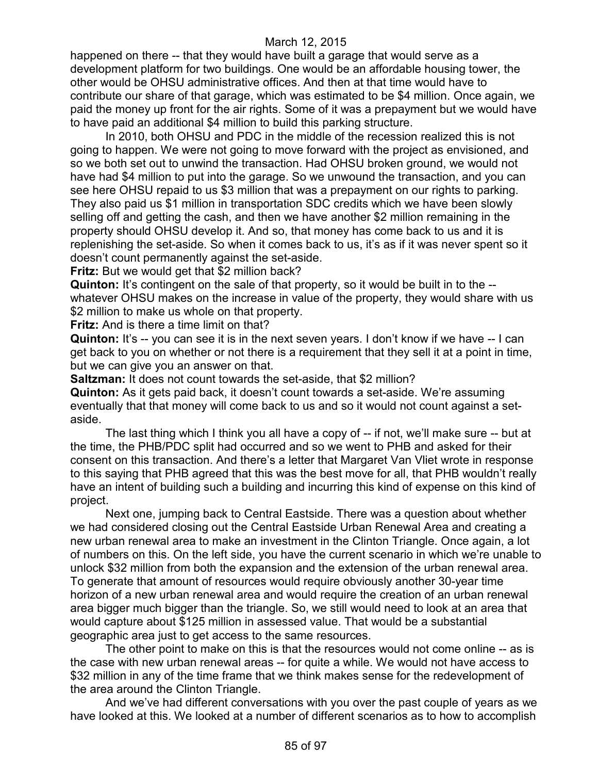happened on there -- that they would have built a garage that would serve as a development platform for two buildings. One would be an affordable housing tower, the other would be OHSU administrative offices. And then at that time would have to contribute our share of that garage, which was estimated to be \$4 million. Once again, we paid the money up front for the air rights. Some of it was a prepayment but we would have to have paid an additional \$4 million to build this parking structure.

In 2010, both OHSU and PDC in the middle of the recession realized this is not going to happen. We were not going to move forward with the project as envisioned, and so we both set out to unwind the transaction. Had OHSU broken ground, we would not have had \$4 million to put into the garage. So we unwound the transaction, and you can see here OHSU repaid to us \$3 million that was a prepayment on our rights to parking. They also paid us \$1 million in transportation SDC credits which we have been slowly selling off and getting the cash, and then we have another \$2 million remaining in the property should OHSU develop it. And so, that money has come back to us and it is replenishing the set-aside. So when it comes back to us, it's as if it was never spent so it doesn't count permanently against the set-aside.

**Fritz:** But we would get that \$2 million back?

**Quinton:** It's contingent on the sale of that property, so it would be built in to the - whatever OHSU makes on the increase in value of the property, they would share with us \$2 million to make us whole on that property.

**Fritz:** And is there a time limit on that?

**Quinton:** It's -- you can see it is in the next seven years. I don't know if we have -- I can get back to you on whether or not there is a requirement that they sell it at a point in time, but we can give you an answer on that.

**Saltzman:** It does not count towards the set-aside, that \$2 million?

**Quinton:** As it gets paid back, it doesn't count towards a set-aside. We're assuming eventually that that money will come back to us and so it would not count against a setaside.

The last thing which I think you all have a copy of -- if not, we'll make sure -- but at the time, the PHB/PDC split had occurred and so we went to PHB and asked for their consent on this transaction. And there's a letter that Margaret Van Vliet wrote in response to this saying that PHB agreed that this was the best move for all, that PHB wouldn't really have an intent of building such a building and incurring this kind of expense on this kind of project.

Next one, jumping back to Central Eastside. There was a question about whether we had considered closing out the Central Eastside Urban Renewal Area and creating a new urban renewal area to make an investment in the Clinton Triangle. Once again, a lot of numbers on this. On the left side, you have the current scenario in which we're unable to unlock \$32 million from both the expansion and the extension of the urban renewal area. To generate that amount of resources would require obviously another 30-year time horizon of a new urban renewal area and would require the creation of an urban renewal area bigger much bigger than the triangle. So, we still would need to look at an area that would capture about \$125 million in assessed value. That would be a substantial geographic area just to get access to the same resources.

The other point to make on this is that the resources would not come online -- as is the case with new urban renewal areas -- for quite a while. We would not have access to \$32 million in any of the time frame that we think makes sense for the redevelopment of the area around the Clinton Triangle.

And we've had different conversations with you over the past couple of years as we have looked at this. We looked at a number of different scenarios as to how to accomplish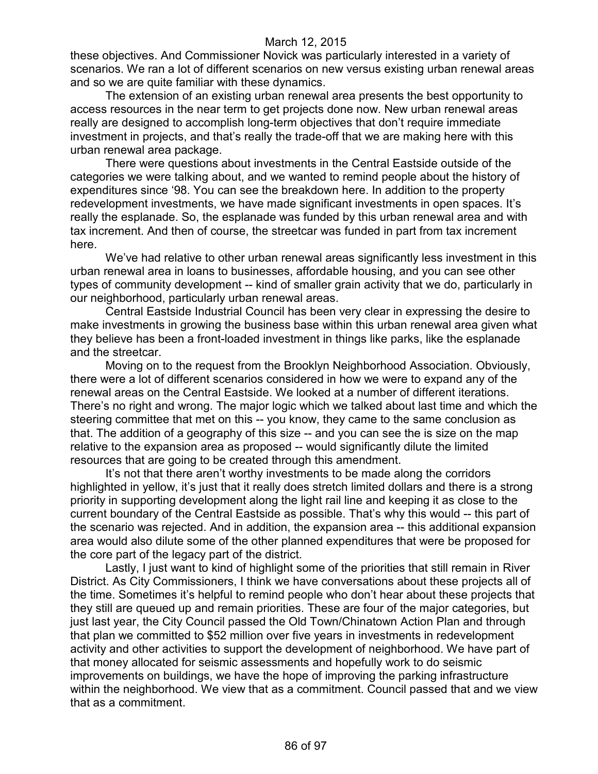these objectives. And Commissioner Novick was particularly interested in a variety of scenarios. We ran a lot of different scenarios on new versus existing urban renewal areas and so we are quite familiar with these dynamics.

The extension of an existing urban renewal area presents the best opportunity to access resources in the near term to get projects done now. New urban renewal areas really are designed to accomplish long-term objectives that don't require immediate investment in projects, and that's really the trade-off that we are making here with this urban renewal area package.

There were questions about investments in the Central Eastside outside of the categories we were talking about, and we wanted to remind people about the history of expenditures since '98. You can see the breakdown here. In addition to the property redevelopment investments, we have made significant investments in open spaces. It's really the esplanade. So, the esplanade was funded by this urban renewal area and with tax increment. And then of course, the streetcar was funded in part from tax increment here.

We've had relative to other urban renewal areas significantly less investment in this urban renewal area in loans to businesses, affordable housing, and you can see other types of community development -- kind of smaller grain activity that we do, particularly in our neighborhood, particularly urban renewal areas.

Central Eastside Industrial Council has been very clear in expressing the desire to make investments in growing the business base within this urban renewal area given what they believe has been a front-loaded investment in things like parks, like the esplanade and the streetcar.

Moving on to the request from the Brooklyn Neighborhood Association. Obviously, there were a lot of different scenarios considered in how we were to expand any of the renewal areas on the Central Eastside. We looked at a number of different iterations. There's no right and wrong. The major logic which we talked about last time and which the steering committee that met on this -- you know, they came to the same conclusion as that. The addition of a geography of this size -- and you can see the is size on the map relative to the expansion area as proposed -- would significantly dilute the limited resources that are going to be created through this amendment.

It's not that there aren't worthy investments to be made along the corridors highlighted in yellow, it's just that it really does stretch limited dollars and there is a strong priority in supporting development along the light rail line and keeping it as close to the current boundary of the Central Eastside as possible. That's why this would -- this part of the scenario was rejected. And in addition, the expansion area -- this additional expansion area would also dilute some of the other planned expenditures that were be proposed for the core part of the legacy part of the district.

Lastly, I just want to kind of highlight some of the priorities that still remain in River District. As City Commissioners, I think we have conversations about these projects all of the time. Sometimes it's helpful to remind people who don't hear about these projects that they still are queued up and remain priorities. These are four of the major categories, but just last year, the City Council passed the Old Town/Chinatown Action Plan and through that plan we committed to \$52 million over five years in investments in redevelopment activity and other activities to support the development of neighborhood. We have part of that money allocated for seismic assessments and hopefully work to do seismic improvements on buildings, we have the hope of improving the parking infrastructure within the neighborhood. We view that as a commitment. Council passed that and we view that as a commitment.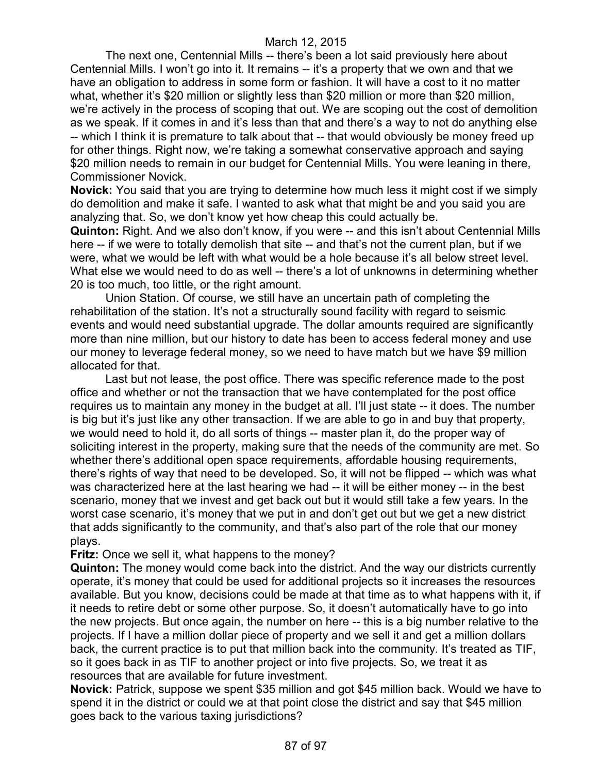The next one, Centennial Mills -- there's been a lot said previously here about Centennial Mills. I won't go into it. It remains -- it's a property that we own and that we have an obligation to address in some form or fashion. It will have a cost to it no matter what, whether it's \$20 million or slightly less than \$20 million or more than \$20 million, we're actively in the process of scoping that out. We are scoping out the cost of demolition as we speak. If it comes in and it's less than that and there's a way to not do anything else -- which I think it is premature to talk about that -- that would obviously be money freed up for other things. Right now, we're taking a somewhat conservative approach and saying \$20 million needs to remain in our budget for Centennial Mills. You were leaning in there, Commissioner Novick.

**Novick:** You said that you are trying to determine how much less it might cost if we simply do demolition and make it safe. I wanted to ask what that might be and you said you are analyzing that. So, we don't know yet how cheap this could actually be.

**Quinton:** Right. And we also don't know, if you were -- and this isn't about Centennial Mills here -- if we were to totally demolish that site -- and that's not the current plan, but if we were, what we would be left with what would be a hole because it's all below street level. What else we would need to do as well -- there's a lot of unknowns in determining whether 20 is too much, too little, or the right amount.

Union Station. Of course, we still have an uncertain path of completing the rehabilitation of the station. It's not a structurally sound facility with regard to seismic events and would need substantial upgrade. The dollar amounts required are significantly more than nine million, but our history to date has been to access federal money and use our money to leverage federal money, so we need to have match but we have \$9 million allocated for that.

Last but not lease, the post office. There was specific reference made to the post office and whether or not the transaction that we have contemplated for the post office requires us to maintain any money in the budget at all. I'll just state -- it does. The number is big but it's just like any other transaction. If we are able to go in and buy that property, we would need to hold it, do all sorts of things -- master plan it, do the proper way of soliciting interest in the property, making sure that the needs of the community are met. So whether there's additional open space requirements, affordable housing requirements, there's rights of way that need to be developed. So, it will not be flipped -- which was what was characterized here at the last hearing we had -- it will be either money -- in the best scenario, money that we invest and get back out but it would still take a few years. In the worst case scenario, it's money that we put in and don't get out but we get a new district that adds significantly to the community, and that's also part of the role that our money plays.

**Fritz:** Once we sell it, what happens to the money?

**Quinton:** The money would come back into the district. And the way our districts currently operate, it's money that could be used for additional projects so it increases the resources available. But you know, decisions could be made at that time as to what happens with it, if it needs to retire debt or some other purpose. So, it doesn't automatically have to go into the new projects. But once again, the number on here -- this is a big number relative to the projects. If I have a million dollar piece of property and we sell it and get a million dollars back, the current practice is to put that million back into the community. It's treated as TIF, so it goes back in as TIF to another project or into five projects. So, we treat it as resources that are available for future investment.

**Novick:** Patrick, suppose we spent \$35 million and got \$45 million back. Would we have to spend it in the district or could we at that point close the district and say that \$45 million goes back to the various taxing jurisdictions?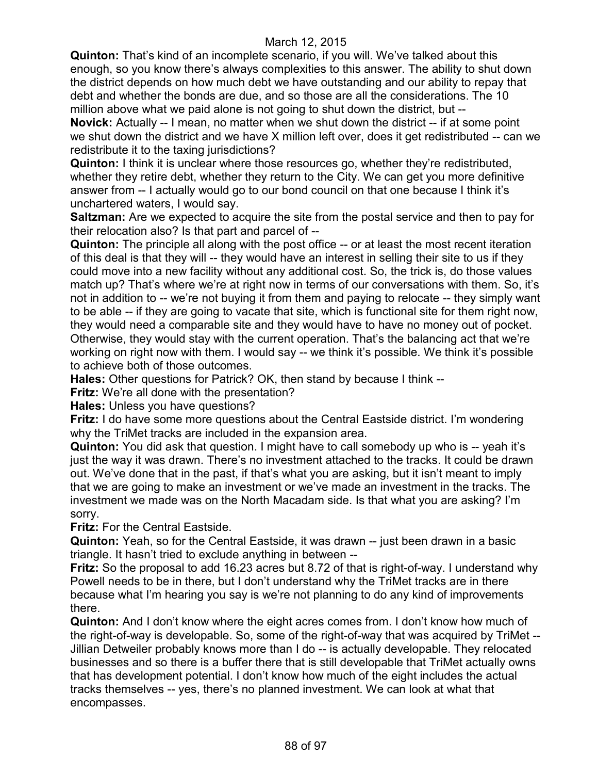**Quinton:** That's kind of an incomplete scenario, if you will. We've talked about this enough, so you know there's always complexities to this answer. The ability to shut down the district depends on how much debt we have outstanding and our ability to repay that debt and whether the bonds are due, and so those are all the considerations. The 10 million above what we paid alone is not going to shut down the district, but --

**Novick:** Actually -- I mean, no matter when we shut down the district -- if at some point we shut down the district and we have X million left over, does it get redistributed -- can we redistribute it to the taxing jurisdictions?

**Quinton:** I think it is unclear where those resources go, whether they're redistributed, whether they retire debt, whether they return to the City. We can get you more definitive answer from -- I actually would go to our bond council on that one because I think it's unchartered waters, I would say.

**Saltzman:** Are we expected to acquire the site from the postal service and then to pay for their relocation also? Is that part and parcel of --

**Quinton:** The principle all along with the post office -- or at least the most recent iteration of this deal is that they will -- they would have an interest in selling their site to us if they could move into a new facility without any additional cost. So, the trick is, do those values match up? That's where we're at right now in terms of our conversations with them. So, it's not in addition to -- we're not buying it from them and paying to relocate -- they simply want to be able -- if they are going to vacate that site, which is functional site for them right now, they would need a comparable site and they would have to have no money out of pocket. Otherwise, they would stay with the current operation. That's the balancing act that we're working on right now with them. I would say -- we think it's possible. We think it's possible to achieve both of those outcomes.

**Hales:** Other questions for Patrick? OK, then stand by because I think --

**Fritz:** We're all done with the presentation?

**Hales:** Unless you have questions?

**Fritz:** I do have some more questions about the Central Eastside district. I'm wondering why the TriMet tracks are included in the expansion area.

**Quinton:** You did ask that question. I might have to call somebody up who is -- yeah it's just the way it was drawn. There's no investment attached to the tracks. It could be drawn out. We've done that in the past, if that's what you are asking, but it isn't meant to imply that we are going to make an investment or we've made an investment in the tracks. The investment we made was on the North Macadam side. Is that what you are asking? I'm sorry.

**Fritz:** For the Central Eastside.

**Quinton:** Yeah, so for the Central Eastside, it was drawn -- just been drawn in a basic triangle. It hasn't tried to exclude anything in between --

**Fritz:** So the proposal to add 16.23 acres but 8.72 of that is right-of-way. I understand why Powell needs to be in there, but I don't understand why the TriMet tracks are in there because what I'm hearing you say is we're not planning to do any kind of improvements there.

**Quinton:** And I don't know where the eight acres comes from. I don't know how much of the right-of-way is developable. So, some of the right-of-way that was acquired by TriMet -- Jillian Detweiler probably knows more than I do -- is actually developable. They relocated businesses and so there is a buffer there that is still developable that TriMet actually owns that has development potential. I don't know how much of the eight includes the actual tracks themselves -- yes, there's no planned investment. We can look at what that encompasses.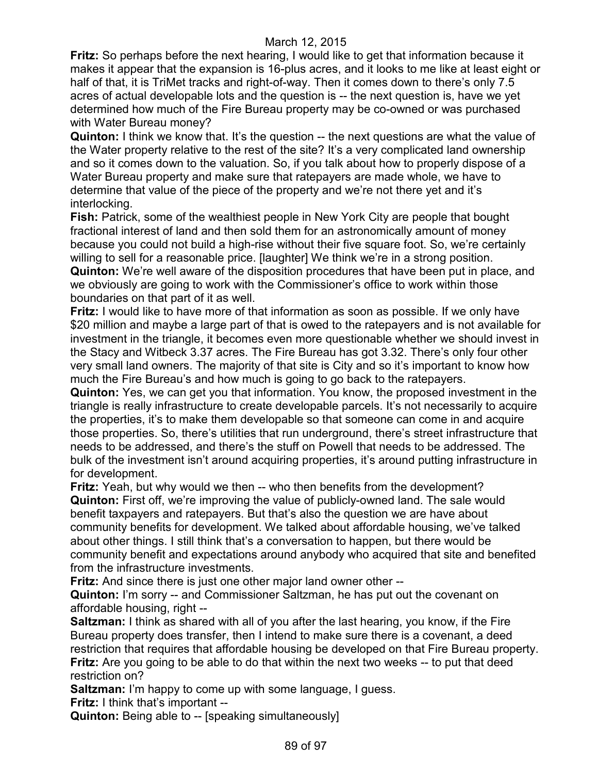**Fritz:** So perhaps before the next hearing, I would like to get that information because it makes it appear that the expansion is 16-plus acres, and it looks to me like at least eight or half of that, it is TriMet tracks and right-of-way. Then it comes down to there's only 7.5 acres of actual developable lots and the question is -- the next question is, have we yet determined how much of the Fire Bureau property may be co-owned or was purchased with Water Bureau money?

**Quinton:** I think we know that. It's the question -- the next questions are what the value of the Water property relative to the rest of the site? It's a very complicated land ownership and so it comes down to the valuation. So, if you talk about how to properly dispose of a Water Bureau property and make sure that ratepayers are made whole, we have to determine that value of the piece of the property and we're not there yet and it's interlocking.

**Fish:** Patrick, some of the wealthiest people in New York City are people that bought fractional interest of land and then sold them for an astronomically amount of money because you could not build a high-rise without their five square foot. So, we're certainly willing to sell for a reasonable price. [laughter] We think we're in a strong position. **Quinton:** We're well aware of the disposition procedures that have been put in place, and we obviously are going to work with the Commissioner's office to work within those boundaries on that part of it as well.

**Fritz:** I would like to have more of that information as soon as possible. If we only have \$20 million and maybe a large part of that is owed to the ratepayers and is not available for investment in the triangle, it becomes even more questionable whether we should invest in the Stacy and Witbeck 3.37 acres. The Fire Bureau has got 3.32. There's only four other very small land owners. The majority of that site is City and so it's important to know how much the Fire Bureau's and how much is going to go back to the ratepayers.

**Quinton:** Yes, we can get you that information. You know, the proposed investment in the triangle is really infrastructure to create developable parcels. It's not necessarily to acquire the properties, it's to make them developable so that someone can come in and acquire those properties. So, there's utilities that run underground, there's street infrastructure that needs to be addressed, and there's the stuff on Powell that needs to be addressed. The bulk of the investment isn't around acquiring properties, it's around putting infrastructure in for development.

**Fritz:** Yeah, but why would we then -- who then benefits from the development? **Quinton:** First off, we're improving the value of publicly-owned land. The sale would benefit taxpayers and ratepayers. But that's also the question we are have about community benefits for development. We talked about affordable housing, we've talked about other things. I still think that's a conversation to happen, but there would be community benefit and expectations around anybody who acquired that site and benefited from the infrastructure investments.

**Fritz:** And since there is just one other major land owner other --

**Quinton:** I'm sorry -- and Commissioner Saltzman, he has put out the covenant on affordable housing, right --

**Saltzman:** I think as shared with all of you after the last hearing, you know, if the Fire Bureau property does transfer, then I intend to make sure there is a covenant, a deed restriction that requires that affordable housing be developed on that Fire Bureau property. **Fritz:** Are you going to be able to do that within the next two weeks -- to put that deed restriction on?

**Saltzman:** I'm happy to come up with some language, I guess. **Fritz:** I think that's important --

**Quinton:** Being able to -- [speaking simultaneously]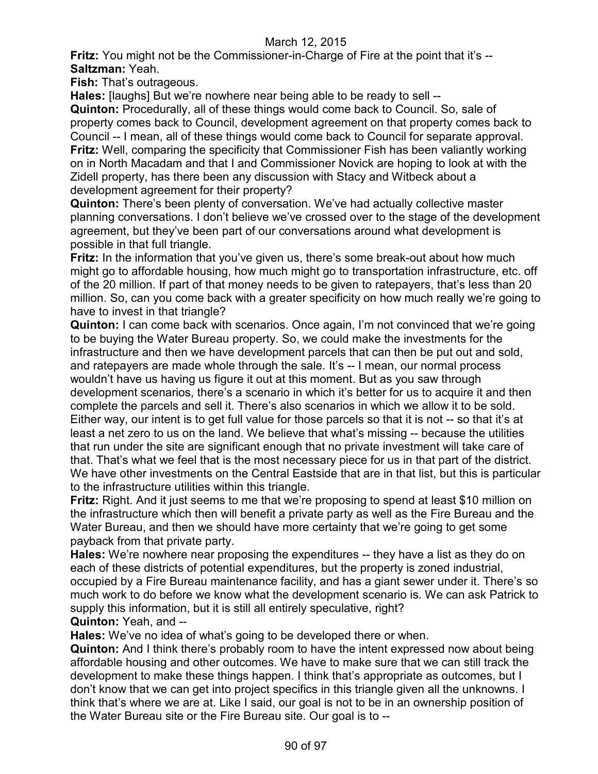**Fritz:** You might not be the Commissioner-in-Charge of Fire at the point that it's --**Saltzman:** Yeah.

**Fish:** That's outrageous.

**Hales:** [laughs] But we're nowhere near being able to be ready to sell --

**Quinton:** Procedurally, all of these things would come back to Council. So, sale of property comes back to Council, development agreement on that property comes back to Council -- I mean, all of these things would come back to Council for separate approval. **Fritz:** Well, comparing the specificity that Commissioner Fish has been valiantly working on in North Macadam and that I and Commissioner Novick are hoping to look at with the Zidell property, has there been any discussion with Stacy and Witbeck about a development agreement for their property?

**Quinton:** There's been plenty of conversation. We've had actually collective master planning conversations. I don't believe we've crossed over to the stage of the development agreement, but they've been part of our conversations around what development is possible in that full triangle.

**Fritz:** In the information that you've given us, there's some break-out about how much might go to affordable housing, how much might go to transportation infrastructure, etc. off of the 20 million. If part of that money needs to be given to ratepayers, that's less than 20 million. So, can you come back with a greater specificity on how much really we're going to have to invest in that triangle?

**Quinton:** I can come back with scenarios. Once again, I'm not convinced that we're going to be buying the Water Bureau property. So, we could make the investments for the infrastructure and then we have development parcels that can then be put out and sold, and ratepayers are made whole through the sale. It's -- I mean, our normal process wouldn't have us having us figure it out at this moment. But as you saw through development scenarios, there's a scenario in which it's better for us to acquire it and then complete the parcels and sell it. There's also scenarios in which we allow it to be sold. Either way, our intent is to get full value for those parcels so that it is not -- so that it's at least a net zero to us on the land. We believe that what's missing -- because the utilities that run under the site are significant enough that no private investment will take care of that. That's what we feel that is the most necessary piece for us in that part of the district. We have other investments on the Central Eastside that are in that list, but this is particular to the infrastructure utilities within this triangle.

**Fritz:** Right. And it just seems to me that we're proposing to spend at least \$10 million on the infrastructure which then will benefit a private party as well as the Fire Bureau and the Water Bureau, and then we should have more certainty that we're going to get some payback from that private party.

**Hales:** We're nowhere near proposing the expenditures -- they have a list as they do on each of these districts of potential expenditures, but the property is zoned industrial, occupied by a Fire Bureau maintenance facility, and has a giant sewer under it. There's so much work to do before we know what the development scenario is. We can ask Patrick to supply this information, but it is still all entirely speculative, right? **Quinton:** Yeah, and --

**Hales:** We've no idea of what's going to be developed there or when.

**Quinton:** And I think there's probably room to have the intent expressed now about being affordable housing and other outcomes. We have to make sure that we can still track the development to make these things happen. I think that's appropriate as outcomes, but I don't know that we can get into project specifics in this triangle given all the unknowns. I think that's where we are at. Like I said, our goal is not to be in an ownership position of the Water Bureau site or the Fire Bureau site. Our goal is to --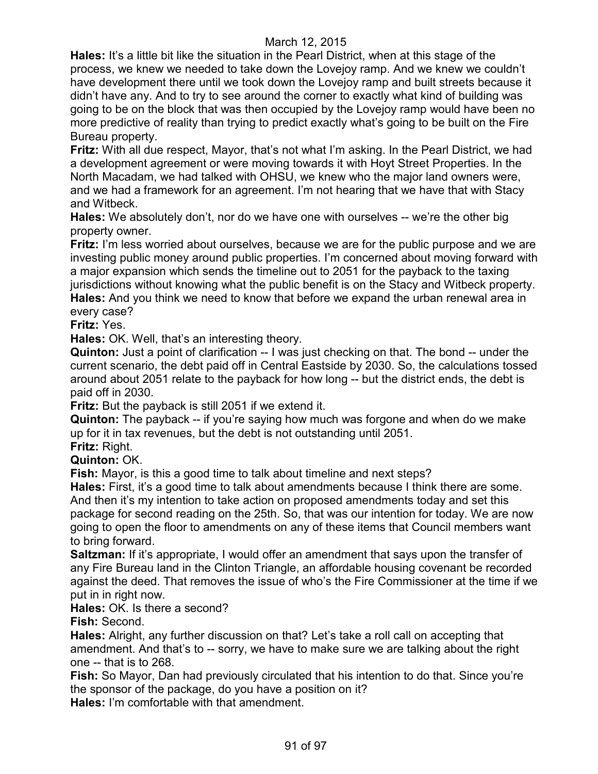**Hales:** It's a little bit like the situation in the Pearl District, when at this stage of the process, we knew we needed to take down the Lovejoy ramp. And we knew we couldn't have development there until we took down the Lovejoy ramp and built streets because it didn't have any. And to try to see around the corner to exactly what kind of building was going to be on the block that was then occupied by the Lovejoy ramp would have been no more predictive of reality than trying to predict exactly what's going to be built on the Fire Bureau property.

**Fritz:** With all due respect, Mayor, that's not what I'm asking. In the Pearl District, we had a development agreement or were moving towards it with Hoyt Street Properties. In the North Macadam, we had talked with OHSU, we knew who the major land owners were, and we had a framework for an agreement. I'm not hearing that we have that with Stacy and Witbeck.

**Hales:** We absolutely don't, nor do we have one with ourselves -- we're the other big property owner.

**Fritz:** I'm less worried about ourselves, because we are for the public purpose and we are investing public money around public properties. I'm concerned about moving forward with a major expansion which sends the timeline out to 2051 for the payback to the taxing jurisdictions without knowing what the public benefit is on the Stacy and Witbeck property. **Hales:** And you think we need to know that before we expand the urban renewal area in

every case?

**Fritz:** Yes.

**Hales:** OK. Well, that's an interesting theory.

**Quinton:** Just a point of clarification -- I was just checking on that. The bond -- under the current scenario, the debt paid off in Central Eastside by 2030. So, the calculations tossed around about 2051 relate to the payback for how long -- but the district ends, the debt is paid off in 2030.

**Fritz:** But the payback is still 2051 if we extend it.

**Quinton:** The payback -- if you're saying how much was forgone and when do we make up for it in tax revenues, but the debt is not outstanding until 2051.

**Fritz:** Right.

**Quinton:** OK.

**Fish:** Mayor, is this a good time to talk about timeline and next steps?

**Hales:** First, it's a good time to talk about amendments because I think there are some. And then it's my intention to take action on proposed amendments today and set this package for second reading on the 25th. So, that was our intention for today. We are now going to open the floor to amendments on any of these items that Council members want to bring forward.

**Saltzman:** If it's appropriate, I would offer an amendment that says upon the transfer of any Fire Bureau land in the Clinton Triangle, an affordable housing covenant be recorded against the deed. That removes the issue of who's the Fire Commissioner at the time if we put in in right now.

**Hales:** OK. Is there a second?

**Fish:** Second.

**Hales:** Alright, any further discussion on that? Let's take a roll call on accepting that amendment. And that's to -- sorry, we have to make sure we are talking about the right one -- that is to 268.

**Fish:** So Mayor, Dan had previously circulated that his intention to do that. Since you're the sponsor of the package, do you have a position on it? **Hales:** I'm comfortable with that amendment.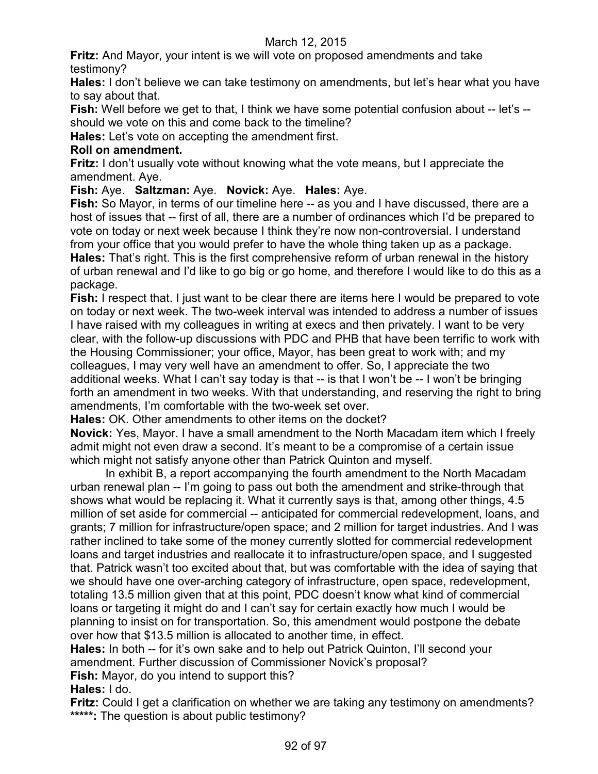**Fritz:** And Mayor, your intent is we will vote on proposed amendments and take testimony?

**Hales:** I don't believe we can take testimony on amendments, but let's hear what you have to say about that.

**Fish:** Well before we get to that, I think we have some potential confusion about -- let's - should we vote on this and come back to the timeline?

**Hales:** Let's vote on accepting the amendment first.

# **Roll on amendment.**

**Fritz:** I don't usually vote without knowing what the vote means, but I appreciate the amendment. Aye.

**Fish:** Aye. **Saltzman:** Aye. **Novick:** Aye. **Hales:** Aye.

**Fish:** So Mayor, in terms of our timeline here -- as you and I have discussed, there are a host of issues that -- first of all, there are a number of ordinances which I'd be prepared to vote on today or next week because I think they're now non-controversial. I understand from your office that you would prefer to have the whole thing taken up as a package. **Hales:** That's right. This is the first comprehensive reform of urban renewal in the history of urban renewal and I'd like to go big or go home, and therefore I would like to do this as a package.

**Fish:** I respect that. I just want to be clear there are items here I would be prepared to vote on today or next week. The two-week interval was intended to address a number of issues I have raised with my colleagues in writing at execs and then privately. I want to be very clear, with the follow-up discussions with PDC and PHB that have been terrific to work with the Housing Commissioner; your office, Mayor, has been great to work with; and my colleagues, I may very well have an amendment to offer. So, I appreciate the two additional weeks. What I can't say today is that -- is that I won't be -- I won't be bringing forth an amendment in two weeks. With that understanding, and reserving the right to bring amendments, I'm comfortable with the two-week set over.

**Hales:** OK. Other amendments to other items on the docket?

**Novick:** Yes, Mayor. I have a small amendment to the North Macadam item which I freely admit might not even draw a second. It's meant to be a compromise of a certain issue which might not satisfy anyone other than Patrick Quinton and myself.

In exhibit B, a report accompanying the fourth amendment to the North Macadam urban renewal plan -- I'm going to pass out both the amendment and strike-through that shows what would be replacing it. What it currently says is that, among other things, 4.5 million of set aside for commercial -- anticipated for commercial redevelopment, loans, and grants; 7 million for infrastructure/open space; and 2 million for target industries. And I was rather inclined to take some of the money currently slotted for commercial redevelopment loans and target industries and reallocate it to infrastructure/open space, and I suggested that. Patrick wasn't too excited about that, but was comfortable with the idea of saying that we should have one over-arching category of infrastructure, open space, redevelopment, totaling 13.5 million given that at this point, PDC doesn't know what kind of commercial loans or targeting it might do and I can't say for certain exactly how much I would be planning to insist on for transportation. So, this amendment would postpone the debate over how that \$13.5 million is allocated to another time, in effect.

**Hales:** In both -- for it's own sake and to help out Patrick Quinton, I'll second your amendment. Further discussion of Commissioner Novick's proposal? **Fish:** Mayor, do you intend to support this?

**Hales:** I do.

**Fritz:** Could I get a clarification on whether we are taking any testimony on amendments? **\*\*\*\*\*:** The question is about public testimony?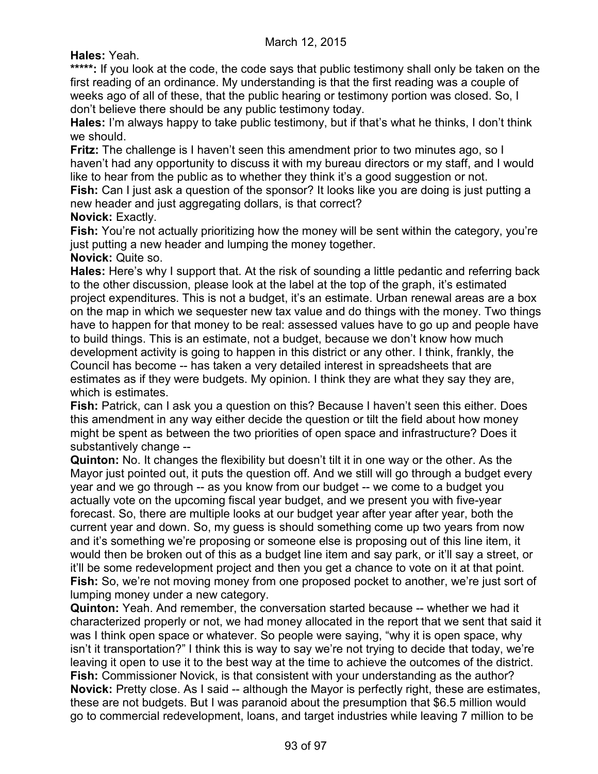# **Hales:** Yeah.

\*\*\*\*\*: If you look at the code, the code says that public testimony shall only be taken on the first reading of an ordinance. My understanding is that the first reading was a couple of weeks ago of all of these, that the public hearing or testimony portion was closed. So, I don't believe there should be any public testimony today.

**Hales:** I'm always happy to take public testimony, but if that's what he thinks, I don't think we should.

**Fritz:** The challenge is I haven't seen this amendment prior to two minutes ago, so I haven't had any opportunity to discuss it with my bureau directors or my staff, and I would like to hear from the public as to whether they think it's a good suggestion or not.

**Fish:** Can I just ask a question of the sponsor? It looks like you are doing is just putting a new header and just aggregating dollars, is that correct?

# **Novick:** Exactly.

Fish: You're not actually prioritizing how the money will be sent within the category, you're just putting a new header and lumping the money together.

#### **Novick:** Quite so.

**Hales:** Here's why I support that. At the risk of sounding a little pedantic and referring back to the other discussion, please look at the label at the top of the graph, it's estimated project expenditures. This is not a budget, it's an estimate. Urban renewal areas are a box on the map in which we sequester new tax value and do things with the money. Two things have to happen for that money to be real: assessed values have to go up and people have to build things. This is an estimate, not a budget, because we don't know how much development activity is going to happen in this district or any other. I think, frankly, the Council has become -- has taken a very detailed interest in spreadsheets that are estimates as if they were budgets. My opinion. I think they are what they say they are, which is estimates.

**Fish:** Patrick, can I ask you a question on this? Because I haven't seen this either. Does this amendment in any way either decide the question or tilt the field about how money might be spent as between the two priorities of open space and infrastructure? Does it substantively change --

**Quinton:** No. It changes the flexibility but doesn't tilt it in one way or the other. As the Mayor just pointed out, it puts the question off. And we still will go through a budget every year and we go through -- as you know from our budget -- we come to a budget you actually vote on the upcoming fiscal year budget, and we present you with five-year forecast. So, there are multiple looks at our budget year after year after year, both the current year and down. So, my guess is should something come up two years from now and it's something we're proposing or someone else is proposing out of this line item, it would then be broken out of this as a budget line item and say park, or it'll say a street, or it'll be some redevelopment project and then you get a chance to vote on it at that point. Fish: So, we're not moving money from one proposed pocket to another, we're just sort of lumping money under a new category.

**Quinton:** Yeah. And remember, the conversation started because -- whether we had it characterized properly or not, we had money allocated in the report that we sent that said it was I think open space or whatever. So people were saying, "why it is open space, why isn't it transportation?" I think this is way to say we're not trying to decide that today, we're leaving it open to use it to the best way at the time to achieve the outcomes of the district. **Fish:** Commissioner Novick, is that consistent with your understanding as the author? **Novick:** Pretty close. As I said -- although the Mayor is perfectly right, these are estimates, these are not budgets. But I was paranoid about the presumption that \$6.5 million would go to commercial redevelopment, loans, and target industries while leaving 7 million to be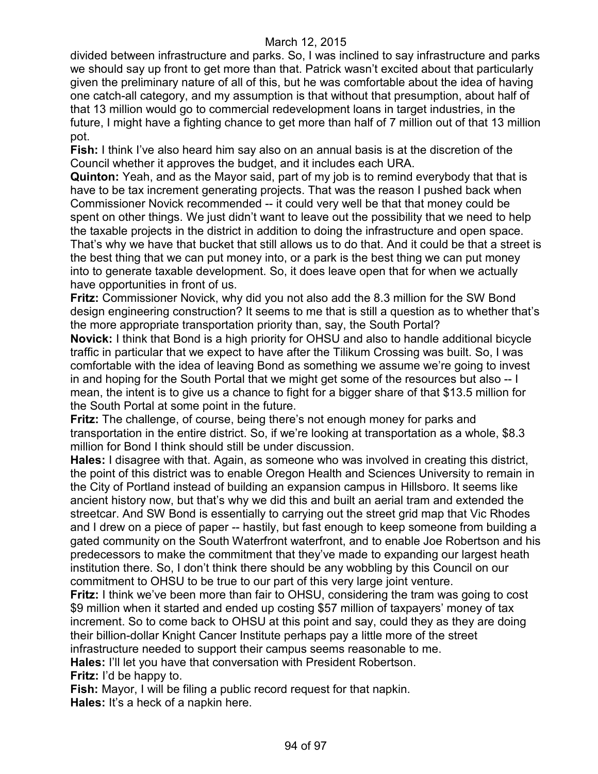divided between infrastructure and parks. So, I was inclined to say infrastructure and parks we should say up front to get more than that. Patrick wasn't excited about that particularly given the preliminary nature of all of this, but he was comfortable about the idea of having one catch-all category, and my assumption is that without that presumption, about half of that 13 million would go to commercial redevelopment loans in target industries, in the future, I might have a fighting chance to get more than half of 7 million out of that 13 million pot.

**Fish:** I think I've also heard him say also on an annual basis is at the discretion of the Council whether it approves the budget, and it includes each URA.

**Quinton:** Yeah, and as the Mayor said, part of my job is to remind everybody that that is have to be tax increment generating projects. That was the reason I pushed back when Commissioner Novick recommended -- it could very well be that that money could be spent on other things. We just didn't want to leave out the possibility that we need to help the taxable projects in the district in addition to doing the infrastructure and open space. That's why we have that bucket that still allows us to do that. And it could be that a street is the best thing that we can put money into, or a park is the best thing we can put money into to generate taxable development. So, it does leave open that for when we actually have opportunities in front of us.

**Fritz:** Commissioner Novick, why did you not also add the 8.3 million for the SW Bond design engineering construction? It seems to me that is still a question as to whether that's the more appropriate transportation priority than, say, the South Portal?

**Novick:** I think that Bond is a high priority for OHSU and also to handle additional bicycle traffic in particular that we expect to have after the Tilikum Crossing was built. So, I was comfortable with the idea of leaving Bond as something we assume we're going to invest in and hoping for the South Portal that we might get some of the resources but also -- I mean, the intent is to give us a chance to fight for a bigger share of that \$13.5 million for the South Portal at some point in the future.

**Fritz:** The challenge, of course, being there's not enough money for parks and transportation in the entire district. So, if we're looking at transportation as a whole, \$8.3 million for Bond I think should still be under discussion.

**Hales:** I disagree with that. Again, as someone who was involved in creating this district, the point of this district was to enable Oregon Health and Sciences University to remain in the City of Portland instead of building an expansion campus in Hillsboro. It seems like ancient history now, but that's why we did this and built an aerial tram and extended the streetcar. And SW Bond is essentially to carrying out the street grid map that Vic Rhodes and I drew on a piece of paper -- hastily, but fast enough to keep someone from building a gated community on the South Waterfront waterfront, and to enable Joe Robertson and his predecessors to make the commitment that they've made to expanding our largest heath institution there. So, I don't think there should be any wobbling by this Council on our commitment to OHSU to be true to our part of this very large joint venture.

**Fritz:** I think we've been more than fair to OHSU, considering the tram was going to cost \$9 million when it started and ended up costing \$57 million of taxpayers' money of tax increment. So to come back to OHSU at this point and say, could they as they are doing their billion-dollar Knight Cancer Institute perhaps pay a little more of the street infrastructure needed to support their campus seems reasonable to me.

**Hales:** I'll let you have that conversation with President Robertson.

**Fritz:** I'd be happy to.

**Fish:** Mayor, I will be filing a public record request for that napkin. **Hales:** It's a heck of a napkin here.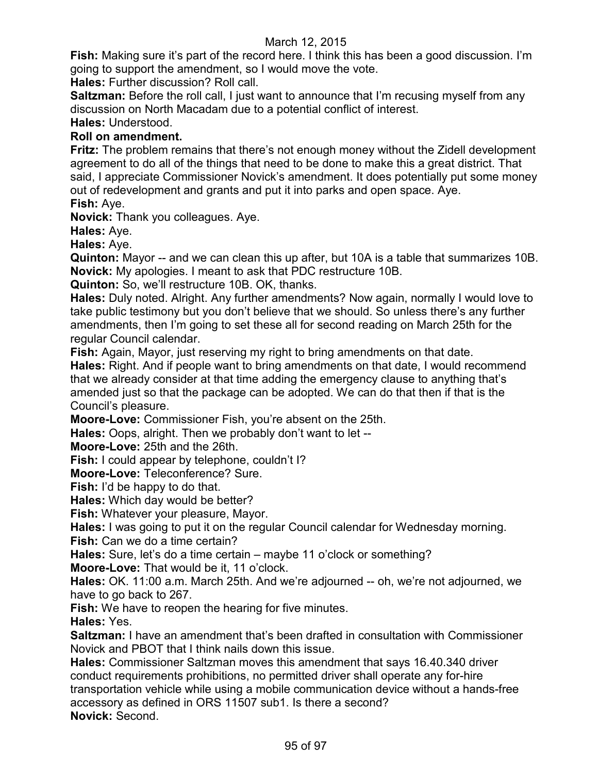**Fish:** Making sure it's part of the record here. I think this has been a good discussion. I'm going to support the amendment, so I would move the vote.

**Hales:** Further discussion? Roll call.

**Saltzman:** Before the roll call, I just want to announce that I'm recusing myself from any discussion on North Macadam due to a potential conflict of interest.

**Hales:** Understood.

# **Roll on amendment.**

**Fritz:** The problem remains that there's not enough money without the Zidell development agreement to do all of the things that need to be done to make this a great district. That said, I appreciate Commissioner Novick's amendment. It does potentially put some money out of redevelopment and grants and put it into parks and open space. Aye.

**Fish:** Aye.

**Novick:** Thank you colleagues. Aye.

**Hales:** Aye.

**Hales:** Aye.

**Quinton:** Mayor -- and we can clean this up after, but 10A is a table that summarizes 10B. **Novick:** My apologies. I meant to ask that PDC restructure 10B.

**Quinton:** So, we'll restructure 10B. OK, thanks.

**Hales:** Duly noted. Alright. Any further amendments? Now again, normally I would love to take public testimony but you don't believe that we should. So unless there's any further amendments, then I'm going to set these all for second reading on March 25th for the regular Council calendar.

**Fish:** Again, Mayor, just reserving my right to bring amendments on that date. **Hales:** Right. And if people want to bring amendments on that date, I would recommend that we already consider at that time adding the emergency clause to anything that's amended just so that the package can be adopted. We can do that then if that is the

Council's pleasure.

**Moore-Love:** Commissioner Fish, you're absent on the 25th.

**Hales:** Oops, alright. Then we probably don't want to let --

**Moore-Love:** 25th and the 26th.

**Fish:** I could appear by telephone, couldn't I?

**Moore-Love:** Teleconference? Sure.

**Fish:** I'd be happy to do that.

**Hales:** Which day would be better?

**Fish:** Whatever your pleasure, Mayor.

**Hales:** I was going to put it on the regular Council calendar for Wednesday morning.

**Fish:** Can we do a time certain?

**Hales:** Sure, let's do a time certain – maybe 11 o'clock or something?

**Moore-Love:** That would be it, 11 o'clock.

**Hales:** OK. 11:00 a.m. March 25th. And we're adjourned -- oh, we're not adjourned, we have to go back to 267.

**Fish:** We have to reopen the hearing for five minutes.

**Hales:** Yes.

**Saltzman:** I have an amendment that's been drafted in consultation with Commissioner Novick and PBOT that I think nails down this issue.

**Hales:** Commissioner Saltzman moves this amendment that says 16.40.340 driver conduct requirements prohibitions, no permitted driver shall operate any for-hire transportation vehicle while using a mobile communication device without a hands-free accessory as defined in ORS 11507 sub1. Is there a second? **Novick:** Second.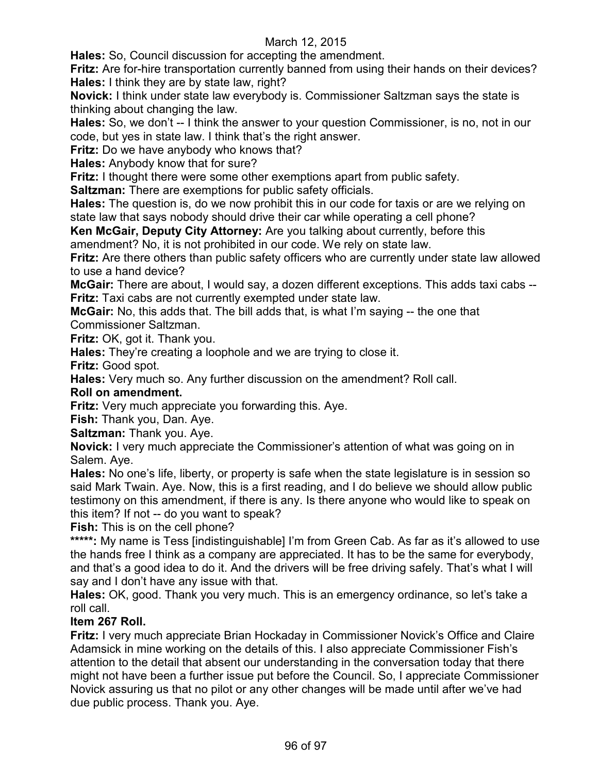**Hales:** So, Council discussion for accepting the amendment.

**Fritz:** Are for-hire transportation currently banned from using their hands on their devices? **Hales:** I think they are by state law, right?

**Novick:** I think under state law everybody is. Commissioner Saltzman says the state is thinking about changing the law.

**Hales:** So, we don't -- I think the answer to your question Commissioner, is no, not in our code, but yes in state law. I think that's the right answer.

**Fritz:** Do we have anybody who knows that?

**Hales:** Anybody know that for sure?

**Fritz:** I thought there were some other exemptions apart from public safety.

**Saltzman:** There are exemptions for public safety officials.

**Hales:** The question is, do we now prohibit this in our code for taxis or are we relying on state law that says nobody should drive their car while operating a cell phone?

**Ken McGair, Deputy City Attorney:** Are you talking about currently, before this amendment? No, it is not prohibited in our code. We rely on state law.

**Fritz:** Are there others than public safety officers who are currently under state law allowed to use a hand device?

**McGair:** There are about, I would say, a dozen different exceptions. This adds taxi cabs -- **Fritz:** Taxi cabs are not currently exempted under state law.

**McGair:** No, this adds that. The bill adds that, is what I'm saying -- the one that Commissioner Saltzman.

**Fritz:** OK, got it. Thank you.

**Hales:** They're creating a loophole and we are trying to close it.

**Fritz:** Good spot.

**Hales:** Very much so. Any further discussion on the amendment? Roll call.

#### **Roll on amendment.**

**Fritz:** Very much appreciate you forwarding this. Aye.

**Fish:** Thank you, Dan. Aye.

**Saltzman:** Thank you. Aye.

**Novick:** I very much appreciate the Commissioner's attention of what was going on in Salem. Aye.

**Hales:** No one's life, liberty, or property is safe when the state legislature is in session so said Mark Twain. Aye. Now, this is a first reading, and I do believe we should allow public testimony on this amendment, if there is any. Is there anyone who would like to speak on this item? If not -- do you want to speak?

**Fish:** This is on the cell phone?

**\*\*\*\*\*:** My name is Tess [indistinguishable] I'm from Green Cab. As far as it's allowed to use the hands free I think as a company are appreciated. It has to be the same for everybody, and that's a good idea to do it. And the drivers will be free driving safely. That's what I will say and I don't have any issue with that.

**Hales:** OK, good. Thank you very much. This is an emergency ordinance, so let's take a roll call.

# **Item 267 Roll.**

**Fritz:** I very much appreciate Brian Hockaday in Commissioner Novick's Office and Claire Adamsick in mine working on the details of this. I also appreciate Commissioner Fish's attention to the detail that absent our understanding in the conversation today that there might not have been a further issue put before the Council. So, I appreciate Commissioner Novick assuring us that no pilot or any other changes will be made until after we've had due public process. Thank you. Aye.